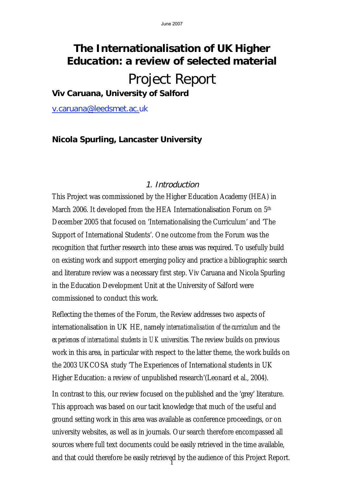# **The Internationalisation of UK Higher Education: a review of selected material**

# Project Report

**Viv Caruana, University of Salford** 

v.caruana@leedsmet.ac.uk

# **Nicola Spurling, Lancaster University**

### 1. Introduction

This Project was commissioned by the Higher Education Academy (HEA) in March 2006. It developed from the HEA Internationalisation Forum on 5<sup>th</sup> December 2005 that focused on 'Internationalising the Curriculum' and 'The Support of International Students'. One outcome from the Forum was the recognition that further research into these areas was required. To usefully build on existing work and support emerging policy and practice a bibliographic search and literature review was a necessary first step. Viv Caruana and Nicola Spurling in the Education Development Unit at the University of Salford were commissioned to conduct this work.

Reflecting the themes of the Forum, the Review addresses two aspects of internationalisation in UK HE, namely *internationalisation of the curriculum* and *the*  experiences of international students in UK universities. The review builds on previous work in this area, in particular with respect to the latter theme, the work builds on the 2003 UKCOSA study 'The Experiences of International students in UK Higher Education: a review of unpublished research'(Leonard et al., 2004).

and that could therefore be easily retrieved by the audience of this Project Report. In contrast to this, our review focused on the published and the 'grey' literature. This approach was based on our tacit knowledge that much of the useful and ground setting work in this area was available as conference proceedings, or on university websites, as well as in journals. Our search therefore encompassed all sources where full text documents could be easily retrieved in the time available,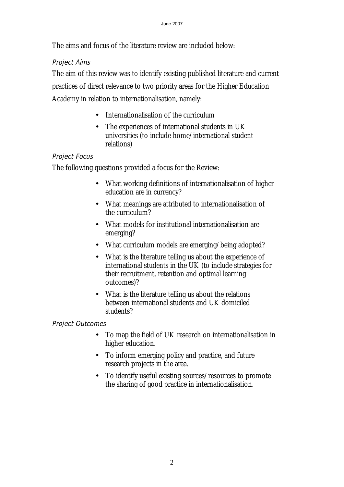The aims and focus of the literature review are included below:

# Project Aims

The aim of this review was to identify existing published literature and current practices of direct relevance to two priority areas for the Higher Education Academy in relation to internationalisation, namely:

- Internationalisation of the curriculum
- The experiences of international students in UK universities (to include home/international student relations)

# Project Focus

The following questions provided a focus for the Review:

- What working definitions of internationalisation of higher education are in currency?
- What meanings are attributed to internationalisation of the curriculum?
- What models for institutional internationalisation are emerging?
- What curriculum models are emerging/being adopted?
- What is the literature telling us about the experience of international students in the UK (to include strategies for their recruitment, retention and optimal learning outcomes)?
- What is the literature telling us about the relations between international students and UK domiciled students?

# Project Outcomes

- To map the field of UK research on internationalisation in higher education.
- To inform emerging policy and practice, and future research projects in the area.
- To identify useful existing sources/resources to promote the sharing of good practice in internationalisation.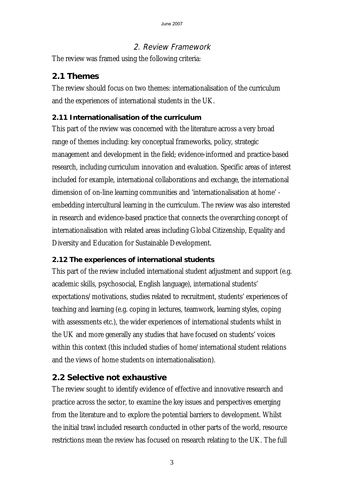# 2. Review Framework

The review was framed using the following criteria:

# **2.1 Themes**

The review should focus on two themes: internationalisation of the curriculum and the experiences of international students in the UK.

# **2.11 Internationalisation of the curriculum**

This part of the review was concerned with the literature across a very broad range of themes including: key conceptual frameworks, policy, strategic management and development in the field; evidence-informed and practice-based research, including curriculum innovation and evaluation. Specific areas of interest included for example, international collaborations and exchange, the international dimension of on-line learning communities and 'internationalisation at home' embedding intercultural learning in the curriculum. The review was also interested in research and evidence-based practice that connects the overarching concept of internationalisation with related areas including Global Citizenship, Equality and Diversity and Education for Sustainable Development.

# **2.12 The experiences of international students**

This part of the review included international student adjustment and support (e.g. academic skills, psychosocial, English language), international students' expectations/motivations, studies related to recruitment, students' experiences of teaching and learning (e.g. coping in lectures, teamwork, learning styles, coping with assessments etc.), the wider experiences of international students whilst in the UK and more generally any studies that have focused on students' voices within this context (this included studies of home/international student relations and the views of home students on internationalisation).

# **2.2 Selective not exhaustive**

The review sought to identify evidence of effective and innovative research and practice across the sector, to examine the key issues and perspectives emerging from the literature and to explore the potential barriers to development. Whilst the initial trawl included research conducted in other parts of the world, resource restrictions mean the review has focused on research relating to the UK. The full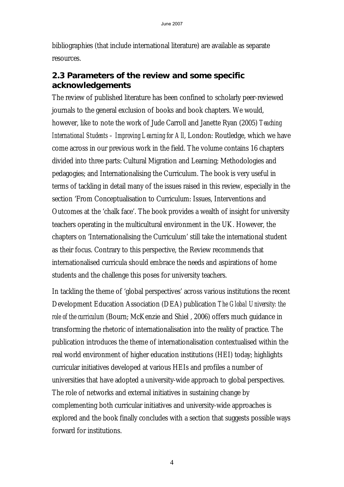bibliographies (that include international literature) are available as separate resources.

# **2.3 Parameters of the review and some specific acknowledgements**

The review of published literature has been confined to scholarly peer-reviewed journals to the general exclusion of books and book chapters. We would, however, like to note the work of Jude Carroll and Janette Ryan (2005) *Teaching International Students – Improving Learning for All*, London: Routledge, which we have come across in our previous work in the field. The volume contains 16 chapters divided into three parts: Cultural Migration and Learning; Methodologies and pedagogies; and Internationalising the Curriculum. The book is very useful in terms of tackling in detail many of the issues raised in this review, especially in the section 'From Conceptualisation to Curriculum: Issues, Interventions and Outcomes at the 'chalk face'. The book provides a wealth of insight for university teachers operating in the multicultural environment in the UK. However, the chapters on 'Internationalising the Curriculum' still take the international student as their focus. Contrary to this perspective, the Review recommends that internationalised curricula should embrace the needs and aspirations of home students and the challenge this poses for university teachers.

In tackling the theme of 'global perspectives' across various institutions the recent Development Education Association (DEA) publication *The Global University: the role of the curriculum* (Bourn; McKenzie and Shiel , 2006) offers much guidance in transforming the rhetoric of internationalisation into the reality of practice. The publication introduces the theme of internationalisation contextualised within the real world environment of higher education institutions (HEI) today; highlights curricular initiatives developed at various HEIs and profiles a number of universities that have adopted a university-wide approach to global perspectives. The role of networks and external initiatives in sustaining change by complementing both curricular initiatives and university-wide approaches is explored and the book finally concludes with a section that suggests possible ways forward for institutions.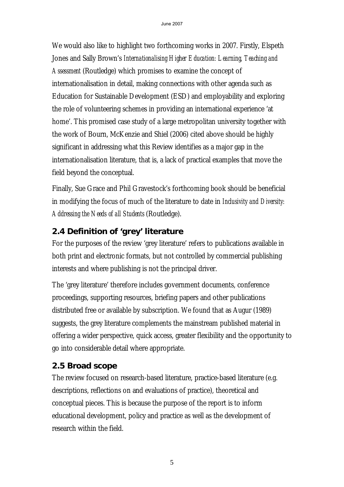We would also like to highlight two forthcoming works in 2007. Firstly, Elspeth Jones and Sally Brown's *Internationalising Higher Education: Learning, Teaching and Assessment* (Routledge) which promises to examine the concept of internationalisation in detail, making connections with other agenda such as Education for Sustainable Development (ESD) and employability and exploring the role of volunteering schemes in providing an international experience 'at home'. This promised case study of a large metropolitan university together with the work of Bourn, McKenzie and Shiel (2006) cited above should be highly significant in addressing what this Review identifies as a major gap in the internationalisation literature, that is, a lack of practical examples that move the field beyond the conceptual.

Finally, Sue Grace and Phil Gravestock's forthcoming book should be beneficial in modifying the focus of much of the literature to date in *Inclusivity and Diversity: Addressing the Needs of all Students* (Routledge).

# **2.4 Definition of 'grey' literature**

For the purposes of the review 'grey literature' refers to publications available in both print and electronic formats, but not controlled by commercial publishing interests and where publishing is not the principal driver.

The 'grey literature' therefore includes government documents, conference proceedings, supporting resources, briefing papers and other publications distributed free or available by subscription. We found that as Augur (1989) suggests, the grey literature complements the mainstream published material in offering a wider perspective, quick access, greater flexibility and the opportunity to go into considerable detail where appropriate.

# **2.5 Broad scope**

The review focused on research-based literature, practice-based literature (e.g. descriptions, reflections on and evaluations of practice), theoretical and conceptual pieces. This is because the purpose of the report is to inform educational development, policy and practice as well as the development of research within the field.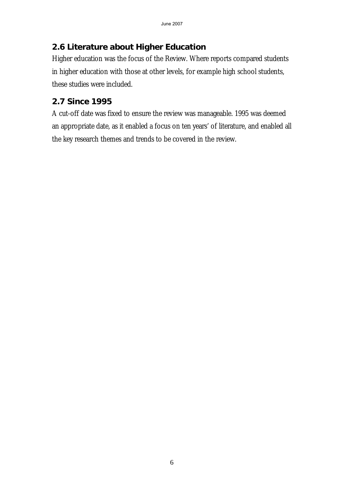# **2.6 Literature about Higher Education**

Higher education was the focus of the Review. Where reports compared students in higher education with those at other levels, for example high school students, these studies were included.

# **2.7 Since 1995**

A cut-off date was fixed to ensure the review was manageable. 1995 was deemed an appropriate date, as it enabled a focus on ten years' of literature, and enabled all the key research themes and trends to be covered in the review.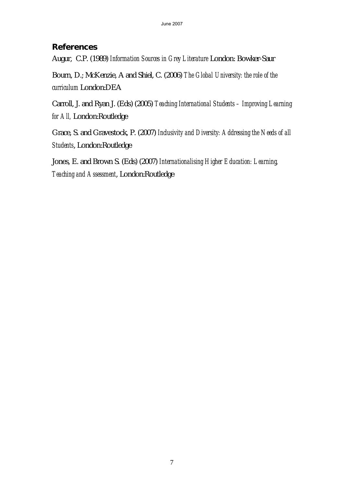# **References**

Augur, C.P. (1989) *Information Sources in Grey Literature* London: Bowker-Saur

Bourn, D.; McKenzie, A and Shiel, C. (2006) *The Global University: the role of the curriculum* London:DEA

Carroll, J. and Ryan J. (Eds) (2005) *Teaching International Students – Improving Learning for All,* London:Routledge

Grace, S. and Gravestock, P. (2007) *Inclusivity and Diversity: Addressing the Needs of all Students*, London:Routledge

Jones, E. and Brown S. (Eds) (2007) *Internationalising Higher Education: Learning, Teaching and Assessment*, London:Routledge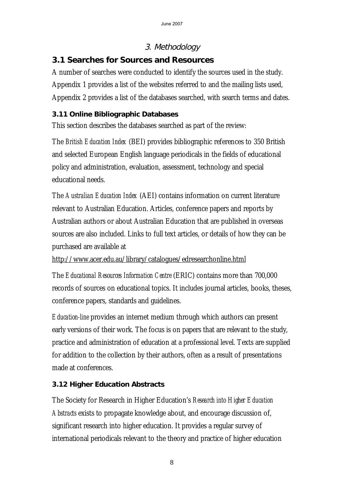# 3. Methodology

# **3.1 Searches for Sources and Resources**

A number of searches were conducted to identify the sources used in the study. Appendix 1 provides a list of the websites referred to and the mailing lists used, Appendix 2 provides a list of the databases searched, with search terms and dates.

# **3.11 Online Bibliographic Databases**

This section describes the databases searched as part of the review:

The *British Education Index* (BEI) provides bibliographic references to 350 British and selected European English language periodicals in the fields of educational policy and administration, evaluation, assessment, technology and special educational needs.

The *Australian Education Index* (AEI) contains information on current literature relevant to Australian Education. Articles, conference papers and reports by Australian authors or about Australian Education that are published in overseas sources are also included. Links to full text articles, or details of how they can be purchased are available at

http://www.acer.edu.au/library/catalogues/edresearchonline.html

The *Educational Resources Information Centre* (ERIC) contains more than 700,000 records of sources on educational topics. It includes journal articles, books, theses, conference papers, standards and guidelines.

*Education-line* provides an internet medium through which authors can present early versions of their work. The focus is on papers that are relevant to the study, practice and administration of education at a professional level. Texts are supplied for addition to the collection by their authors, often as a result of presentations made at conferences.

# **3.12 Higher Education Abstracts**

The Society for Research in Higher Education's *Research into Higher Education Abstracts* exists to propagate knowledge about, and encourage discussion of, significant research into higher education. It provides a regular survey of international periodicals relevant to the theory and practice of higher education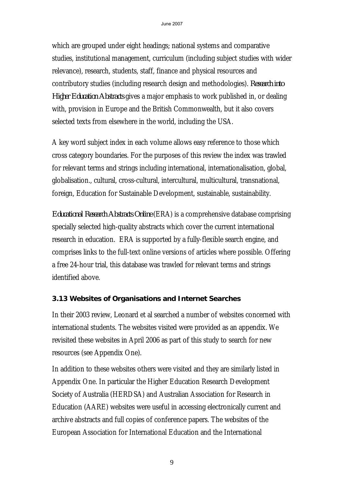which are grouped under eight headings; national systems and comparative studies, institutional management, curriculum (including subject studies with wider relevance), research, students, staff, finance and physical resources and contributory studies (including research design and methodologies). *Research into Higher Education Abstracts* gives a major emphasis to work published in, or dealing with, provision in Europe and the British Commonwealth, but it also covers selected texts from elsewhere in the world, including the USA.

A key word subject index in each volume allows easy reference to those which cross category boundaries. For the purposes of this review the index was trawled for relevant terms and strings including international, internationalisation, global, globalisation., cultural, cross-cultural, intercultural, multicultural, transnational, foreign, Education for Sustainable Development, sustainable, sustainability.

*Educational Research Abstracts Online* (ERA) is a comprehensive database comprising specially selected high-quality abstracts which cover the current international research in education. ERA is supported by a fully-flexible search engine, and comprises links to the full-text online versions of articles where possible. Offering a free 24-hour trial, this database was trawled for relevant terms and strings identified above.

# **3.13 Websites of Organisations and Internet Searches**

In their 2003 review, Leonard et al searched a number of websites concerned with international students. The websites visited were provided as an appendix. We revisited these websites in April 2006 as part of this study to search for new resources (see Appendix One).

In addition to these websites others were visited and they are similarly listed in Appendix One. In particular the Higher Education Research Development Society of Australia (HERDSA) and Australian Association for Research in Education (AARE) websites were useful in accessing electronically current and archive abstracts and full copies of conference papers. The websites of the European Association for International Education and the International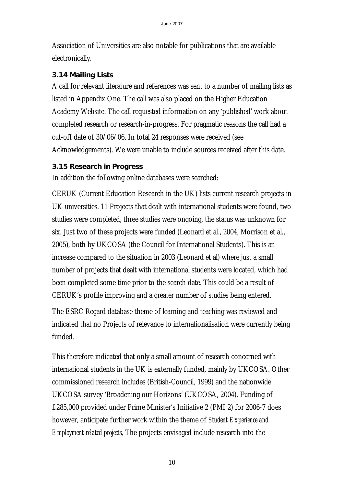Association of Universities are also notable for publications that are available electronically.

### **3.14 Mailing Lists**

A call for relevant literature and references was sent to a number of mailing lists as listed in Appendix One. The call was also placed on the Higher Education Academy Website. The call requested information on any 'published' work about completed research or research-in-progress. For pragmatic reasons the call had a cut-off date of 30/06/06. In total 24 responses were received (see Acknowledgements). We were unable to include sources received after this date.

### **3.15 Research in Progress**

In addition the following online databases were searched:

CERUK (Current Education Research in the UK) lists current research projects in UK universities. 11 Projects that dealt with international students were found, two studies were completed, three studies were ongoing, the status was unknown for six. Just two of these projects were funded (Leonard et al., 2004, Morrison et al., 2005), both by UKCOSA (the Council for International Students). This is an increase compared to the situation in 2003 (Leonard et al) where just a small number of projects that dealt with international students were located, which had been completed some time prior to the search date. This could be a result of CERUK's profile improving and a greater number of studies being entered.

The ESRC Regard database theme of learning and teaching was reviewed and indicated that no Projects of relevance to internationalisation were currently being funded.

This therefore indicated that only a small amount of research concerned with international students in the UK is externally funded, mainly by UKCOSA. Other commissioned research includes (British-Council, 1999) and the nationwide UKCOSA survey 'Broadening our Horizons' (UKCOSA, 2004). Funding of £285,000 provided under Prime Minister's Initiative 2 (PMI 2) for 2006-7 does however, anticipate further work within the theme of *Student Experience and Employment related projects,* The projects envisaged include research into the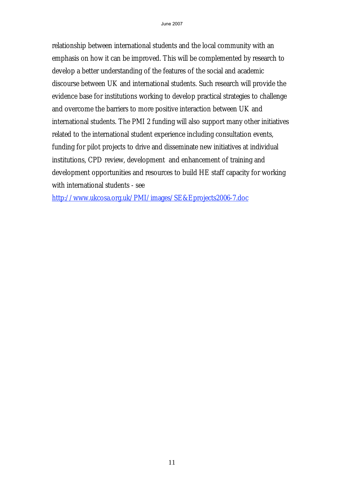relationship between international students and the local community with an emphasis on how it can be improved. This will be complemented by research to develop a better understanding of the features of the social and academic discourse between UK and international students. Such research will provide the evidence base for institutions working to develop practical strategies to challenge and overcome the barriers to more positive interaction between UK and international students. The PMI 2 funding will also support many other initiatives related to the international student experience including consultation events, funding for pilot projects to drive and disseminate new initiatives at individual institutions, CPD review, development and enhancement of training and development opportunities and resources to build HE staff capacity for working with international students - see

http://www.ukcosa.org.uk/PMI/images/SE&Eprojects2006-7.doc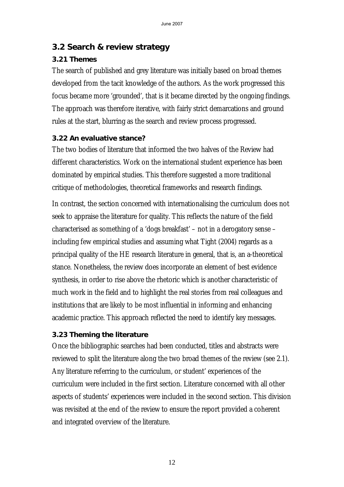# **3.2 Search & review strategy**

# **3.21 Themes**

The search of published and grey literature was initially based on broad themes developed from the tacit knowledge of the authors. As the work progressed this focus became more 'grounded', that is it became directed by the ongoing findings. The approach was therefore iterative, with fairly strict demarcations and ground rules at the start, blurring as the search and review process progressed.

### **3.22 An evaluative stance?**

The two bodies of literature that informed the two halves of the Review had different characteristics. Work on the international student experience has been dominated by empirical studies. This therefore suggested a more traditional critique of methodologies, theoretical frameworks and research findings.

In contrast, the section concerned with internationalising the curriculum does not seek to appraise the literature for quality. This reflects the nature of the field characterised as something of a 'dogs breakfast' – not in a derogatory sense – including few empirical studies and assuming what Tight (2004) regards as a principal quality of the HE research literature in general, that is, an a-theoretical stance. Nonetheless, the review does incorporate an element of best evidence synthesis, in order to rise above the rhetoric which is another characteristic of much work in the field and to highlight the real stories from real colleagues and institutions that are likely to be most influential in informing and enhancing academic practice. This approach reflected the need to identify key messages.

### **3.23 Theming the literature**

Once the bibliographic searches had been conducted, titles and abstracts were reviewed to split the literature along the two broad themes of the review (see 2.1). Any literature referring to the curriculum, or student' experiences of the curriculum were included in the first section. Literature concerned with all other aspects of students' experiences were included in the second section. This division was revisited at the end of the review to ensure the report provided a coherent and integrated overview of the literature.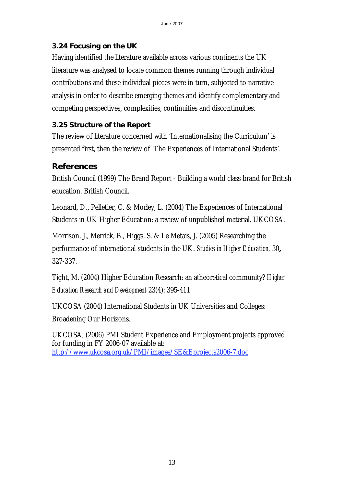# **3.24 Focusing on the UK**

Having identified the literature available across various continents the UK literature was analysed to locate common themes running through individual contributions and these individual pieces were in turn, subjected to narrative analysis in order to describe emerging themes and identify complementary and competing perspectives, complexities, continuities and discontinuities.

# **3.25 Structure of the Report**

The review of literature concerned with 'Internationalising the Curriculum' is presented first, then the review of 'The Experiences of International Students'.

# **References**

British Council (1999) The Brand Report - Building a world class brand for British education. British Council.

Leonard, D., Pelletier, C. & Morley, L. (2004) The Experiences of International Students in UK Higher Education: a review of unpublished material. UKCOSA.

Morrison, J., Merrick, B., Higgs, S. & Le Metais, J. (2005) Researching the performance of international students in the UK. *Studies in Higher Education,* 30**,** 327-337.

Tight, M. (2004) Higher Education Research: an atheoretical community? *Higher Education Research and Development* 23(4): 395-411

UKCOSA (2004) International Students in UK Universities and Colleges: Broadening Our Horizons.

UKCOSA, (2006) PMI Student Experience and Employment projects approved for funding in FY 2006-07 available at: http://www.ukcosa.org.uk/PMI/images/SE&Eprojects2006-7.doc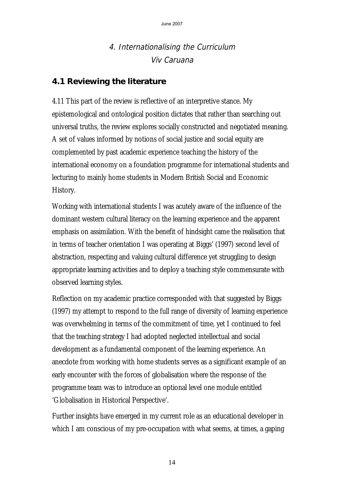# 4. Internationalising the Curriculum Viv Caruana

# **4.1 Reviewing the literature**

4.11 This part of the review is reflective of an interpretive stance. My epistemological and ontological position dictates that rather than searching out universal truths, the review explores socially constructed and negotiated meaning. A set of values informed by notions of social justice and social equity are complemented by past academic experience teaching the history of the international economy on a foundation programme for international students and lecturing to mainly home students in Modern British Social and Economic History.

Working with international students I was acutely aware of the influence of the dominant western cultural literacy on the learning experience and the apparent emphasis on assimilation. With the benefit of hindsight came the realisation that in terms of teacher orientation I was operating at Biggs' (1997) second level of abstraction, respecting and valuing cultural difference yet struggling to design appropriate learning activities and to deploy a teaching style commensurate with observed learning styles.

Reflection on my academic practice corresponded with that suggested by Biggs (1997) my attempt to respond to the full range of diversity of learning experience was overwhelming in terms of the commitment of time, yet I continued to feel that the teaching strategy I had adopted neglected intellectual and social development as a fundamental component of the learning experience. An anecdote from working with home students serves as a significant example of an early encounter with the forces of globalisation where the response of the programme team was to introduce an optional level one module entitled 'Globalisation in Historical Perspective'.

Further insights have emerged in my current role as an educational developer in which I am conscious of my pre-occupation with what seems, at times, a gaping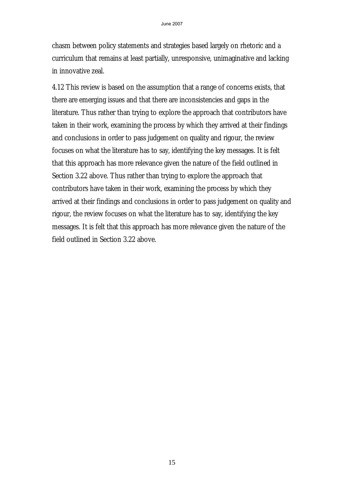chasm between policy statements and strategies based largely on rhetoric and a curriculum that remains at least partially, unresponsive, unimaginative and lacking in innovative zeal.

4.12 This review is based on the assumption that a range of concerns exists, that there are emerging issues and that there are inconsistencies and gaps in the literature. Thus rather than trying to explore the approach that contributors have taken in their work, examining the process by which they arrived at their findings and conclusions in order to pass judgement on quality and rigour, the review focuses on what the literature has to say, identifying the key messages. It is felt that this approach has more relevance given the nature of the field outlined in Section 3.22 above. Thus rather than trying to explore the approach that contributors have taken in their work, examining the process by which they arrived at their findings and conclusions in order to pass judgement on quality and rigour, the review focuses on what the literature has to say, identifying the key messages. It is felt that this approach has more relevance given the nature of the field outlined in Section 3.22 above.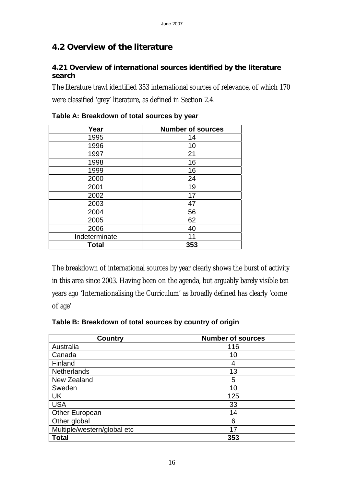# **4.2 Overview of the literature**

#### **4.21 Overview of international sources identified by the literature search**

The literature trawl identified 353 international sources of relevance, of which 170 were classified 'grey' literature, as defined in Section 2.4.

| Year          | <b>Number of sources</b> |
|---------------|--------------------------|
| 1995          | 14                       |
| 1996          | 10                       |
| 1997          | 21                       |
| 1998          | 16                       |
| 1999          | 16                       |
| 2000          | 24                       |
| 2001          | 19                       |
| 2002          | 17                       |
| 2003          | 47                       |
| 2004          | 56                       |
| 2005          | 62                       |
| 2006          | 40                       |
| Indeterminate | 11                       |
| <b>Total</b>  | 353                      |

### **Table A: Breakdown of total sources by year**

The breakdown of international sources by year clearly shows the burst of activity in this area since 2003. Having been on the agenda, but arguably barely visible ten years ago 'Internationalising the Curriculum' as broadly defined has clearly 'come of age'

### **Table B: Breakdown of total sources by country of origin**

| <b>Country</b>              | <b>Number of sources</b> |
|-----------------------------|--------------------------|
| Australia                   | 116                      |
| Canada                      | 10                       |
| Finland                     | 4                        |
| <b>Netherlands</b>          | 13                       |
| New Zealand                 | 5                        |
| Sweden                      | 10                       |
| UK                          | 125                      |
| <b>USA</b>                  | 33                       |
| Other European              | 14                       |
| Other global                | 6                        |
| Multiple/western/global etc | 17                       |
| Total                       | 353                      |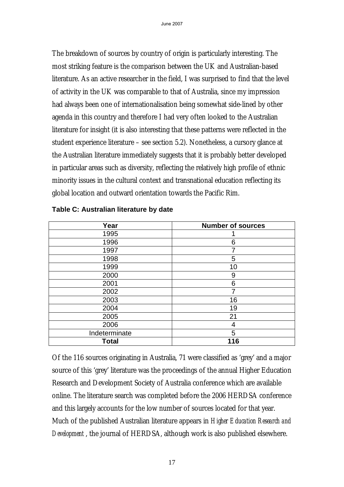The breakdown of sources by country of origin is particularly interesting. The most striking feature is the comparison between the UK and Australian-based literature. As an active researcher in the field, I was surprised to find that the level of activity in the UK was comparable to that of Australia, since my impression had always been one of internationalisation being somewhat side-lined by other agenda in this country and therefore I had very often looked to the Australian literature for insight (it is also interesting that these patterns were reflected in the student experience literature – see section 5.2). Nonetheless, a cursory glance at the Australian literature immediately suggests that it is probably better developed in particular areas such as diversity, reflecting the relatively high profile of ethnic minority issues in the cultural context and transnational education reflecting its global location and outward orientation towards the Pacific Rim.

| Year          | <b>Number of sources</b> |
|---------------|--------------------------|
| 1995          |                          |
| 1996          | 6                        |
| 1997          |                          |
| 1998          | 5                        |
| 1999          | 10                       |
| 2000          | 9                        |
| 2001          | 6                        |
| 2002          |                          |
| 2003          | 16                       |
| 2004          | 19                       |
| 2005          | 21                       |
| 2006          | 4                        |
| Indeterminate | 5                        |
| <b>Total</b>  | 116                      |

#### **Table C: Australian literature by date**

Of the 116 sources originating in Australia, 71 were classified as 'grey' and a major source of this 'grey' literature was the proceedings of the annual Higher Education Research and Development Society of Australia conference which are available online. The literature search was completed before the 2006 HERDSA conference and this largely accounts for the low number of sources located for that year. Much of the published Australian literature appears in *Higher Education Research and Development* , the journal of HERDSA, although work is also published elsewhere.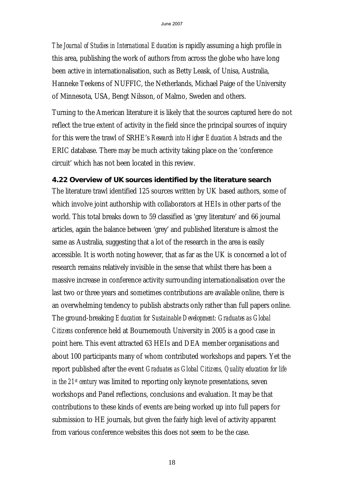*The Journal of Studies in International Education* is rapidly assuming a high profile in this area, publishing the work of authors from across the globe who have long been active in internationalisation, such as Betty Leask, of Unisa, Australia, Hanneke Teekens of NUFFIC, the Netherlands, Michael Paige of the University of Minnesota, USA, Bengt Nilsson, of Malmo, Sweden and others.

Turning to the American literature it is likely that the sources captured here do not reflect the true extent of activity in the field since the principal sources of inquiry for this were the trawl of SRHE's *Research into Higher Education Abstracts* and the ERIC database. There may be much activity taking place on the 'conference circuit' which has not been located in this review.

### **4.22 Overview of UK sources identified by the literature search**

The literature trawl identified 125 sources written by UK based authors, some of which involve joint authorship with collaborators at HEIs in other parts of the world. This total breaks down to 59 classified as 'grey literature' and 66 journal articles, again the balance between 'grey' and published literature is almost the same as Australia, suggesting that a lot of the research in the area is easily accessible. It is worth noting however, that as far as the UK is concerned a lot of research remains relatively invisible in the sense that whilst there has been a massive increase in conference activity surrounding internationalisation over the last two or three years and sometimes contributions are available online, there is an overwhelming tendency to publish abstracts only rather than full papers online. The ground-breaking *Education for Sustainable Development: Graduates as Global Citizens* conference held at Bournemouth University in 2005 is a good case in point here. This event attracted 63 HEIs and DEA member organisations and about 100 participants many of whom contributed workshops and papers. Yet the report published after the event *Graduates as Global Citizens, Quality education for life in the 21st century* was limited to reporting only keynote presentations, seven workshops and Panel reflections, conclusions and evaluation. It may be that contributions to these kinds of events are being worked up into full papers for submission to HE journals, but given the fairly high level of activity apparent from various conference websites this does not seem to be the case.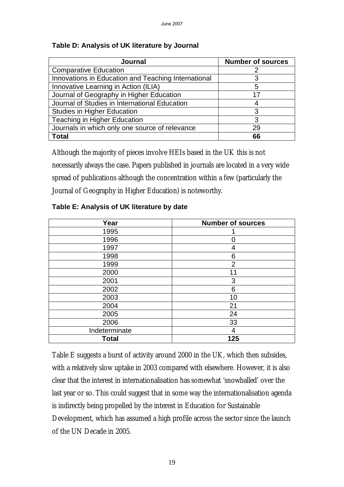| <b>Journal</b>                                      | <b>Number of sources</b> |
|-----------------------------------------------------|--------------------------|
| <b>Comparative Education</b>                        |                          |
| Innovations in Education and Teaching International | 3                        |
| Innovative Learning in Action (ILIA)                | 5                        |
| Journal of Geography in Higher Education            | 17                       |
| Journal of Studies in International Education       |                          |
| <b>Studies in Higher Education</b>                  | 3                        |
| <b>Teaching in Higher Education</b>                 | 3                        |
| Journals in which only one source of relevance      | 29                       |
| <b>Total</b>                                        | 66                       |

#### **Table D: Analysis of UK literature by Journal**

Although the majority of pieces involve HEIs based in the UK this is not necessarily always the case. Papers published in journals are located in a very wide spread of publications although the concentration within a few (particularly the Journal of Geography in Higher Education) is noteworthy.

| Year          | <b>Number of sources</b> |
|---------------|--------------------------|
| 1995          |                          |
| 1996          | 0                        |
| 1997          | 4                        |
| 1998          | 6                        |
| 1999          | $\overline{2}$           |
| 2000          | 11                       |
| 2001          | 3                        |
| 2002          | 6                        |
| 2003          | 10                       |
| 2004          | 21                       |
| 2005          | 24                       |
| 2006          | 33                       |
| Indeterminate | 4                        |
| <b>Total</b>  | 125                      |

#### **Table E: Analysis of UK literature by date**

Table E suggests a burst of activity around 2000 in the UK, which then subsides, with a relatively slow uptake in 2003 compared with elsewhere. However, it is also clear that the interest in internationalisation has somewhat 'snowballed' over the last year or so. This could suggest that in some way the internationalisation agenda is indirectly being propelled by the interest in Education for Sustainable Development, which has assumed a high profile across the sector since the launch of the UN Decade in 2005.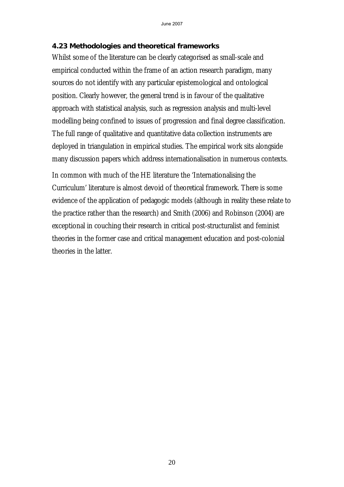#### **4.23 Methodologies and theoretical frameworks**

Whilst some of the literature can be clearly categorised as small-scale and empirical conducted within the frame of an action research paradigm, many sources do not identify with any particular epistemological and ontological position. Clearly however, the general trend is in favour of the qualitative approach with statistical analysis, such as regression analysis and multi-level modelling being confined to issues of progression and final degree classification. The full range of qualitative and quantitative data collection instruments are deployed in triangulation in empirical studies. The empirical work sits alongside many discussion papers which address internationalisation in numerous contexts.

In common with much of the HE literature the 'Internationalising the Curriculum' literature is almost devoid of theoretical framework. There is some evidence of the application of pedagogic models (although in reality these relate to the practice rather than the research) and Smith (2006) and Robinson (2004) are exceptional in couching their research in critical post-structuralist and feminist theories in the former case and critical management education and post-colonial theories in the latter.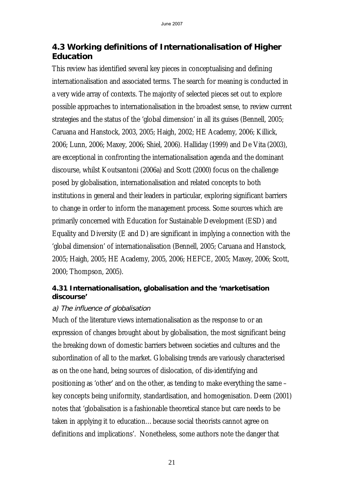# **4.3 Working definitions of Internationalisation of Higher Education**

This review has identified several key pieces in conceptualising and defining internationalisation and associated terms. The search for meaning is conducted in a very wide array of contexts. The majority of selected pieces set out to explore possible approaches to internationalisation in the broadest sense, to review current strategies and the status of the 'global dimension' in all its guises (Bennell, 2005; Caruana and Hanstock, 2003, 2005; Haigh, 2002; HE Academy, 2006; Killick, 2006; Lunn, 2006; Maxey, 2006; Shiel, 2006). Halliday (1999) and De Vita (2003), are exceptional in confronting the internationalisation agenda and the dominant discourse, whilst Koutsantoni (2006a) and Scott (2000) focus on the challenge posed by globalisation, internationalisation and related concepts to both institutions in general and their leaders in particular, exploring significant barriers to change in order to inform the management process. Some sources which are primarily concerned with Education for Sustainable Development (ESD) and Equality and Diversity (E and D) are significant in implying a connection with the 'global dimension' of internationalisation (Bennell, 2005; Caruana and Hanstock, 2005; Haigh, 2005; HE Academy, 2005, 2006; HEFCE, 2005; Maxey, 2006; Scott, 2000; Thompson, 2005).

### **4.31 Internationalisation, globalisation and the 'marketisation discourse'**

### a) The influence of globalisation

Much of the literature views internationalisation as the response to or an expression of changes brought about by globalisation, the most significant being the breaking down of domestic barriers between societies and cultures and the subordination of all to the market. Globalising trends are variously characterised as on the one hand, being sources of dislocation, of dis-identifying and positioning as 'other' and on the other, as tending to make everything the same – key concepts being uniformity, standardisation, and homogenisation. Deem (2001) notes that 'globalisation is a fashionable theoretical stance but care needs to be taken in applying it to education…because social theorists cannot agree on definitions and implications'. Nonetheless, some authors note the danger that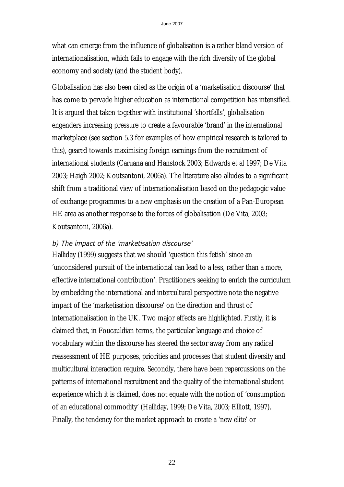what can emerge from the influence of globalisation is a rather bland version of internationalisation, which fails to engage with the rich diversity of the global economy and society (and the student body).

Globalisation has also been cited as the origin of a 'marketisation discourse' that has come to pervade higher education as international competition has intensified. It is argued that taken together with institutional 'shortfalls', globalisation engenders increasing pressure to create a favourable 'brand' in the international marketplace (see section 5.3 for examples of how empirical research is tailored to this), geared towards maximising foreign earnings from the recruitment of international students (Caruana and Hanstock 2003; Edwards et al 1997; De Vita 2003; Haigh 2002; Koutsantoni, 2006a). The literature also alludes to a significant shift from a traditional view of internationalisation based on the pedagogic value of exchange programmes to a new emphasis on the creation of a Pan-European HE area as another response to the forces of globalisation (De Vita, 2003; Koutsantoni, 2006a).

#### b) The impact of the 'marketisation discourse'

Halliday (1999) suggests that we should 'question this fetish' since an 'unconsidered pursuit of the international can lead to a less, rather than a more, effective international contribution'. Practitioners seeking to enrich the curriculum by embedding the international and intercultural perspective note the negative impact of the 'marketisation discourse' on the direction and thrust of internationalisation in the UK. Two major effects are highlighted. Firstly, it is claimed that, in Foucauldian terms, the particular language and choice of vocabulary within the discourse has steered the sector away from any radical reassessment of HE purposes, priorities and processes that student diversity and multicultural interaction require. Secondly, there have been repercussions on the patterns of international recruitment and the quality of the international student experience which it is claimed, does not equate with the notion of 'consumption of an educational commodity' (Halliday, 1999; De Vita, 2003; Elliott, 1997). Finally, the tendency for the market approach to create a 'new elite' or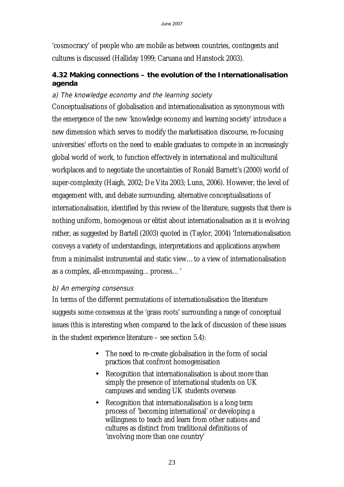'cosmocracy' of people who are mobile as between countries, contingents and cultures is discussed (Halliday 1999; Caruana and Hanstock 2003).

### **4.32 Making connections – the evolution of the Internationalisation agenda**

### a) The knowledge economy and the learning society

Conceptualisations of globalisation and internationalisation as synonymous with the emergence of the new 'knowledge economy and learning society' introduce a new dimension which serves to modify the marketisation discourse, re-focusing universities' efforts on the need to enable graduates to compete in an increasingly global world of work, to function effectively in international and multicultural workplaces and to negotiate the uncertainties of Ronald Barnett's (2000) world of super-complexity (Haigh, 2002; De Vita 2003; Lunn, 2006). However, the level of engagement with, and debate surrounding, alternative conceptualisations of internationalisation, identified by this review of the literature, suggests that there is nothing uniform, homogenous or elitist about internationalisation as it is evolving rather, as suggested by Bartell (2003) quoted in (Taylor, 2004) 'Internationalisation conveys a variety of understandings, interpretations and applications anywhere from a minimalist instrumental and static view…to a view of internationalisation as a complex, all-encompassing…process…'

### b) An emerging consensus

In terms of the different permutations of internationalisation the literature suggests some consensus at the 'grass roots' surrounding a range of conceptual issues (this is interesting when compared to the lack of discussion of these issues in the student experience literature – see section 5.4):

- The need to re-create globalisation in the form of social practices that confront homogenisation
- Recognition that internationalisation is about more than simply the presence of international students on UK campuses and sending UK students overseas
- Recognition that internationalisation is a long term process of 'becoming international' or developing a willingness to teach and learn from other nations and cultures as distinct from traditional definitions of 'involving more than one country'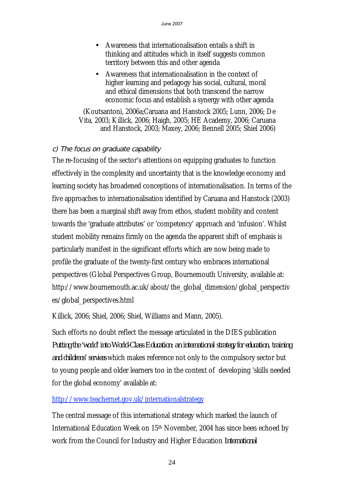- Awareness that internationalisation entails a shift in thinking and attitudes which in itself suggests common territory between this and other agenda
- Awareness that internationalisation in the context of higher learning and pedagogy has social, cultural, moral and ethical dimensions that both transcend the narrow economic focus and establish a synergy with other agenda

(Koutsantoni, 2006a;Caruana and Hanstock 2005; Lunn, 2006; De Vita, 2003; Killick, 2006; Haigh, 2005; HE Academy, 2006; Caruana and Hanstock, 2003; Maxey, 2006; Bennell 2005; Shiel 2006)

# c) The focus on graduate capability

The re-focusing of the sector's attentions on equipping graduates to function effectively in the complexity and uncertainty that is the knowledge economy and learning society has broadened conceptions of internationalisation. In terms of the five approaches to internationalisation identified by Caruana and Hanstock (2003) there has been a marginal shift away from ethos, student mobility and content towards the 'graduate attributes' or 'competency' approach and 'infusion'. Whilst student mobility remains firmly on the agenda the apparent shift of emphasis is particularly manifest in the significant efforts which are now being made to profile the graduate of the twenty-first century who embraces international perspectives (Global Perspectives Group, Bournemouth University, available at: http://www.bournemouth.ac.uk/about/the\_global\_dimension/global\_perspectiv es/global\_perspectives.html

Killick, 2006; Shiel, 2006; Shiel, Williams and Mann, 2005).

Such efforts no doubt reflect the message articulated in the DfES publication *Putting the 'world' into World-Class Education: an international strategy for education, training and childrens' services* which makes reference not only to the compulsory sector but to young people and older learners too in the context of developing 'skills needed for the global economy' available at:

# http://www.teachernet.gov.uk/internationalstrategy

The central message of this international strategy which marked the launch of International Education Week on 15th November, 2004 has since been echoed by work from the Council for Industry and Higher Education *International*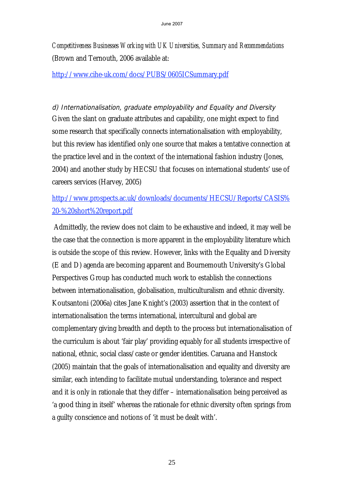*Competitiveness Businesses Working with UK Universities, Summary and Recommendations*  (Brown and Ternouth, 2006 available at:

http://www.cihe-uk.com/docs/PUBS/0605ICSummary.pdf

d) Internationalisation, graduate employability and Equality and Diversity Given the slant on graduate attributes and capability, one might expect to find some research that specifically connects internationalisation with employability, but this review has identified only one source that makes a tentative connection at the practice level and in the context of the international fashion industry (Jones, 2004) and another study by HECSU that focuses on international students' use of careers services (Harvey, 2005)

# http://www.prospects.ac.uk/downloads/documents/HECSU/Reports/CASIS% 20-%20short%20report.pdf

 Admittedly, the review does not claim to be exhaustive and indeed, it may well be the case that the connection is more apparent in the employability literature which is outside the scope of this review. However, links with the Equality and Diversity (E and D) agenda are becoming apparent and Bournemouth University's Global Perspectives Group has conducted much work to establish the connections between internationalisation, globalisation, multiculturalism and ethnic diversity. Koutsantoni (2006a) cites Jane Knight's (2003) assertion that in the context of internationalisation the terms international, intercultural and global are complementary giving breadth and depth to the process but internationalisation of the curriculum is about 'fair play' providing equably for all students irrespective of national, ethnic, social class/caste or gender identities. Caruana and Hanstock (2005) maintain that the goals of internationalisation and equality and diversity are similar, each intending to facilitate mutual understanding, tolerance and respect and it is only in rationale that they differ – internationalisation being perceived as 'a good thing in itself' whereas the rationale for ethnic diversity often springs from a guilty conscience and notions of 'it must be dealt with'.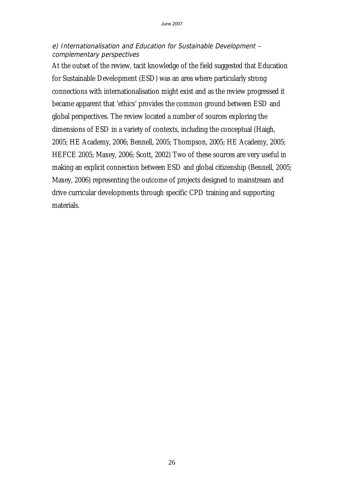#### e) Internationalisation and Education for Sustainable Development – complementary perspectives

At the outset of the review, tacit knowledge of the field suggested that Education for Sustainable Development (ESD) was an area where particularly strong connections with internationalisation might exist and as the review progressed it became apparent that 'ethics' provides the common ground between ESD and global perspectives. The review located a number of sources exploring the dimensions of ESD in a variety of contexts, including the conceptual (Haigh, 2005; HE Academy, 2006; Bennell, 2005; Thompson, 2005; HE Academy, 2005; HEFCE 2005; Maxey, 2006; Scott, 2002) Two of these sources are very useful in making an explicit connection between ESD and global citizenship (Bennell, 2005; Maxey, 2006) representing the outcome of projects designed to mainstream and drive curricular developments through specific CPD training and supporting materials.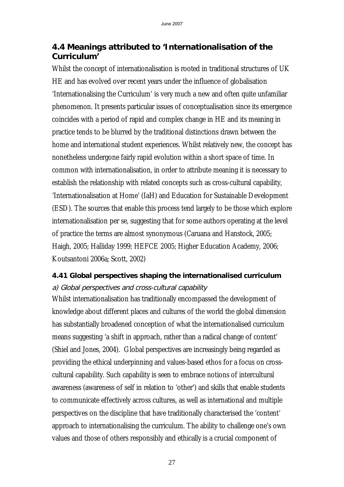# **4.4 Meanings attributed to 'Internationalisation of the Curriculum'**

Whilst the concept of internationalisation is rooted in traditional structures of UK HE and has evolved over recent years under the influence of globalisation 'Internationalising the Curriculum' is very much a new and often quite unfamiliar phenomenon. It presents particular issues of conceptualisation since its emergence coincides with a period of rapid and complex change in HE and its meaning in practice tends to be blurred by the traditional distinctions drawn between the home and international student experiences. Whilst relatively new, the concept has nonetheless undergone fairly rapid evolution within a short space of time. In common with internationalisation, in order to attribute meaning it is necessary to establish the relationship with related concepts such as cross-cultural capability, 'Internationalisation at Home' (IaH) and Education for Sustainable Development (ESD). The sources that enable this process tend largely to be those which explore internationalisation per se, suggesting that for some authors operating at the level of practice the terms are almost synonymous (Caruana and Hanstock, 2005; Haigh, 2005; Halliday 1999; HEFCE 2005; Higher Education Academy, 2006; Koutsantoni 2006a; Scott, 2002)

# **4.41 Global perspectives shaping the internationalised curriculum**  a) Global perspectives and cross-cultural capability

Whilst internationalisation has traditionally encompassed the development of knowledge about different places and cultures of the world the global dimension has substantially broadened conception of what the internationalised curriculum means suggesting 'a shift in approach, rather than a radical change of content' (Shiel and Jones, 2004). Global perspectives are increasingly being regarded as providing the ethical underpinning and values-based ethos for a focus on crosscultural capability. Such capability is seen to embrace notions of intercultural awareness (awareness of self in relation to 'other') and skills that enable students to communicate effectively across cultures, as well as international and multiple perspectives on the discipline that have traditionally characterised the 'content' approach to internationalising the curriculum. The ability to challenge one's own values and those of others responsibly and ethically is a crucial component of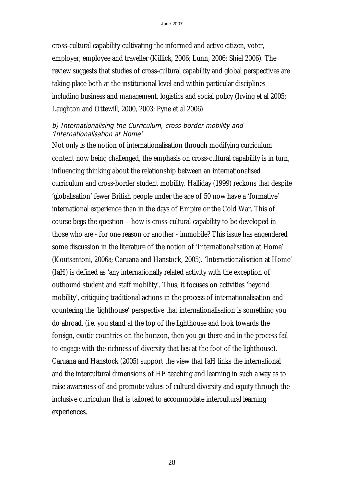cross-cultural capability cultivating the informed and active citizen, voter, employer, employee and traveller (Killick, 2006; Lunn, 2006; Shiel 2006). The review suggests that studies of cross-cultural capability and global perspectives are taking place both at the institutional level and within particular disciplines including business and management, logistics and social policy (Irving et al 2005; Laughton and Ottewill, 2000, 2003; Pyne et al 2006)

#### b) Internationalising the Curriculum, cross-border mobility and 'Internationalisation at Home'

Not only is the notion of internationalisation through modifying curriculum content now being challenged, the emphasis on cross-cultural capability is in turn, influencing thinking about the relationship between an internationalised curriculum and cross-border student mobility. Halliday (1999) reckons that despite 'globalisation' fewer British people under the age of 50 now have a 'formative' international experience than in the days of Empire or the Cold War. This of course begs the question – how is cross-cultural capability to be developed in those who are - for one reason or another - immobile? This issue has engendered some discussion in the literature of the notion of 'Internationalisation at Home' (Koutsantoni, 2006a; Caruana and Hanstock, 2005). 'Internationalisation at Home' (IaH) is defined as 'any internationally related activity with the exception of outbound student and staff mobility'. Thus, it focuses on activities 'beyond mobility', critiquing traditional actions in the process of internationalisation and countering the 'lighthouse' perspective that internationalisation is something you do abroad, (i.e. you stand at the top of the lighthouse and look towards the foreign, exotic countries on the horizon, then you go there and in the process fail to engage with the richness of diversity that lies at the foot of the lighthouse). Caruana and Hanstock (2005) support the view that IaH links the international and the intercultural dimensions of HE teaching and learning in such a way as to raise awareness of and promote values of cultural diversity and equity through the inclusive curriculum that is tailored to accommodate intercultural learning experiences.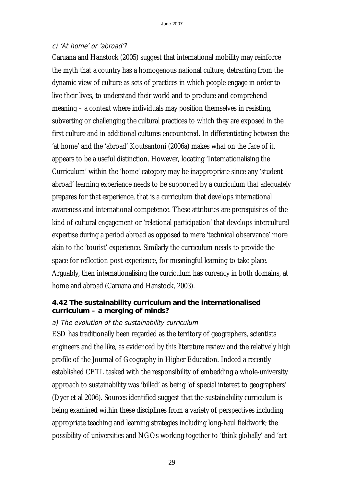### c) 'At home' or 'abroad'?

Caruana and Hanstock (2005) suggest that international mobility may reinforce the myth that a country has a homogenous national culture, detracting from the dynamic view of culture as sets of practices in which people engage in order to live their lives, to understand their world and to produce and comprehend meaning – a context where individuals may position themselves in resisting, subverting or challenging the cultural practices to which they are exposed in the first culture and in additional cultures encountered. In differentiating between the 'at home' and the 'abroad' Koutsantoni (2006a) makes what on the face of it, appears to be a useful distinction. However, locating 'Internationalising the Curriculum' within the 'home' category may be inappropriate since any 'student abroad' learning experience needs to be supported by a curriculum that adequately prepares for that experience, that is a curriculum that develops international awareness and international competence. These attributes are prerequisites of the kind of cultural engagement or 'relational participation' that develops intercultural expertise during a period abroad as opposed to mere 'technical observance' more akin to the 'tourist' experience. Similarly the curriculum needs to provide the space for reflection post-experience, for meaningful learning to take place. Arguably, then internationalising the curriculum has currency in both domains, at home and abroad (Caruana and Hanstock, 2003).

#### **4.42 The sustainability curriculum and the internationalised curriculum – a merging of minds?**

### a) The evolution of the sustainability curriculum

ESD has traditionally been regarded as the territory of geographers, scientists engineers and the like, as evidenced by this literature review and the relatively high profile of the Journal of Geography in Higher Education. Indeed a recently established CETL tasked with the responsibility of embedding a whole-university approach to sustainability was 'billed' as being 'of special interest to geographers' (Dyer et al 2006). Sources identified suggest that the sustainability curriculum is being examined within these disciplines from a variety of perspectives including appropriate teaching and learning strategies including long-haul fieldwork; the possibility of universities and NGOs working together to 'think globally' and 'act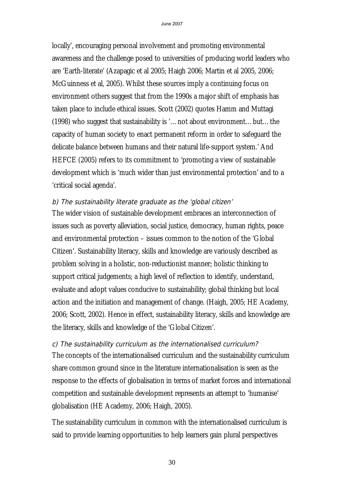locally', encouraging personal involvement and promoting environmental awareness and the challenge posed to universities of producing world leaders who are 'Earth-literate' (Azapagic et al 2005; Haigh 2006; Martin et al 2005, 2006; McGuinness et al, 2005). Whilst these sources imply a continuing focus on environment others suggest that from the 1990s a major shift of emphasis has taken place to include ethical issues. Scott (2002) quotes Hamm and Muttagi (1998) who suggest that sustainability is '…not about environment…but…the capacity of human society to enact permanent reform in order to safeguard the delicate balance between humans and their natural life-support system.' And HEFCE (2005) refers to its commitment to 'promoting a view of sustainable development which is 'much wider than just environmental protection' and to a 'critical social agenda'.

#### b) The sustainability literate graduate as the 'global citizen'

The wider vision of sustainable development embraces an interconnection of issues such as poverty alleviation, social justice, democracy, human rights, peace and environmental protection – issues common to the notion of the 'Global Citizen'. Sustainability literacy, skills and knowledge are variously described as problem solving in a holistic, non-reductionist manner; holistic thinking to support critical judgements; a high level of reflection to identify, understand, evaluate and adopt values conducive to sustainability; global thinking but local action and the initiation and management of change. (Haigh, 2005; HE Academy, 2006; Scott, 2002). Hence in effect, sustainability literacy, skills and knowledge are the literacy, skills and knowledge of the 'Global Citizen'.

### c) The sustainability curriculum as the internationalised curriculum?

The concepts of the internationalised curriculum and the sustainability curriculum share common ground since in the literature internationalisation is seen as the response to the effects of globalisation in terms of market forces and international competition and sustainable development represents an attempt to 'humanise' globalisation (HE Academy, 2006; Haigh, 2005).

The sustainability curriculum in common with the internationalised curriculum is said to provide learning opportunities to help learners gain plural perspectives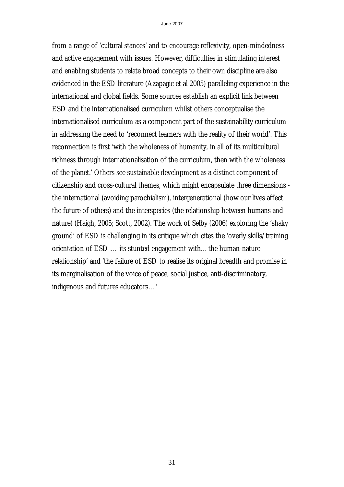from a range of 'cultural stances' and to encourage reflexivity, open-mindedness and active engagement with issues. However, difficulties in stimulating interest and enabling students to relate broad concepts to their own discipline are also evidenced in the ESD literature (Azapagic et al 2005) paralleling experience in the international and global fields. Some sources establish an explicit link between ESD and the internationalised curriculum whilst others conceptualise the internationalised curriculum as a component part of the sustainability curriculum in addressing the need to 'reconnect learners with the reality of their world'. This reconnection is first 'with the wholeness of humanity, in all of its multicultural richness through internationalisation of the curriculum, then with the wholeness of the planet.' Others see sustainable development as a distinct component of citizenship and cross-cultural themes, which might encapsulate three dimensions the international (avoiding parochialism), intergenerational (how our lives affect the future of others) and the interspecies (the relationship between humans and nature) (Haigh, 2005; Scott, 2002). The work of Selby (2006) exploring the 'shaky ground' of ESD is challenging in its critique which cites the 'overly skills/training orientation of ESD … its stunted engagement with…the human-nature relationship' and 'the failure of ESD to realise its original breadth and promise in its marginalisation of the voice of peace, social justice, anti-discriminatory, indigenous and futures educators…'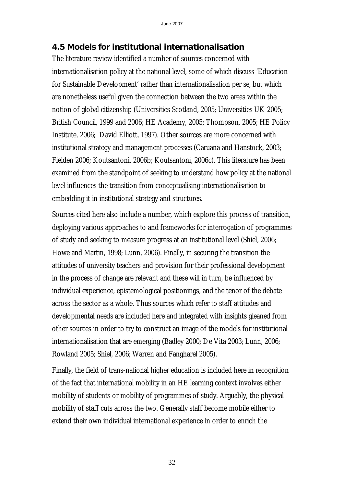# **4.5 Models for institutional internationalisation**

The literature review identified a number of sources concerned with internationalisation policy at the national level, some of which discuss 'Education for Sustainable Development' rather than internationalisation per se, but which are nonetheless useful given the connection between the two areas within the notion of global citizenship (Universities Scotland, 2005; Universities UK 2005; British Council, 1999 and 2006; HE Academy, 2005; Thompson, 2005; HE Policy Institute, 2006; David Elliott, 1997). Other sources are more concerned with institutional strategy and management processes (Caruana and Hanstock, 2003; Fielden 2006; Koutsantoni, 2006b; Koutsantoni, 2006c). This literature has been examined from the standpoint of seeking to understand how policy at the national level influences the transition from conceptualising internationalisation to embedding it in institutional strategy and structures.

Sources cited here also include a number, which explore this process of transition, deploying various approaches to and frameworks for interrogation of programmes of study and seeking to measure progress at an institutional level (Shiel, 2006; Howe and Martin, 1998; Lunn, 2006). Finally, in securing the transition the attitudes of university teachers and provision for their professional development in the process of change are relevant and these will in turn, be influenced by individual experience, epistemological positionings, and the tenor of the debate across the sector as a whole. Thus sources which refer to staff attitudes and developmental needs are included here and integrated with insights gleaned from other sources in order to try to construct an image of the models for institutional internationalisation that are emerging (Badley 2000; De Vita 2003; Lunn, 2006; Rowland 2005; Shiel, 2006; Warren and Fangharel 2005).

Finally, the field of trans-national higher education is included here in recognition of the fact that international mobility in an HE learning context involves either mobility of students or mobility of programmes of study. Arguably, the physical mobility of staff cuts across the two. Generally staff become mobile either to extend their own individual international experience in order to enrich the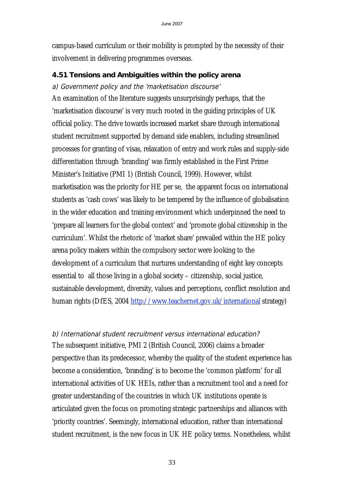campus-based curriculum or their mobility is prompted by the necessity of their involvement in delivering programmes overseas.

### **4.51 Tensions and Ambiguities within the policy arena**

### a) Government policy and the 'marketisation discourse'

An examination of the literature suggests unsurprisingly perhaps, that the 'marketisation discourse' is very much rooted in the guiding principles of UK official policy. The drive towards increased market share through international student recruitment supported by demand side enablers, including streamlined processes for granting of visas, relaxation of entry and work rules and supply-side differentiation through 'branding' was firmly established in the First Prime Minister's Initiative (PMI 1) (British Council, 1999). However, whilst marketisation was the priority for HE per se, the apparent focus on international students as 'cash cows' was likely to be tempered by the influence of globalisation in the wider education and training environment which underpinned the need to 'prepare all learners for the global context' and 'promote global citizenship in the curriculum'. Whilst the rhetoric of 'market share' prevailed within the HE policy arena policy makers within the compulsory sector were looking to the development of a curriculum that nurtures understanding of eight key concepts essential to all those living in a global society – citizenship, social justice, sustainable development, diversity, values and perceptions, conflict resolution and human rights (DfES, 2004 http://www.teachernet.gov.uk/international strategy)

# b) International student recruitment versus international education?

The subsequent initiative, PMI 2 (British Council, 2006) claims a broader perspective than its predecessor, whereby the quality of the student experience has become a consideration, 'branding' is to become the 'common platform' for all international activities of UK HEIs, rather than a recruitment tool and a need for greater understanding of the countries in which UK institutions operate is articulated given the focus on promoting strategic partnerships and alliances with 'priority countries'. Seemingly, international education, rather than international student recruitment, is the new focus in UK HE policy terms. Nonetheless, whilst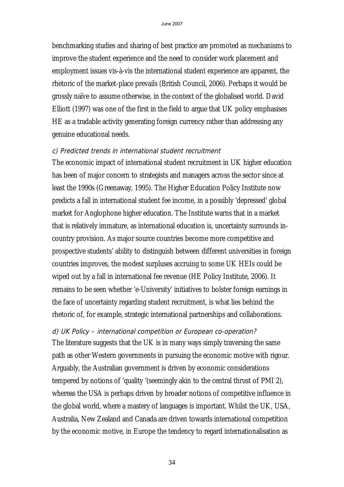benchmarking studies and sharing of best practice are promoted as mechanisms to improve the student experience and the need to consider work placement and employment issues vis-à-vis the international student experience are apparent, the rhetoric of the market-place prevails (British Council, 2006). Perhaps it would be grossly naïve to assume otherwise, in the context of the globalised world. David Elliott (1997) was one of the first in the field to argue that UK policy emphasises HE as a tradable activity generating foreign currency rather than addressing any genuine educational needs.

#### c) Predicted trends in international student recruitment

The economic impact of international student recruitment in UK higher education has been of major concern to strategists and managers across the sector since at least the 1990s (Greenaway, 1995). The Higher Education Policy Institute now predicts a fall in international student fee income, in a possibly 'depressed' global market for Anglophone higher education. The Institute warns that in a market that is relatively immature, as international education is, uncertainty surrounds incountry provision. As major source countries become more competitive and prospective students' ability to distinguish between different universities in foreign countries improves, the modest surpluses accruing to some UK HEIs could be wiped out by a fall in international fee revenue (HE Policy Institute, 2006). It remains to be seen whether 'e-University' initiatives to bolster foreign earnings in the face of uncertainty regarding student recruitment, is what lies behind the rhetoric of, for example, strategic international partnerships and collaborations.

d) UK Policy – international competition or European co-operation? The literature suggests that the UK is in many ways simply traversing the same path as other Western governments in pursuing the economic motive with rigour. Arguably, the Australian government is driven by economic considerations tempered by notions of 'quality '(seemingly akin to the central thrust of PMI 2), whereas the USA is perhaps driven by broader notions of competitive influence in the global world, where a mastery of languages is important. Whilst the UK, USA, Australia, New Zealand and Canada are driven towards international competition by the economic motive, in Europe the tendency to regard internationalisation as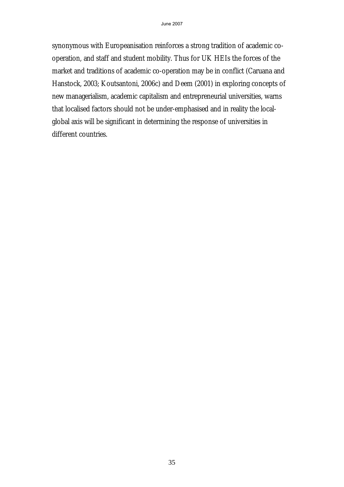synonymous with Europeanisation reinforces a strong tradition of academic cooperation, and staff and student mobility. Thus for UK HEIs the forces of the market and traditions of academic co-operation may be in conflict (Caruana and Hanstock, 2003; Koutsantoni, 2006c) and Deem (2001) in exploring concepts of new managerialism, academic capitalism and entrepreneurial universities, warns that localised factors should not be under-emphasised and in reality the localglobal axis will be significant in determining the response of universities in different countries.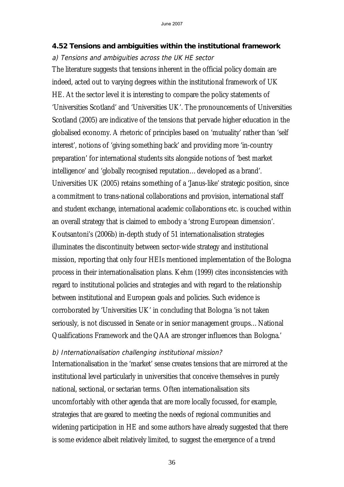### **4.52 Tensions and ambiguities within the institutional framework**

#### a) Tensions and ambiguities across the UK HE sector

The literature suggests that tensions inherent in the official policy domain are indeed, acted out to varying degrees within the institutional framework of UK HE. At the sector level it is interesting to compare the policy statements of 'Universities Scotland' and 'Universities UK'. The pronouncements of Universities Scotland (2005) are indicative of the tensions that pervade higher education in the globalised economy. A rhetoric of principles based on 'mutuality' rather than 'self interest', notions of 'giving something back' and providing more 'in-country preparation' for international students sits alongside notions of 'best market intelligence' and 'globally recognised reputation…developed as a brand'. Universities UK (2005) retains something of a 'Janus-like' strategic position, since a commitment to trans-national collaborations and provision, international staff and student exchange, international academic collaborations etc. is couched within an overall strategy that is claimed to embody a 'strong European dimension'. Koutsantoni's (2006b) in-depth study of 51 internationalisation strategies illuminates the discontinuity between sector-wide strategy and institutional mission, reporting that only four HEIs mentioned implementation of the Bologna process in their internationalisation plans. Kehm (1999) cites inconsistencies with regard to institutional policies and strategies and with regard to the relationship between institutional and European goals and policies. Such evidence is corroborated by 'Universities UK' in concluding that Bologna 'is not taken seriously, is not discussed in Senate or in senior management groups…National Qualifications Framework and the QAA are stronger influences than Bologna.'

### b) Internationalisation challenging institutional mission?

Internationalisation in the 'market' sense creates tensions that are mirrored at the institutional level particularly in universities that conceive themselves in purely national, sectional, or sectarian terms. Often internationalisation sits uncomfortably with other agenda that are more locally focussed, for example, strategies that are geared to meeting the needs of regional communities and widening participation in HE and some authors have already suggested that there is some evidence albeit relatively limited, to suggest the emergence of a trend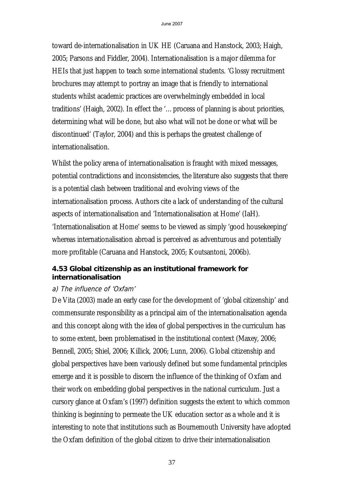toward de-internationalisation in UK HE (Caruana and Hanstock, 2003; Haigh, 2005; Parsons and Fiddler, 2004). Internationalisation is a major dilemma for HEIs that just happen to teach some international students. 'Glossy recruitment brochures may attempt to portray an image that is friendly to international students whilst academic practices are overwhelmingly embedded in local traditions' (Haigh, 2002). In effect the '…process of planning is about priorities, determining what will be done, but also what will not be done or what will be discontinued' (Taylor, 2004) and this is perhaps the greatest challenge of internationalisation.

Whilst the policy arena of internationalisation is fraught with mixed messages, potential contradictions and inconsistencies, the literature also suggests that there is a potential clash between traditional and evolving views of the internationalisation process. Authors cite a lack of understanding of the cultural aspects of internationalisation and 'Internationalisation at Home' (IaH). 'Internationalisation at Home' seems to be viewed as simply 'good housekeeping' whereas internationalisation abroad is perceived as adventurous and potentially more profitable (Caruana and Hanstock, 2005; Koutsantoni, 2006b).

## **4.53 Global citizenship as an institutional framework for internationalisation**

## a) The influence of 'Oxfam'

De Vita (2003) made an early case for the development of 'global citizenship' and commensurate responsibility as a principal aim of the internationalisation agenda and this concept along with the idea of global perspectives in the curriculum has to some extent, been problematised in the institutional context (Maxey, 2006; Bennell, 2005; Shiel, 2006; Killick, 2006; Lunn, 2006). Global citizenship and global perspectives have been variously defined but some fundamental principles emerge and it is possible to discern the influence of the thinking of Oxfam and their work on embedding global perspectives in the national curriculum. Just a cursory glance at Oxfam's (1997) definition suggests the extent to which common thinking is beginning to permeate the UK education sector as a whole and it is interesting to note that institutions such as Bournemouth University have adopted the Oxfam definition of the global citizen to drive their internationalisation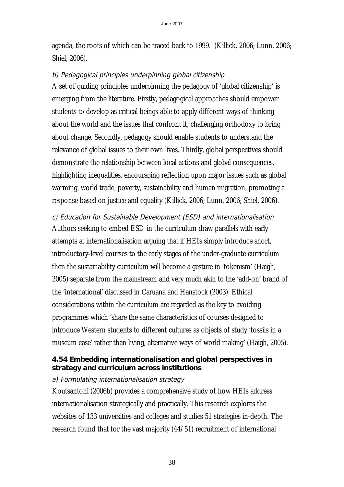agenda, the roots of which can be traced back to 1999. (Killick, 2006; Lunn, 2006; Shiel, 2006).

#### b) Pedagogical principles underpinning global citizenship

A set of guiding principles underpinning the pedagogy of 'global citizenship' is emerging from the literature. Firstly, pedagogical approaches should empower students to develop as critical beings able to apply different ways of thinking about the world and the issues that confront it, challenging orthodoxy to bring about change. Secondly, pedagogy should enable students to understand the relevance of global issues to their own lives. Thirdly, global perspectives should demonstrate the relationship between local actions and global consequences, highlighting inequalities, encouraging reflection upon major issues such as global warming, world trade, poverty, sustainability and human migration, promoting a response based on justice and equality (Killick, 2006; Lunn, 2006; Shiel, 2006).

# c) Education for Sustainable Development (ESD) and internationalisation

Authors seeking to embed ESD in the curriculum draw parallels with early attempts at internationalisation arguing that if HEIs simply introduce short, introductory-level courses to the early stages of the under-graduate curriculum then the sustainability curriculum will become a gesture in 'tokenism' (Haigh, 2005) separate from the mainstream and very much akin to the 'add-on' brand of the 'international' discussed in Caruana and Hanstock (2003). Ethical considerations within the curriculum are regarded as the key to avoiding programmes which 'share the same characteristics of courses designed to introduce Western students to different cultures as objects of study 'fossils in a museum case' rather than living, alternative ways of world making' (Haigh, 2005).

#### **4.54 Embedding internationalisation and global perspectives in strategy and curriculum across institutions**

#### a) Formulating internationalisation strategy

Koutsantoni (2006b) provides a comprehensive study of how HEIs address internationalisation strategically and practically. This research explores the websites of 133 universities and colleges and studies 51 strategies in-depth. The research found that for the vast majority (44/51) recruitment of international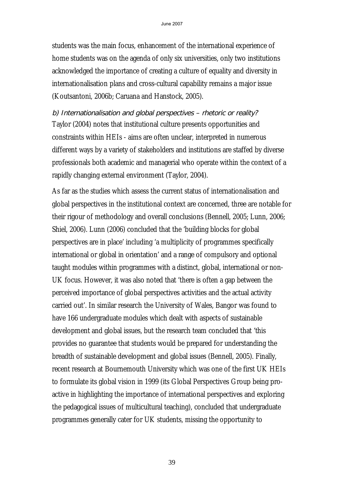students was the main focus, enhancement of the international experience of home students was on the agenda of only six universities, only two institutions acknowledged the importance of creating a culture of equality and diversity in internationalisation plans and cross-cultural capability remains a major issue (Koutsantoni, 2006b; Caruana and Hanstock, 2005).

b) Internationalisation and global perspectives – rhetoric or reality? Taylor (2004) notes that institutional culture presents opportunities and constraints within HEIs - aims are often unclear, interpreted in numerous different ways by a variety of stakeholders and institutions are staffed by diverse professionals both academic and managerial who operate within the context of a rapidly changing external environment (Taylor, 2004).

As far as the studies which assess the current status of internationalisation and global perspectives in the institutional context are concerned, three are notable for their rigour of methodology and overall conclusions (Bennell, 2005; Lunn, 2006; Shiel, 2006). Lunn (2006) concluded that the 'building blocks for global perspectives are in place' including 'a multiplicity of programmes specifically international or global in orientation' and a range of compulsory and optional taught modules within programmes with a distinct, global, international or non-UK focus. However, it was also noted that 'there is often a gap between the perceived importance of global perspectives activities and the actual activity carried out'. In similar research the University of Wales, Bangor was found to have 166 undergraduate modules which dealt with aspects of sustainable development and global issues, but the research team concluded that 'this provides no guarantee that students would be prepared for understanding the breadth of sustainable development and global issues (Bennell, 2005). Finally, recent research at Bournemouth University which was one of the first UK HEIs to formulate its global vision in 1999 (its Global Perspectives Group being proactive in highlighting the importance of international perspectives and exploring the pedagogical issues of multicultural teaching), concluded that undergraduate programmes generally cater for UK students, missing the opportunity to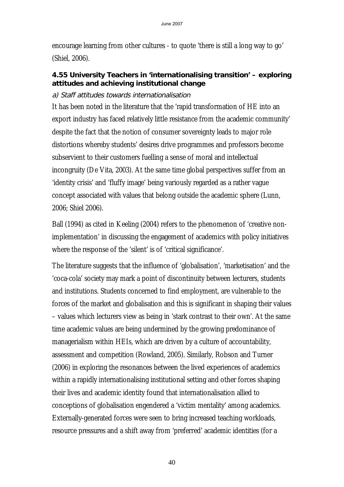encourage learning from other cultures - to quote 'there is still a long way to go' (Shiel, 2006).

## **4.55 University Teachers in 'internationalising transition' – exploring attitudes and achieving institutional change**

## a) Staff attitudes towards internationalisation

It has been noted in the literature that the 'rapid transformation of HE into an export industry has faced relatively little resistance from the academic community' despite the fact that the notion of consumer sovereignty leads to major role distortions whereby students' desires drive programmes and professors become subservient to their customers fuelling a sense of moral and intellectual incongruity (De Vita, 2003). At the same time global perspectives suffer from an 'identity crisis' and 'fluffy image' being variously regarded as a rather vague concept associated with values that belong outside the academic sphere (Lunn, 2006; Shiel 2006).

Ball (1994) as cited in Keeling (2004) refers to the phenomenon of 'creative nonimplementation' in discussing the engagement of academics with policy initiatives where the response of the 'silent' is of 'critical significance'.

The literature suggests that the influence of 'globalisation', 'marketisation' and the 'coca-cola' society may mark a point of discontinuity between lecturers, students and institutions. Students concerned to find employment, are vulnerable to the forces of the market and globalisation and this is significant in shaping their values – values which lecturers view as being in 'stark contrast to their own'. At the same time academic values are being undermined by the growing predominance of managerialism within HEIs, which are driven by a culture of accountability, assessment and competition (Rowland, 2005). Similarly, Robson and Turner (2006) in exploring the resonances between the lived experiences of academics within a rapidly internationalising institutional setting and other forces shaping their lives and academic identity found that internationalisation allied to conceptions of globalisation engendered a 'victim mentality' among academics. Externally-generated forces were seen to bring increased teaching workloads, resource pressures and a shift away from 'preferred' academic identities (for a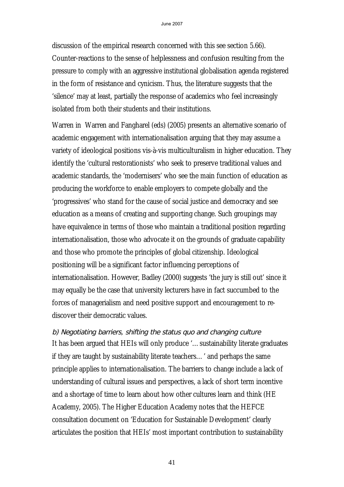discussion of the empirical research concerned with this see section 5.66). Counter-reactions to the sense of helplessness and confusion resulting from the pressure to comply with an aggressive institutional globalisation agenda registered in the form of resistance and cynicism. Thus, the literature suggests that the 'silence' may at least, partially the response of academics who feel increasingly isolated from both their students and their institutions.

Warren in Warren and Fangharel (eds) (2005) presents an alternative scenario of academic engagement with internationalisation arguing that they may assume a variety of ideological positions vis-à-vis multiculturalism in higher education. They identify the 'cultural restorationists' who seek to preserve traditional values and academic standards, the 'modernisers' who see the main function of education as producing the workforce to enable employers to compete globally and the 'progressives' who stand for the cause of social justice and democracy and see education as a means of creating and supporting change. Such groupings may have equivalence in terms of those who maintain a traditional position regarding internationalisation, those who advocate it on the grounds of graduate capability and those who promote the principles of global citizenship. Ideological positioning will be a significant factor influencing perceptions of internationalisation. However, Badley (2000) suggests 'the jury is still out' since it may equally be the case that university lecturers have in fact succumbed to the forces of managerialism and need positive support and encouragement to rediscover their democratic values.

b) Negotiating barriers, shifting the status quo and changing culture It has been argued that HEIs will only produce '…sustainability literate graduates if they are taught by sustainability literate teachers…' and perhaps the same principle applies to internationalisation. The barriers to change include a lack of understanding of cultural issues and perspectives, a lack of short term incentive and a shortage of time to learn about how other cultures learn and think (HE Academy, 2005). The Higher Education Academy notes that the HEFCE consultation document on 'Education for Sustainable Development' clearly articulates the position that HEIs' most important contribution to sustainability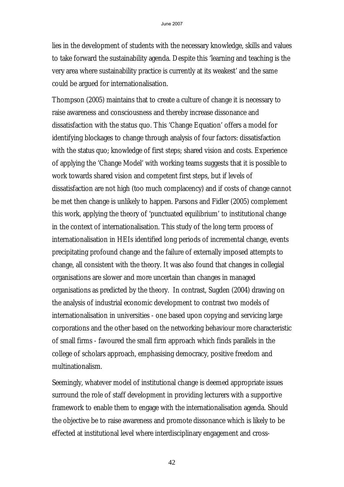lies in the development of students with the necessary knowledge, skills and values to take forward the sustainability agenda. Despite this 'learning and teaching is the very area where sustainability practice is currently at its weakest' and the same could be argued for internationalisation.

Thompson (2005) maintains that to create a culture of change it is necessary to raise awareness and consciousness and thereby increase dissonance and dissatisfaction with the status quo. This 'Change Equation' offers a model for identifying blockages to change through analysis of four factors: dissatisfaction with the status quo; knowledge of first steps; shared vision and costs. Experience of applying the 'Change Model' with working teams suggests that it is possible to work towards shared vision and competent first steps, but if levels of dissatisfaction are not high (too much complacency) and if costs of change cannot be met then change is unlikely to happen. Parsons and Fidler (2005) complement this work, applying the theory of 'punctuated equilibrium' to institutional change in the context of internationalisation. This study of the long term process of internationalisation in HEIs identified long periods of incremental change, events precipitating profound change and the failure of externally imposed attempts to change, all consistent with the theory. It was also found that changes in collegial organisations are slower and more uncertain than changes in managed organisations as predicted by the theory. In contrast, Sugden (2004) drawing on the analysis of industrial economic development to contrast two models of internationalisation in universities - one based upon copying and servicing large corporations and the other based on the networking behaviour more characteristic of small firms - favoured the small firm approach which finds parallels in the college of scholars approach, emphasising democracy, positive freedom and multinationalism.

Seemingly, whatever model of institutional change is deemed appropriate issues surround the role of staff development in providing lecturers with a supportive framework to enable them to engage with the internationalisation agenda. Should the objective be to raise awareness and promote dissonance which is likely to be effected at institutional level where interdisciplinary engagement and cross-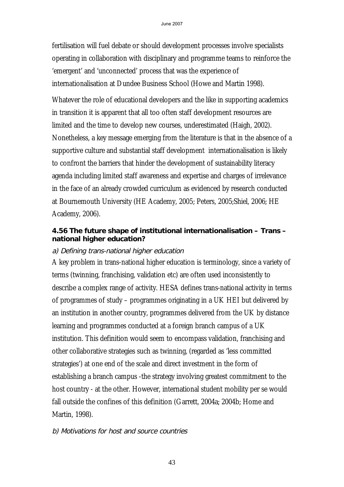fertilisation will fuel debate or should development processes involve specialists operating in collaboration with disciplinary and programme teams to reinforce the 'emergent' and 'unconnected' process that was the experience of internationalisation at Dundee Business School (Howe and Martin 1998).

Whatever the role of educational developers and the like in supporting academics in transition it is apparent that all too often staff development resources are limited and the time to develop new courses, underestimated (Haigh, 2002). Nonetheless, a key message emerging from the literature is that in the absence of a supportive culture and substantial staff development internationalisation is likely to confront the barriers that hinder the development of sustainability literacy agenda including limited staff awareness and expertise and charges of irrelevance in the face of an already crowded curriculum as evidenced by research conducted at Bournemouth University (HE Academy, 2005; Peters, 2005;Shiel, 2006; HE Academy, 2006).

## **4.56 The future shape of institutional internationalisation – Trans – national higher education?**

#### a) Defining trans-national higher education

A key problem in trans-national higher education is terminology, since a variety of terms (twinning, franchising, validation etc) are often used inconsistently to describe a complex range of activity. HESA defines trans-national activity in terms of programmes of study – programmes originating in a UK HEI but delivered by an institution in another country, programmes delivered from the UK by distance learning and programmes conducted at a foreign branch campus of a UK institution. This definition would seem to encompass validation, franchising and other collaborative strategies such as twinning, (regarded as 'less committed strategies') at one end of the scale and direct investment in the form of establishing a branch campus -the strategy involving greatest commitment to the host country - at the other. However, international student mobility per se would fall outside the confines of this definition (Garrett, 2004a; 2004b; Home and Martin, 1998).

## b) Motivations for host and source countries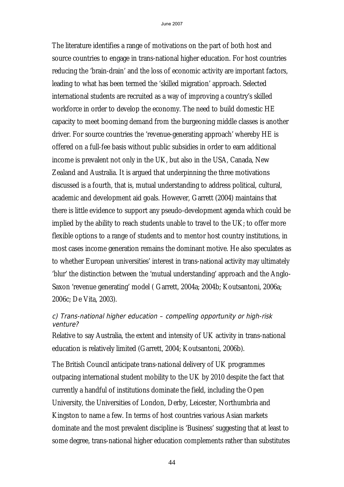The literature identifies a range of motivations on the part of both host and source countries to engage in trans-national higher education. For host countries reducing the 'brain-drain' and the loss of economic activity are important factors, leading to what has been termed the 'skilled migration' approach. Selected international students are recruited as a way of improving a country's skilled workforce in order to develop the economy. The need to build domestic HE capacity to meet booming demand from the burgeoning middle classes is another driver. For source countries the 'revenue-generating approach' whereby HE is offered on a full-fee basis without public subsidies in order to earn additional income is prevalent not only in the UK, but also in the USA, Canada, New Zealand and Australia. It is argued that underpinning the three motivations discussed is a fourth, that is, mutual understanding to address political, cultural, academic and development aid goals. However, Garrett (2004) maintains that there is little evidence to support any pseudo-development agenda which could be implied by the ability to reach students unable to travel to the UK; to offer more flexible options to a range of students and to mentor host country institutions, in most cases income generation remains the dominant motive. He also speculates as to whether European universities' interest in trans-national activity may ultimately 'blur' the distinction between the 'mutual understanding' approach and the Anglo-Saxon 'revenue generating' model ( Garrett, 2004a; 2004b; Koutsantoni, 2006a; 2006c; De Vita, 2003).

## c) Trans-national higher education – compelling opportunity or high-risk venture?

Relative to say Australia, the extent and intensity of UK activity in trans-national education is relatively limited (Garrett, 2004; Koutsantoni, 2006b).

The British Council anticipate trans-national delivery of UK programmes outpacing international student mobility to the UK by 2010 despite the fact that currently a handful of institutions dominate the field, including the Open University, the Universities of London, Derby, Leicester, Northumbria and Kingston to name a few. In terms of host countries various Asian markets dominate and the most prevalent discipline is 'Business' suggesting that at least to some degree, trans-national higher education complements rather than substitutes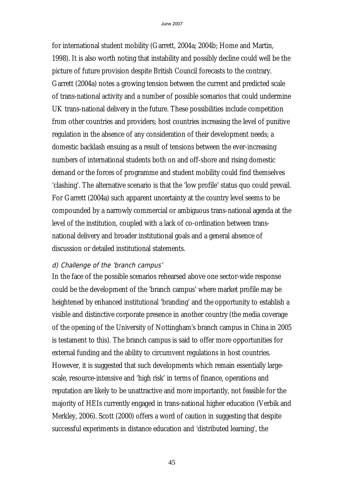for international student mobility (Garrett, 2004a; 2004b; Home and Martin, 1998). It is also worth noting that instability and possibly decline could well be the picture of future provision despite British Council forecasts to the contrary. Garrett (2004a) notes a growing tension between the current and predicted scale of trans-national activity and a number of possible scenarios that could undermine UK trans-national delivery in the future. These possibilities include competition from other countries and providers; host countries increasing the level of punitive regulation in the absence of any consideration of their development needs; a domestic backlash ensuing as a result of tensions between the ever-increasing numbers of international students both on and off-shore and rising domestic demand or the forces of programme and student mobility could find themselves 'clashing'. The alternative scenario is that the 'low profile' status quo could prevail. For Garrett (2004a) such apparent uncertainty at the country level seems to be compounded by a narrowly commercial or ambiguous trans-national agenda at the level of the institution, coupled with a lack of co-ordination between transnational delivery and broader institutional goals and a general absence of discussion or detailed institutional statements.

#### d) Challenge of the 'branch campus'

In the face of the possible scenarios rehearsed above one sector-wide response could be the development of the 'branch campus' where market profile may be heightened by enhanced institutional 'branding' and the opportunity to establish a visible and distinctive corporate presence in another country (the media coverage of the opening of the University of Nottingham's branch campus in China in 2005 is testament to this). The branch campus is said to offer more opportunities for external funding and the ability to circumvent regulations in host countries. However, it is suggested that such developments which remain essentially largescale, resource-intensive and 'high risk' in terms of finance, operations and reputation are likely to be unattractive and more importantly, not feasible for the majority of HEIs currently engaged in trans-national higher education (Verbik and Merkley, 2006). Scott (2000) offers a word of caution in suggesting that despite successful experiments in distance education and 'distributed learning', the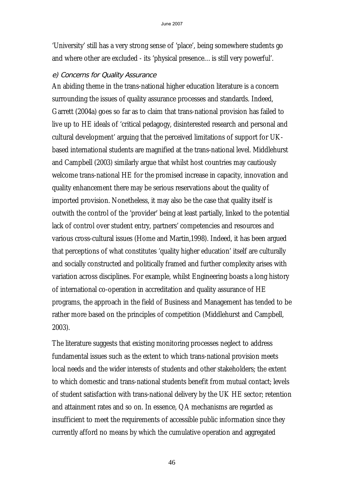'University' still has a very strong sense of 'place', being somewhere students go and where other are excluded - its 'physical presence…is still very powerful'.

#### e) Concerns for Quality Assurance

An abiding theme in the trans-national higher education literature is a concern surrounding the issues of quality assurance processes and standards. Indeed, Garrett (2004a) goes so far as to claim that trans-national provision has failed to live up to HE ideals of 'critical pedagogy, disinterested research and personal and cultural development' arguing that the perceived limitations of support for UKbased international students are magnified at the trans-national level. Middlehurst and Campbell (2003) similarly argue that whilst host countries may cautiously welcome trans-national HE for the promised increase in capacity, innovation and quality enhancement there may be serious reservations about the quality of imported provision. Nonetheless, it may also be the case that quality itself is outwith the control of the 'provider' being at least partially, linked to the potential lack of control over student entry, partners' competencies and resources and various cross-cultural issues (Home and Martin,1998). Indeed, it has been argued that perceptions of what constitutes 'quality higher education' itself are culturally and socially constructed and politically framed and further complexity arises with variation across disciplines. For example, whilst Engineering boasts a long history of international co-operation in accreditation and quality assurance of HE programs, the approach in the field of Business and Management has tended to be rather more based on the principles of competition (Middlehurst and Campbell, 2003).

The literature suggests that existing monitoring processes neglect to address fundamental issues such as the extent to which trans-national provision meets local needs and the wider interests of students and other stakeholders; the extent to which domestic and trans-national students benefit from mutual contact; levels of student satisfaction with trans-national delivery by the UK HE sector; retention and attainment rates and so on. In essence, QA mechanisms are regarded as insufficient to meet the requirements of accessible public information since they currently afford no means by which the cumulative operation and aggregated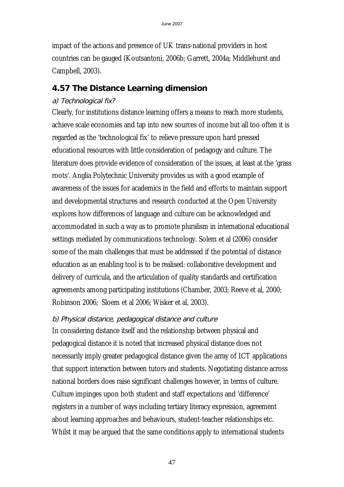impact of the actions and presence of UK trans-national providers in host countries can be gauged (Koutsantoni, 2006b; Garrett, 2004a; Middlehurst and Campbell, 2003).

# **4.57 The Distance Learning dimension**

## a) Technological fix?

Clearly, for institutions distance learning offers a means to reach more students, achieve scale economies and tap into new sources of income but all too often it is regarded as the 'technological fix' to relieve pressure upon hard pressed educational resources with little consideration of pedagogy and culture. The literature does provide evidence of consideration of the issues, at least at the 'grass roots'. Anglia Polytechnic University provides us with a good example of awareness of the issues for academics in the field and efforts to maintain support and developmental structures and research conducted at the Open University explores how differences of language and culture can be acknowledged and accommodated in such a way as to promote pluralism in international educational settings mediated by communications technology. Solem et al (2006) consider some of the main challenges that must be addressed if the potential of distance education as an enabling tool is to be realised: collaborative development and delivery of curricula, and the articulation of quality standards and certification agreements among participating institutions (Chamber, 2003; Reeve et al, 2000; Robinson 2006; Sloem et al 2006; Wisker et al, 2003).

# b) Physical distance, pedagogical distance and culture

In considering distance itself and the relationship between physical and pedagogical distance it is noted that increased physical distance does not necessarily imply greater pedagogical distance given the array of ICT applications that support interaction between tutors and students. Negotiating distance across national borders does raise significant challenges however, in terms of culture. Culture impinges upon both student and staff expectations and 'difference' registers in a number of ways including tertiary literacy expression, agreement about learning approaches and behaviours, student-teacher relationships etc. Whilst it may be argued that the same conditions apply to international students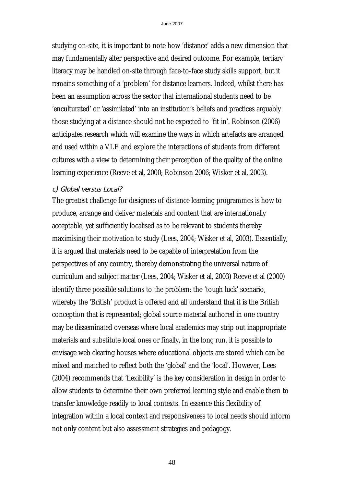studying on-site, it is important to note how 'distance' adds a new dimension that may fundamentally alter perspective and desired outcome. For example, tertiary literacy may be handled on-site through face-to-face study skills support, but it remains something of a 'problem' for distance learners. Indeed, whilst there has been an assumption across the sector that international students need to be 'enculturated' or 'assimilated' into an institution's beliefs and practices arguably those studying at a distance should not be expected to 'fit in'. Robinson (2006) anticipates research which will examine the ways in which artefacts are arranged and used within a VLE and explore the interactions of students from different cultures with a view to determining their perception of the quality of the online learning experience (Reeve et al, 2000; Robinson 2006; Wisker et al, 2003).

#### c) Global versus Local?

The greatest challenge for designers of distance learning programmes is how to produce, arrange and deliver materials and content that are internationally acceptable, yet sufficiently localised as to be relevant to students thereby maximising their motivation to study (Lees, 2004; Wisker et al, 2003). Essentially, it is argued that materials need to be capable of interpretation from the perspectives of any country, thereby demonstrating the universal nature of curriculum and subject matter (Lees, 2004; Wisker et al, 2003) Reeve et al (2000) identify three possible solutions to the problem: the 'tough luck' scenario, whereby the 'British' product is offered and all understand that it is the British conception that is represented; global source material authored in one country may be disseminated overseas where local academics may strip out inappropriate materials and substitute local ones or finally, in the long run, it is possible to envisage web clearing houses where educational objects are stored which can be mixed and matched to reflect both the 'global' and the 'local'. However, Lees (2004) recommends that 'flexibility' is the key consideration in design in order to allow students to determine their own preferred learning style and enable them to transfer knowledge readily to local contexts. In essence this flexibility of integration within a local context and responsiveness to local needs should inform not only content but also assessment strategies and pedagogy.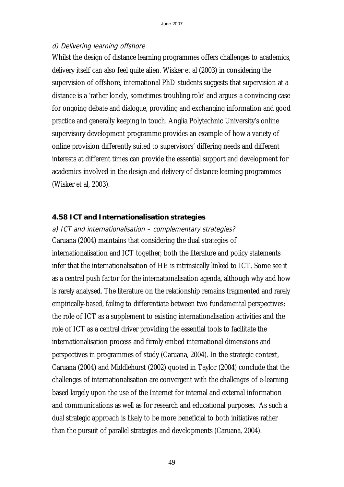#### d) Delivering learning offshore

Whilst the design of distance learning programmes offers challenges to academics, delivery itself can also feel quite alien. Wisker et al (2003) in considering the supervision of offshore, international PhD students suggests that supervision at a distance is a 'rather lonely, sometimes troubling role' and argues a convincing case for ongoing debate and dialogue, providing and exchanging information and good practice and generally keeping in touch. Anglia Polytechnic University's online supervisory development programme provides an example of how a variety of online provision differently suited to supervisors' differing needs and different interests at different times can provide the essential support and development for academics involved in the design and delivery of distance learning programmes (Wisker et al, 2003).

#### **4.58 ICT and Internationalisation strategies**

#### a) ICT and internationalisation – complementary strategies?

Caruana (2004) maintains that considering the dual strategies of internationalisation and ICT together, both the literature and policy statements infer that the internationalisation of HE is intrinsically linked to ICT. Some see it as a central push factor for the internationalisation agenda, although why and how is rarely analysed. The literature on the relationship remains fragmented and rarely empirically-based, failing to differentiate between two fundamental perspectives: the role of ICT as a supplement to existing internationalisation activities and the role of ICT as a central driver providing the essential tools to facilitate the internationalisation process and firmly embed international dimensions and perspectives in programmes of study (Caruana, 2004). In the strategic context, Caruana (2004) and Middlehurst (2002) quoted in Taylor (2004) conclude that the challenges of internationalisation are convergent with the challenges of e-learning based largely upon the use of the Internet for internal and external information and communications as well as for research and educational purposes. As such a dual strategic approach is likely to be more beneficial to both initiatives rather than the pursuit of parallel strategies and developments (Caruana, 2004).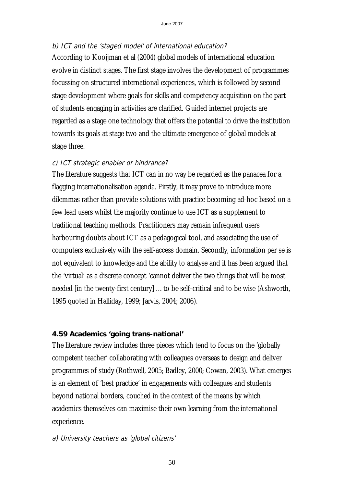## b) ICT and the 'staged model' of international education?

According to Kooijman et al (2004) global models of international education evolve in distinct stages. The first stage involves the development of programmes focussing on structured international experiences, which is followed by second stage development where goals for skills and competency acquisition on the part of students engaging in activities are clarified. Guided internet projects are regarded as a stage one technology that offers the potential to drive the institution towards its goals at stage two and the ultimate emergence of global models at stage three.

## c) ICT strategic enabler or hindrance?

The literature suggests that ICT can in no way be regarded as the panacea for a flagging internationalisation agenda. Firstly, it may prove to introduce more dilemmas rather than provide solutions with practice becoming ad-hoc based on a few lead users whilst the majority continue to use ICT as a supplement to traditional teaching methods. Practitioners may remain infrequent users harbouring doubts about ICT as a pedagogical tool, and associating the use of computers exclusively with the self-access domain. Secondly, information per se is not equivalent to knowledge and the ability to analyse and it has been argued that the 'virtual' as a discrete concept 'cannot deliver the two things that will be most needed [in the twenty-first century] …to be self-critical and to be wise (Ashworth, 1995 quoted in Halliday, 1999; Jarvis, 2004; 2006).

# **4.59 Academics 'going trans-national'**

The literature review includes three pieces which tend to focus on the 'globally competent teacher' collaborating with colleagues overseas to design and deliver programmes of study (Rothwell, 2005; Badley, 2000; Cowan, 2003). What emerges is an element of 'best practice' in engagements with colleagues and students beyond national borders, couched in the context of the means by which academics themselves can maximise their own learning from the international experience.

# a) University teachers as 'global citizens'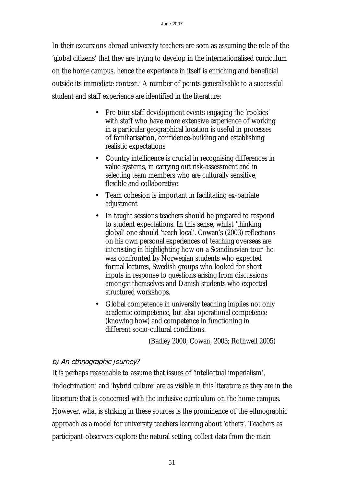In their excursions abroad university teachers are seen as assuming the role of the 'global citizens' that they are trying to develop in the internationalised curriculum on the home campus, hence the experience in itself is enriching and beneficial outside its immediate context.' A number of points generalisable to a successful student and staff experience are identified in the literature:

- Pre-tour staff development events engaging the 'rookies' with staff who have more extensive experience of working in a particular geographical location is useful in processes of familiarisation, confidence-building and establishing realistic expectations
- Country intelligence is crucial in recognising differences in value systems, in carrying out risk-assessment and in selecting team members who are culturally sensitive, flexible and collaborative
- Team cohesion is important in facilitating ex-patriate adjustment
- In taught sessions teachers should be prepared to respond to student expectations. In this sense, whilst 'thinking global' one should 'teach local'. Cowan's (2003) reflections on his own personal experiences of teaching overseas are interesting in highlighting how on a Scandinavian tour he was confronted by Norwegian students who expected formal lectures, Swedish groups who looked for short inputs in response to questions arising from discussions amongst themselves and Danish students who expected structured workshops.
- Global competence in university teaching implies not only academic competence, but also operational competence (knowing how) and competence in functioning in different socio-cultural conditions.

(Badley 2000; Cowan, 2003; Rothwell 2005)

# b) An ethnographic journey?

It is perhaps reasonable to assume that issues of 'intellectual imperialism', 'indoctrination' and 'hybrid culture' are as visible in this literature as they are in the literature that is concerned with the inclusive curriculum on the home campus. However, what is striking in these sources is the prominence of the ethnographic approach as a model for university teachers learning about 'others'. Teachers as participant-observers explore the natural setting, collect data from the main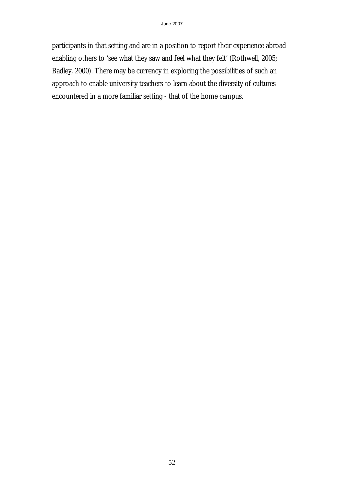participants in that setting and are in a position to report their experience abroad enabling others to 'see what they saw and feel what they felt' (Rothwell, 2005; Badley, 2000). There may be currency in exploring the possibilities of such an approach to enable university teachers to learn about the diversity of cultures encountered in a more familiar setting - that of the home campus.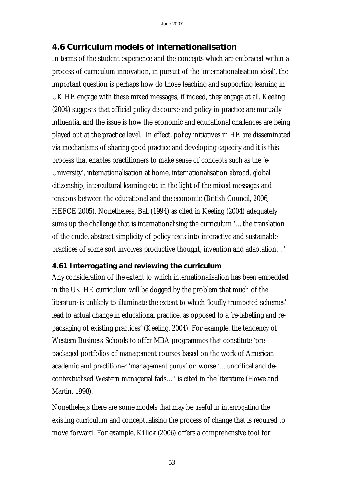# **4.6 Curriculum models of internationalisation**

In terms of the student experience and the concepts which are embraced within a process of curriculum innovation, in pursuit of the 'internationalisation ideal', the important question is perhaps how do those teaching and supporting learning in UK HE engage with these mixed messages, if indeed, they engage at all. Keeling (2004) suggests that official policy discourse and policy-in-practice are mutually influential and the issue is how the economic and educational challenges are being played out at the practice level. In effect, policy initiatives in HE are disseminated via mechanisms of sharing good practice and developing capacity and it is this process that enables practitioners to make sense of concepts such as the 'e-University', internationalisation at home, internationalisation abroad, global citizenship, intercultural learning etc. in the light of the mixed messages and tensions between the educational and the economic (British Council, 2006; HEFCE 2005). Nonetheless, Ball (1994) as cited in Keeling (2004) adequately sums up the challenge that is internationalising the curriculum '…the translation of the crude, abstract simplicity of policy texts into interactive and sustainable practices of some sort involves productive thought, invention and adaptation…'

## **4.61 Interrogating and reviewing the curriculum**

Any consideration of the extent to which internationalisation has been embedded in the UK HE curriculum will be dogged by the problem that much of the literature is unlikely to illuminate the extent to which 'loudly trumpeted schemes' lead to actual change in educational practice, as opposed to a 're-labelling and repackaging of existing practices' (Keeling, 2004). For example, the tendency of Western Business Schools to offer MBA programmes that constitute 'prepackaged portfolios of management courses based on the work of American academic and practitioner 'management gurus' or, worse '…uncritical and decontextualised Western managerial fads…' is cited in the literature (Howe and Martin, 1998).

Nonetheles,s there are some models that may be useful in interrogating the existing curriculum and conceptualising the process of change that is required to move forward. For example, Killick (2006) offers a comprehensive tool for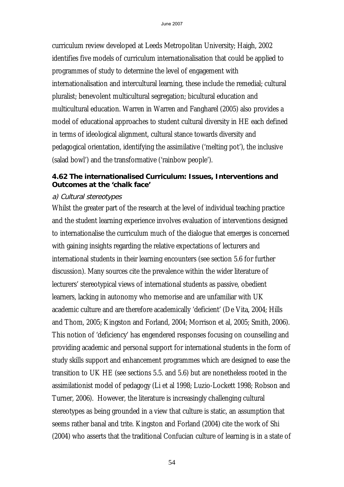curriculum review developed at Leeds Metropolitan University; Haigh, 2002 identifies five models of curriculum internationalisation that could be applied to programmes of study to determine the level of engagement with internationalisation and intercultural learning, these include the remedial; cultural pluralist; benevolent multicultural segregation; bicultural education and multicultural education. Warren in Warren and Fangharel (2005) also provides a model of educational approaches to student cultural diversity in HE each defined in terms of ideological alignment, cultural stance towards diversity and pedagogical orientation, identifying the assimilative ('melting pot'), the inclusive (salad bowl') and the transformative ('rainbow people').

#### **4.62 The internationalised Curriculum: Issues, Interventions and Outcomes at the 'chalk face'**

#### a) Cultural stereotypes

Whilst the greater part of the research at the level of individual teaching practice and the student learning experience involves evaluation of interventions designed to internationalise the curriculum much of the dialogue that emerges is concerned with gaining insights regarding the relative expectations of lecturers and international students in their learning encounters (see section 5.6 for further discussion). Many sources cite the prevalence within the wider literature of lecturers' stereotypical views of international students as passive, obedient learners, lacking in autonomy who memorise and are unfamiliar with UK academic culture and are therefore academically 'deficient' (De Vita, 2004; Hills and Thom, 2005; Kingston and Forland, 2004; Morrison et al, 2005; Smith, 2006). This notion of 'deficiency' has engendered responses focusing on counselling and providing academic and personal support for international students in the form of study skills support and enhancement programmes which are designed to ease the transition to UK HE (see sections 5.5. and 5.6) but are nonetheless rooted in the assimilationist model of pedagogy (Li et al 1998; Luzio-Lockett 1998; Robson and Turner, 2006). However, the literature is increasingly challenging cultural stereotypes as being grounded in a view that culture is static, an assumption that seems rather banal and trite. Kingston and Forland (2004) cite the work of Shi (2004) who asserts that the traditional Confucian culture of learning is in a state of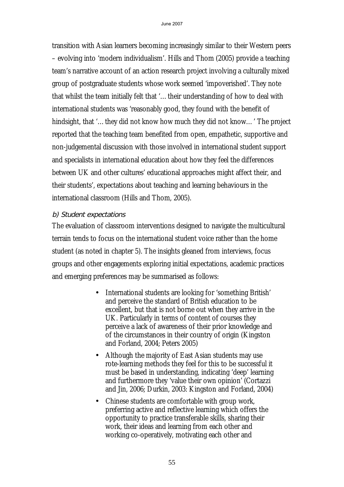transition with Asian learners becoming increasingly similar to their Western peers – evolving into 'modern individualism'. Hills and Thom (2005) provide a teaching team's narrative account of an action research project involving a culturally mixed group of postgraduate students whose work seemed 'impoverished'. They note that whilst the team initially felt that '…their understanding of how to deal with international students was 'reasonably good, they found with the benefit of hindsight, that '…they did not know how much they did not know…' The project reported that the teaching team benefited from open, empathetic, supportive and non-judgemental discussion with those involved in international student support and specialists in international education about how they feel the differences between UK and other cultures' educational approaches might affect their, and their students', expectations about teaching and learning behaviours in the international classroom (Hills and Thom, 2005).

#### b) Student expectations

The evaluation of classroom interventions designed to navigate the multicultural terrain tends to focus on the international student voice rather than the home student (as noted in chapter 5). The insights gleaned from interviews, focus groups and other engagements exploring initial expectations, academic practices and emerging preferences may be summarised as follows:

- International students are looking for 'something British' and perceive the standard of British education to be excellent, but that is not borne out when they arrive in the UK. Particularly in terms of content of courses they perceive a lack of awareness of their prior knowledge and of the circumstances in their country of origin (Kingston and Forland, 2004; Peters 2005)
- Although the majority of East Asian students may use rote-learning methods they feel for this to be successful it must be based in understanding, indicating 'deep' learning and furthermore they 'value their own opinion' (Cortazzi and Jin, 2006; Durkin, 2003: Kingston and Forland, 2004)
- Chinese students are comfortable with group work, preferring active and reflective learning which offers the opportunity to practice transferable skills, sharing their work, their ideas and learning from each other and working co-operatively, motivating each other and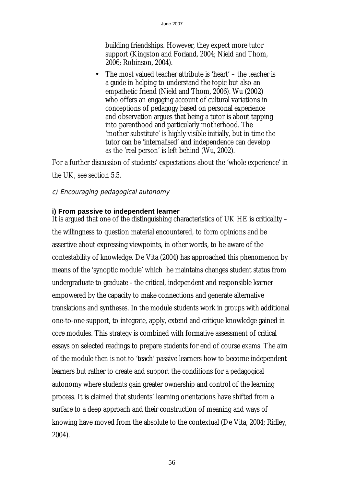building friendships. However, they expect more tutor support (Kingston and Forland, 2004; Nield and Thom, 2006; Robinson, 2004).

• The most valued teacher attribute is 'heart' – the teacher is a guide in helping to understand the topic but also an empathetic friend (Nield and Thom, 2006). Wu (2002) who offers an engaging account of cultural variations in conceptions of pedagogy based on personal experience and observation argues that being a tutor is about tapping into parenthood and particularly motherhood. The 'mother substitute' is highly visible initially, but in time the tutor can be 'internalised' and independence can develop as the 'real person' is left behind (Wu, 2002).

For a further discussion of students' expectations about the 'whole experience' in the UK, see section 5.5.

## c) Encouraging pedagogical autonomy

#### **i) From passive to independent learner**

It is argued that one of the distinguishing characteristics of UK HE is criticality – the willingness to question material encountered, to form opinions and be assertive about expressing viewpoints, in other words, to be aware of the contestability of knowledge. De Vita (2004) has approached this phenomenon by means of the 'synoptic module' which he maintains changes student status from undergraduate to graduate - the critical, independent and responsible learner empowered by the capacity to make connections and generate alternative translations and syntheses. In the module students work in groups with additional one-to-one support, to integrate, apply, extend and critique knowledge gained in core modules. This strategy is combined with formative assessment of critical essays on selected readings to prepare students for end of course exams. The aim of the module then is not to 'teach' passive learners how to become independent learners but rather to create and support the conditions for a pedagogical autonomy where students gain greater ownership and control of the learning process. It is claimed that students' learning orientations have shifted from a surface to a deep approach and their construction of meaning and ways of knowing have moved from the absolute to the contextual (De Vita, 2004; Ridley, 2004).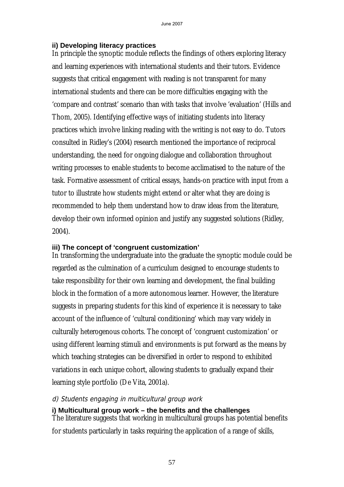#### **ii) Developing literacy practices**

In principle the synoptic module reflects the findings of others exploring literacy and learning experiences with international students and their tutors. Evidence suggests that critical engagement with reading is not transparent for many international students and there can be more difficulties engaging with the 'compare and contrast' scenario than with tasks that involve 'evaluation' (Hills and Thom, 2005). Identifying effective ways of initiating students into literacy practices which involve linking reading with the writing is not easy to do. Tutors consulted in Ridley's (2004) research mentioned the importance of reciprocal understanding, the need for ongoing dialogue and collaboration throughout writing processes to enable students to become acclimatised to the nature of the task. Formative assessment of critical essays, hands-on practice with input from a tutor to illustrate how students might extend or alter what they are doing is recommended to help them understand how to draw ideas from the literature, develop their own informed opinion and justify any suggested solutions (Ridley, 2004).

#### **iii) The concept of 'congruent customization'**

In transforming the undergraduate into the graduate the synoptic module could be regarded as the culmination of a curriculum designed to encourage students to take responsibility for their own learning and development, the final building block in the formation of a more autonomous learner. However, the literature suggests in preparing students for this kind of experience it is necessary to take account of the influence of 'cultural conditioning' which may vary widely in culturally heterogenous cohorts. The concept of 'congruent customization' or using different learning stimuli and environments is put forward as the means by which teaching strategies can be diversified in order to respond to exhibited variations in each unique cohort, allowing students to gradually expand their learning style portfolio (De Vita, 2001a).

## d) Students engaging in multicultural group work

#### **i) Multicultural group work – the benefits and the challenges**

The literature suggests that working in multicultural groups has potential benefits for students particularly in tasks requiring the application of a range of skills,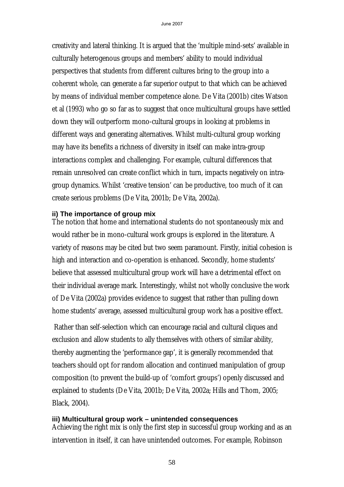creativity and lateral thinking. It is argued that the 'multiple mind-sets' available in culturally heterogenous groups and members' ability to mould individual perspectives that students from different cultures bring to the group into a coherent whole, can generate a far superior output to that which can be achieved by means of individual member competence alone. De Vita (2001b) cites Watson et al (1993) who go so far as to suggest that once multicultural groups have settled down they will outperform mono-cultural groups in looking at problems in different ways and generating alternatives. Whilst multi-cultural group working may have its benefits a richness of diversity in itself can make intra-group interactions complex and challenging. For example, cultural differences that remain unresolved can create conflict which in turn, impacts negatively on intragroup dynamics. Whilst 'creative tension' can be productive, too much of it can create serious problems (De Vita, 2001b; De Vita, 2002a).

#### **ii) The importance of group mix**

The notion that home and international students do not spontaneously mix and would rather be in mono-cultural work groups is explored in the literature. A variety of reasons may be cited but two seem paramount. Firstly, initial cohesion is high and interaction and co-operation is enhanced. Secondly, home students' believe that assessed multicultural group work will have a detrimental effect on their individual average mark. Interestingly, whilst not wholly conclusive the work of De Vita (2002a) provides evidence to suggest that rather than pulling down home students' average, assessed multicultural group work has a positive effect.

 Rather than self-selection which can encourage racial and cultural cliques and exclusion and allow students to ally themselves with others of similar ability, thereby augmenting the 'performance gap', it is generally recommended that teachers should opt for random allocation and continued manipulation of group composition (to prevent the build-up of 'comfort groups') openly discussed and explained to students (De Vita, 2001b; De Vita, 2002a; Hills and Thom, 2005; Black, 2004).

#### **iii) Multicultural group work – unintended consequences**

Achieving the right mix is only the first step in successful group working and as an intervention in itself, it can have unintended outcomes. For example, Robinson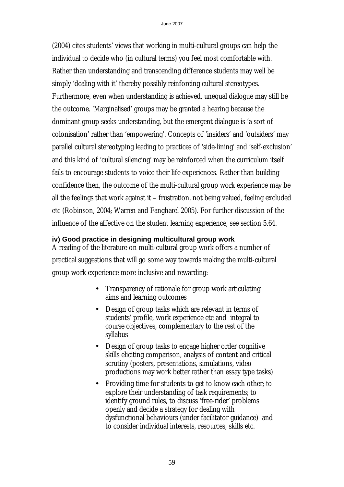(2004) cites students' views that working in multi-cultural groups can help the individual to decide who (in cultural terms) you feel most comfortable with. Rather than understanding and transcending difference students may well be simply 'dealing with it' thereby possibly reinforcing cultural stereotypes. Furthermore, even when understanding is achieved, unequal dialogue may still be the outcome. 'Marginalised' groups may be granted a hearing because the dominant group seeks understanding, but the emergent dialogue is 'a sort of colonisation' rather than 'empowering'. Concepts of 'insiders' and 'outsiders' may parallel cultural stereotyping leading to practices of 'side-lining' and 'self-exclusion' and this kind of 'cultural silencing' may be reinforced when the curriculum itself fails to encourage students to voice their life experiences. Rather than building confidence then, the outcome of the multi-cultural group work experience may be all the feelings that work against it – frustration, not being valued, feeling excluded etc (Robinson, 2004; Warren and Fangharel 2005). For further discussion of the influence of the affective on the student learning experience, see section 5.64.

#### **iv) Good practice in designing multicultural group work**

A reading of the literature on multi-cultural group work offers a number of practical suggestions that will go some way towards making the multi-cultural group work experience more inclusive and rewarding:

- Transparency of rationale for group work articulating aims and learning outcomes
- Design of group tasks which are relevant in terms of students' profile, work experience etc and integral to course objectives, complementary to the rest of the syllabus
- Design of group tasks to engage higher order cognitive skills eliciting comparison, analysis of content and critical scrutiny (posters, presentations, simulations, video productions may work better rather than essay type tasks)
- Providing time for students to get to know each other; to explore their understanding of task requirements; to identify ground rules, to discuss 'free-rider' problems openly and decide a strategy for dealing with dysfunctional behaviours (under facilitator guidance) and to consider individual interests, resources, skills etc.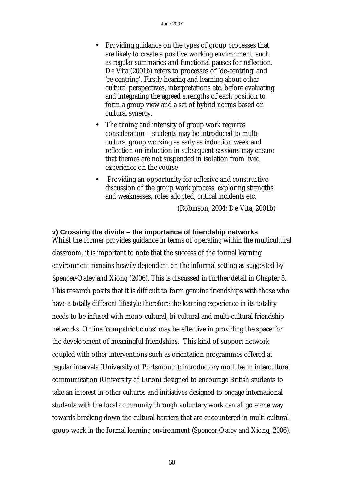- Providing guidance on the types of group processes that are likely to create a positive working environment, such as regular summaries and functional pauses for reflection. De Vita (2001b) refers to processes of 'de-centring' and 're-centring'. Firstly hearing and learning about other cultural perspectives, interpretations etc. before evaluating and integrating the agreed strengths of each position to form a group view and a set of hybrid norms based on cultural synergy.
- The timing and intensity of group work requires consideration – students may be introduced to multicultural group working as early as induction week and reflection on induction in subsequent sessions may ensure that themes are not suspended in isolation from lived experience on the course
- Providing an opportunity for reflexive and constructive discussion of the group work process, exploring strengths and weaknesses, roles adopted, critical incidents etc.

(Robinson, 2004; De Vita, 2001b)

#### **v) Crossing the divide – the importance of friendship networks**

Whilst the former provides guidance in terms of operating within the multicultural classroom, it is important to note that the success of the formal learning environment remains heavily dependent on the informal setting as suggested by Spencer-Oatey and Xiong (2006). This is discussed in further detail in Chapter 5. This research posits that it is difficult to form genuine friendships with those who have a totally different lifestyle therefore the learning experience in its totality needs to be infused with mono-cultural, bi-cultural and multi-cultural friendship networks. Online 'compatriot clubs' may be effective in providing the space for the development of meaningful friendships. This kind of support network coupled with other interventions such as orientation programmes offered at regular intervals (University of Portsmouth); introductory modules in intercultural communication (University of Luton) designed to encourage British students to take an interest in other cultures and initiatives designed to engage international students with the local community through voluntary work can all go some way towards breaking down the cultural barriers that are encountered in multi-cultural group work in the formal learning environment (Spencer-Oatey and Xiong, 2006).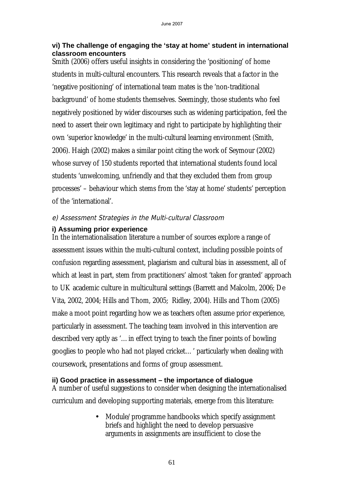#### **vi) The challenge of engaging the 'stay at home' student in international classroom encounters**

Smith (2006) offers useful insights in considering the 'positioning' of home students in multi-cultural encounters. This research reveals that a factor in the 'negative positioning' of international team mates is the 'non-traditional background' of home students themselves. Seemingly, those students who feel negatively positioned by wider discourses such as widening participation, feel the need to assert their own legitimacy and right to participate by highlighting their own 'superior knowledge' in the multi-cultural learning environment (Smith, 2006). Haigh (2002) makes a similar point citing the work of Seymour (2002) whose survey of 150 students reported that international students found local students 'unwelcoming, unfriendly and that they excluded them from group processes' – behaviour which stems from the 'stay at home' students' perception of the 'international'.

## e) Assessment Strategies in the Multi-cultural Classroom

## **i) Assuming prior experience**

In the internationalisation literature a number of sources explore a range of assessment issues within the multi-cultural context, including possible points of confusion regarding assessment, plagiarism and cultural bias in assessment, all of which at least in part, stem from practitioners' almost 'taken for granted' approach to UK academic culture in multicultural settings (Barrett and Malcolm, 2006; De Vita, 2002, 2004; Hills and Thom, 2005; Ridley, 2004). Hills and Thom (2005) make a moot point regarding how we as teachers often assume prior experience, particularly in assessment. The teaching team involved in this intervention are described very aptly as '…in effect trying to teach the finer points of bowling googlies to people who had not played cricket…' particularly when dealing with coursework, presentations and forms of group assessment.

## **ii) Good practice in assessment – the importance of dialogue**

A number of useful suggestions to consider when designing the internationalised curriculum and developing supporting materials, emerge from this literature:

> • Module/programme handbooks which specify assignment briefs and highlight the need to develop persuasive arguments in assignments are insufficient to close the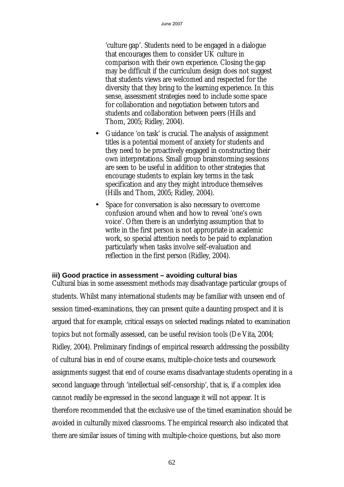'culture gap'. Students need to be engaged in a dialogue that encourages them to consider UK culture in comparison with their own experience. Closing the gap may be difficult if the curriculum design does not suggest that students views are welcomed and respected for the diversity that they bring to the learning experience. In this sense, assessment strategies need to include some space for collaboration and negotiation between tutors and students and collaboration between peers (Hills and Thom, 2005; Ridley, 2004).

- Guidance 'on task' is crucial. The analysis of assignment titles is a potential moment of anxiety for students and they need to be proactively engaged in constructing their own interpretations. Small group brainstorming sessions are seen to be useful in addition to other strategies that encourage students to explain key terms in the task specification and any they might introduce themselves (Hills and Thom, 2005; Ridley, 2004).
- Space for conversation is also necessary to overcome confusion around when and how to reveal 'one's own voice'. Often there is an underlying assumption that to write in the first person is not appropriate in academic work, so special attention needs to be paid to explanation particularly when tasks involve self-evaluation and reflection in the first person (Ridley, 2004).

#### **iii) Good practice in assessment – avoiding cultural bias**

Cultural bias in some assessment methods may disadvantage particular groups of students. Whilst many international students may be familiar with unseen end of session timed-examinations, they can present quite a daunting prospect and it is argued that for example, critical essays on selected readings related to examination topics but not formally assessed, can be useful revision tools (De Vita, 2004; Ridley, 2004). Preliminary findings of empirical research addressing the possibility of cultural bias in end of course exams, multiple-choice tests and coursework assignments suggest that end of course exams disadvantage students operating in a second language through 'intellectual self-censorship', that is, if a complex idea cannot readily be expressed in the second language it will not appear. It is therefore recommended that the exclusive use of the timed examination should be avoided in culturally mixed classrooms. The empirical research also indicated that there are similar issues of timing with multiple-choice questions, but also more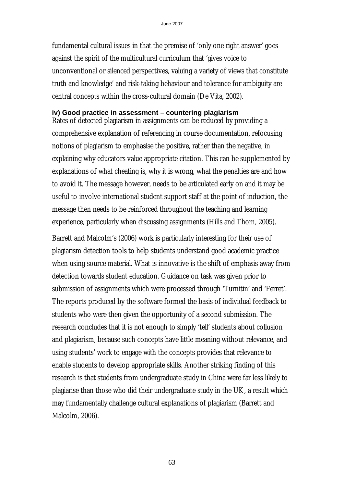fundamental cultural issues in that the premise of 'only one right answer' goes against the spirit of the multicultural curriculum that 'gives voice to unconventional or silenced perspectives, valuing a variety of views that constitute truth and knowledge' and risk-taking behaviour and tolerance for ambiguity are central concepts within the cross-cultural domain (De Vita, 2002).

#### **iv) Good practice in assessment – countering plagiarism**

Rates of detected plagiarism in assignments can be reduced by providing a comprehensive explanation of referencing in course documentation, refocusing notions of plagiarism to emphasise the positive, rather than the negative, in explaining why educators value appropriate citation. This can be supplemented by explanations of what cheating is, why it is wrong, what the penalties are and how to avoid it. The message however, needs to be articulated early on and it may be useful to involve international student support staff at the point of induction, the message then needs to be reinforced throughout the teaching and learning experience, particularly when discussing assignments (Hills and Thom, 2005).

Barrett and Malcolm's (2006) work is particularly interesting for their use of plagiarism detection tools to help students understand good academic practice when using source material. What is innovative is the shift of emphasis away from detection towards student education. Guidance on task was given prior to submission of assignments which were processed through 'Turnitin' and 'Ferret'. The reports produced by the software formed the basis of individual feedback to students who were then given the opportunity of a second submission. The research concludes that it is not enough to simply 'tell' students about collusion and plagiarism, because such concepts have little meaning without relevance, and using students' work to engage with the concepts provides that relevance to enable students to develop appropriate skills. Another striking finding of this research is that students from undergraduate study in China were far less likely to plagiarise than those who did their undergraduate study in the UK, a result which may fundamentally challenge cultural explanations of plagiarism (Barrett and Malcolm, 2006).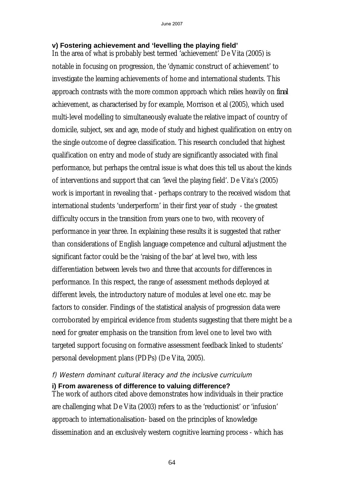## **v) Fostering achievement and 'levelling the playing field'**

In the area of what is probably best termed 'achievement' De Vita (2005) is notable in focusing on progression, the 'dynamic construct of achievement' to investigate the learning achievements of home and international students. This approach contrasts with the more common approach which relies heavily on *final*  achievement, as characterised by for example, Morrison et al (2005), which used multi-level modelling to simultaneously evaluate the relative impact of country of domicile, subject, sex and age, mode of study and highest qualification on entry on the single outcome of degree classification. This research concluded that highest qualification on entry and mode of study are significantly associated with final performance, but perhaps the central issue is what does this tell us about the kinds of interventions and support that can 'level the playing field'. De Vita's (2005) work is important in revealing that - perhaps contrary to the received wisdom that international students 'underperform' in their first year of study - the greatest difficulty occurs in the transition from years one to two, with recovery of performance in year three. In explaining these results it is suggested that rather than considerations of English language competence and cultural adjustment the significant factor could be the 'raising of the bar' at level two, with less differentiation between levels two and three that accounts for differences in performance. In this respect, the range of assessment methods deployed at different levels, the introductory nature of modules at level one etc. may be factors to consider. Findings of the statistical analysis of progression data were corroborated by empirical evidence from students suggesting that there might be a need for greater emphasis on the transition from level one to level two with targeted support focusing on formative assessment feedback linked to students' personal development plans (PDPs) (De Vita, 2005).

## f) Western dominant cultural literacy and the inclusive curriculum **i) From awareness of difference to valuing difference?**

The work of authors cited above demonstrates how individuals in their practice are challenging what De Vita (2003) refers to as the 'reductionist' or 'infusion' approach to internationalisation- based on the principles of knowledge dissemination and an exclusively western cognitive learning process - which has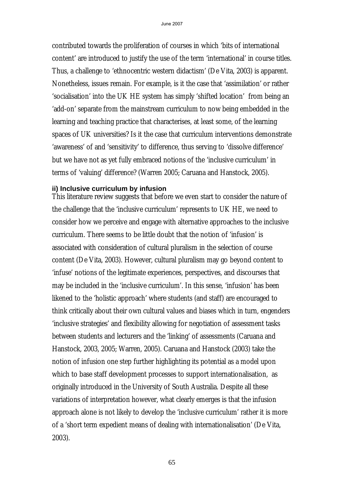contributed towards the proliferation of courses in which 'bits of international content' are introduced to justify the use of the term 'international' in course titles. Thus, a challenge to 'ethnocentric western didactism' (De Vita, 2003) is apparent. Nonetheless, issues remain. For example, is it the case that 'assimilation' or rather 'socialisation' into the UK HE system has simply 'shifted location' from being an 'add-on' separate from the mainstream curriculum to now being embedded in the learning and teaching practice that characterises, at least some, of the learning spaces of UK universities? Is it the case that curriculum interventions demonstrate 'awareness' of and 'sensitivity' to difference, thus serving to 'dissolve difference' but we have not as yet fully embraced notions of the 'inclusive curriculum' in terms of 'valuing' difference? (Warren 2005; Caruana and Hanstock, 2005).

#### **ii) Inclusive curriculum by infusion**

This literature review suggests that before we even start to consider the nature of the challenge that the 'inclusive curriculum' represents to UK HE, we need to consider how we perceive and engage with alternative approaches to the inclusive curriculum. There seems to be little doubt that the notion of 'infusion' is associated with consideration of cultural pluralism in the selection of course content (De Vita, 2003). However, cultural pluralism may go beyond content to 'infuse' notions of the legitimate experiences, perspectives, and discourses that may be included in the 'inclusive curriculum'. In this sense, 'infusion' has been likened to the 'holistic approach' where students (and staff) are encouraged to think critically about their own cultural values and biases which in turn, engenders 'inclusive strategies' and flexibility allowing for negotiation of assessment tasks between students and lecturers and the 'linking' of assessments (Caruana and Hanstock, 2003, 2005; Warren, 2005). Caruana and Hanstock (2003) take the notion of infusion one step further highlighting its potential as a model upon which to base staff development processes to support internationalisation, as originally introduced in the University of South Australia. Despite all these variations of interpretation however, what clearly emerges is that the infusion approach alone is not likely to develop the 'inclusive curriculum' rather it is more of a 'short term expedient means of dealing with internationalisation' (De Vita, 2003).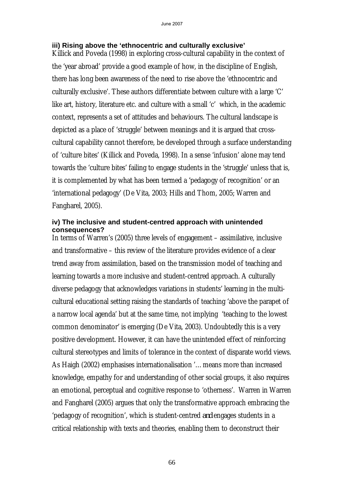#### **iii) Rising above the 'ethnocentric and culturally exclusive'**

Killick and Poveda (1998) in exploring cross-cultural capability in the context of the 'year abroad' provide a good example of how, in the discipline of English, there has long been awareness of the need to rise above the 'ethnocentric and culturally exclusive'. These authors differentiate between culture with a large 'C' like art, history, literature etc. and culture with a small 'c' which, in the academic context, represents a set of attitudes and behaviours. The cultural landscape is depicted as a place of 'struggle' between meanings and it is argued that crosscultural capability cannot therefore, be developed through a surface understanding of 'culture bites' (Killick and Poveda, 1998). In a sense 'infusion' alone may tend towards the 'culture bites' failing to engage students in the 'struggle' unless that is, it is complemented by what has been termed a 'pedagogy of recognition' or an 'international pedagogy' (De Vita, 2003; Hills and Thom, 2005; Warren and Fangharel, 2005).

#### **iv) The inclusive and student-centred approach with unintended consequences?**

In terms of Warren's (2005) three levels of engagement – assimilative, inclusive and transformative – this review of the literature provides evidence of a clear trend away from assimilation, based on the transmission model of teaching and learning towards a more inclusive and student-centred approach. A culturally diverse pedagogy that acknowledges variations in students' learning in the multicultural educational setting raising the standards of teaching 'above the parapet of a narrow local agenda' but at the same time, not implying 'teaching to the lowest common denominator' is emerging (De Vita, 2003). Undoubtedly this is a very positive development. However, it can have the unintended effect of reinforcing cultural stereotypes and limits of tolerance in the context of disparate world views. As Haigh (2002) emphasises internationalisation '…means more than increased knowledge, empathy for and understanding of other social groups, it also requires an emotional, perceptual and cognitive response to 'otherness'. Warren in Warren and Fangharel (2005) argues that only the transformative approach embracing the 'pedagogy of recognition', which is student-centred *and* engages students in a critical relationship with texts and theories, enabling them to deconstruct their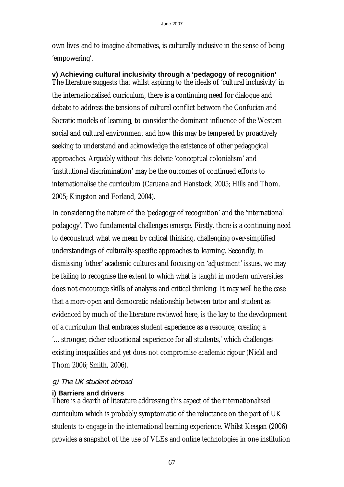own lives and to imagine alternatives, is culturally inclusive in the sense of being 'empowering'.

## **v) Achieving cultural inclusivity through a 'pedagogy of recognition'**

The literature suggests that whilst aspiring to the ideals of 'cultural inclusivity' in the internationalised curriculum, there is a continuing need for dialogue and debate to address the tensions of cultural conflict between the Confucian and Socratic models of learning, to consider the dominant influence of the Western social and cultural environment and how this may be tempered by proactively seeking to understand and acknowledge the existence of other pedagogical approaches. Arguably without this debate 'conceptual colonialism' and 'institutional discrimination' may be the outcomes of continued efforts to internationalise the curriculum (Caruana and Hanstock, 2005; Hills and Thom, 2005; Kingston and Forland, 2004).

In considering the nature of the 'pedagogy of recognition' and the 'international pedagogy'. Two fundamental challenges emerge. Firstly, there is a continuing need to deconstruct what we mean by critical thinking, challenging over-simplified understandings of culturally-specific approaches to learning. Secondly, in dismissing 'other' academic cultures and focusing on 'adjustment' issues, we may be failing to recognise the extent to which what is taught in modern universities does not encourage skills of analysis and critical thinking. It may well be the case that a more open and democratic relationship between tutor and student as evidenced by much of the literature reviewed here, is the key to the development of a curriculum that embraces student experience as a resource, creating a '…stronger, richer educational experience for all students,' which challenges existing inequalities and yet does not compromise academic rigour (Nield and Thom 2006; Smith, 2006).

# g) The UK student abroad

# **i) Barriers and drivers**

There is a dearth of literature addressing this aspect of the internationalised curriculum which is probably symptomatic of the reluctance on the part of UK students to engage in the international learning experience. Whilst Keegan (2006) provides a snapshot of the use of VLEs and online technologies in one institution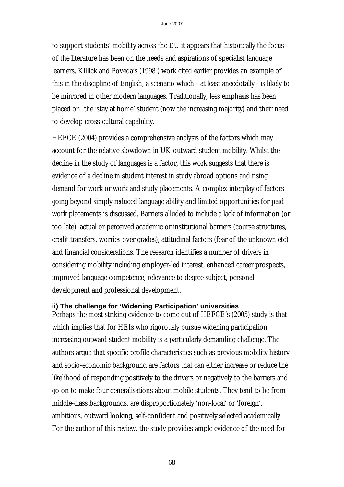to support students' mobility across the EU it appears that historically the focus of the literature has been on the needs and aspirations of specialist language learners. Killick and Poveda's (1998 ) work cited earlier provides an example of this in the discipline of English, a scenario which - at least anecdotally - is likely to be mirrored in other modern languages. Traditionally, less emphasis has been placed on the 'stay at home' student (now the increasing majority) and their need to develop cross-cultural capability.

HEFCE (2004) provides a comprehensive analysis of the factors which may account for the relative slowdown in UK outward student mobility. Whilst the decline in the study of languages is a factor, this work suggests that there is evidence of a decline in student interest in study abroad options and rising demand for work or work and study placements. A complex interplay of factors going beyond simply reduced language ability and limited opportunities for paid work placements is discussed. Barriers alluded to include a lack of information (or too late), actual or perceived academic or institutional barriers (course structures, credit transfers, worries over grades), attitudinal factors (fear of the unknown etc) and financial considerations. The research identifies a number of drivers in considering mobility including employer-led interest, enhanced career prospects, improved language competence, relevance to degree subject, personal development and professional development.

#### **ii) The challenge for 'Widening Participation' universities**

Perhaps the most striking evidence to come out of HEFCE's (2005) study is that which implies that for HEIs who rigorously pursue widening participation increasing outward student mobility is a particularly demanding challenge. The authors argue that specific profile characteristics such as previous mobility history and socio-economic background are factors that can either increase or reduce the likelihood of responding positively to the drivers or negatively to the barriers and go on to make four generalisations about mobile students. They tend to be from middle-class backgrounds, are disproportionately 'non-local' or 'foreign', ambitious, outward looking, self-confident and positively selected academically. For the author of this review, the study provides ample evidence of the need for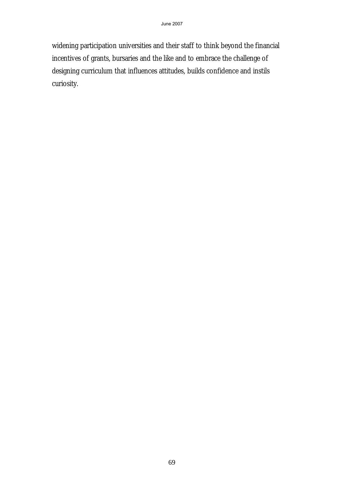widening participation universities and their staff to think beyond the financial incentives of grants, bursaries and the like and to embrace the challenge of designing curriculum that influences attitudes, builds confidence and instils curiosity.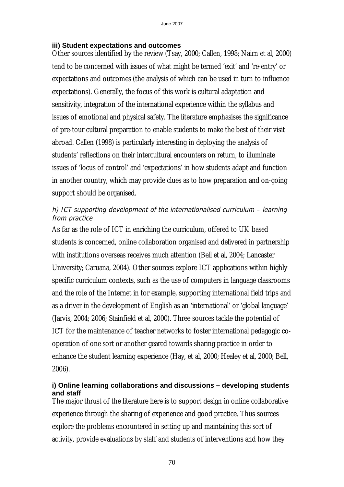## **iii) Student expectations and outcomes**

Other sources identified by the review (Tsay, 2000; Callen, 1998; Nairn et al, 2000) tend to be concerned with issues of what might be termed 'exit' and 're-entry' or expectations and outcomes (the analysis of which can be used in turn to influence expectations). Generally, the focus of this work is cultural adaptation and sensitivity, integration of the international experience within the syllabus and issues of emotional and physical safety. The literature emphasises the significance of pre-tour cultural preparation to enable students to make the best of their visit abroad. Callen (1998) is particularly interesting in deploying the analysis of students' reflections on their intercultural encounters on return, to illuminate issues of 'locus of control' and 'expectations' in how students adapt and function in another country, which may provide clues as to how preparation and on-going support should be organised.

# h) ICT supporting development of the internationalised curriculum – learning from practice

As far as the role of ICT in enriching the curriculum, offered to UK based students is concerned, online collaboration organised and delivered in partnership with institutions overseas receives much attention (Bell et al, 2004; Lancaster University; Caruana, 2004). Other sources explore ICT applications within highly specific curriculum contexts, such as the use of computers in language classrooms and the role of the Internet in for example, supporting international field trips and as a driver in the development of English as an 'international' or 'global language' (Jarvis, 2004; 2006; Stainfield et al, 2000). Three sources tackle the potential of ICT for the maintenance of teacher networks to foster international pedagogic cooperation of one sort or another geared towards sharing practice in order to enhance the student learning experience (Hay, et al, 2000; Healey et al, 2000; Bell, 2006).

## **i) Online learning collaborations and discussions – developing students and staff**

The major thrust of the literature here is to support design in online collaborative experience through the sharing of experience and good practice. Thus sources explore the problems encountered in setting up and maintaining this sort of activity, provide evaluations by staff and students of interventions and how they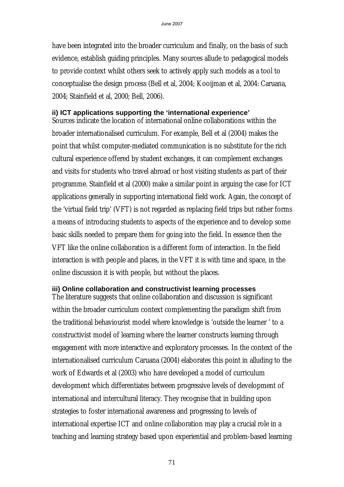have been integrated into the broader curriculum and finally, on the basis of such evidence, establish guiding principles. Many sources allude to pedagogical models to provide context whilst others seek to actively apply such models as a tool to conceptualise the design process (Bell et al, 2004; Kooijman et al, 2004: Caruana, 2004; Stainfield et al, 2000; Bell, 2006).

#### **ii) ICT applications supporting the 'international experience'**

Sources indicate the location of international online collaborations within the broader internationalised curriculum. For example, Bell et al (2004) makes the point that whilst computer-mediated communication is no substitute for the rich cultural experience offered by student exchanges, it can complement exchanges and visits for students who travel abroad or host visiting students as part of their programme. Stainfield et al (2000) make a similar point in arguing the case for ICT applications generally in supporting international field work. Again, the concept of the 'virtual field trip' (VFT) is not regarded as replacing field trips but rather forms a means of introducing students to aspects of the experience and to develop some basic skills needed to prepare them for going into the field. In essence then the VFT like the online collaboration is a different form of interaction. In the field interaction is with people and places, in the VFT it is with time and space, in the online discussion it is with people, but without the places.

#### **iii) Online collaboration and constructivist learning processes**

The literature suggests that online collaboration and discussion is significant within the broader curriculum context complementing the paradigm shift from the traditional behaviourist model where knowledge is 'outside the learner ' to a constructivist model of learning where the learner constructs learning through engagement with more interactive and exploratory processes. In the context of the internationalised curriculum Caruana (2004) elaborates this point in alluding to the work of Edwards et al (2003) who have developed a model of curriculum development which differentiates between progressive levels of development of international and intercultural literacy. They recognise that in building upon strategies to foster international awareness and progressing to levels of international expertise ICT and online collaboration may play a crucial role in a teaching and learning strategy based upon experiential and problem-based learning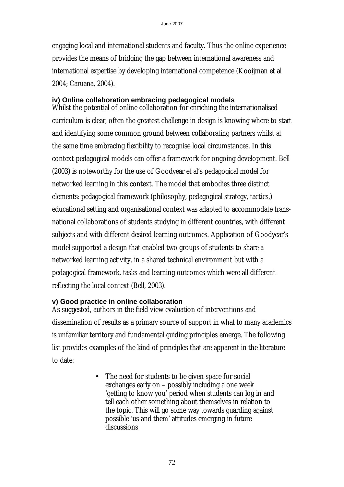engaging local and international students and faculty. Thus the online experience provides the means of bridging the gap between international awareness and international expertise by developing international competence (Kooijman et al 2004; Caruana, 2004).

#### **iv) Online collaboration embracing pedagogical models**

Whilst the potential of online collaboration for enriching the internationalised curriculum is clear, often the greatest challenge in design is knowing where to start and identifying some common ground between collaborating partners whilst at the same time embracing flexibility to recognise local circumstances. In this context pedagogical models can offer a framework for ongoing development. Bell (2003) is noteworthy for the use of Goodyear et al's pedagogical model for networked learning in this context. The model that embodies three distinct elements: pedagogical framework (philosophy, pedagogical strategy, tactics,) educational setting and organisational context was adapted to accommodate transnational collaborations of students studying in different countries, with different subjects and with different desired learning outcomes. Application of Goodyear's model supported a design that enabled two groups of students to share a networked learning activity, in a shared technical environment but with a pedagogical framework, tasks and learning outcomes which were all different reflecting the local context (Bell, 2003).

## **v) Good practice in online collaboration**

As suggested, authors in the field view evaluation of interventions and dissemination of results as a primary source of support in what to many academics is unfamiliar territory and fundamental guiding principles emerge. The following list provides examples of the kind of principles that are apparent in the literature to date:

> • The need for students to be given space for social exchanges early on – possibly including a one week 'getting to know you' period when students can log in and tell each other something about themselves in relation to the topic. This will go some way towards guarding against possible 'us and them' attitudes emerging in future discussions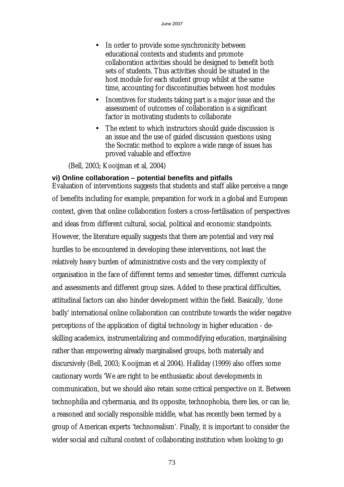- In order to provide some synchronicity between educational contexts and students and promote collaboration activities should be designed to benefit both sets of students. Thus activities should be situated in the host module for each student group whilst at the same time, accounting for discontinuities between host modules
- Incentives for students taking part is a major issue and the assessment of outcomes of collaboration is a significant factor in motivating students to collaborate
- The extent to which instructors should guide discussion is an issue and the use of guided discussion questions using the Socratic method to explore a wide range of issues has proved valuable and effective

(Bell, 2003; Kooijman et al, 2004)

#### **vi) Online collaboration – potential benefits and pitfalls**

Evaluation of interventions suggests that students and staff alike perceive a range of benefits including for example, preparation for work in a global and European context, given that online collaboration fosters a cross-fertilisation of perspectives and ideas from different cultural, social, political and economic standpoints. However, the literature equally suggests that there are potential and very real hurdles to be encountered in developing these interventions, not least the relatively heavy burden of administrative costs and the very complexity of organisation in the face of different terms and semester times, different curricula and assessments and different group sizes. Added to these practical difficulties, attitudinal factors can also hinder development within the field. Basically, 'done badly' international online collaboration can contribute towards the wider negative perceptions of the application of digital technology in higher education - deskilling academics, instrumentalizing and commodifying education, marginalising rather than empowering already marginalised groups, both materially and discursively (Bell, 2003; Kooijman et al 2004). Halliday (1999) also offers some cautionary words 'We are right to be enthusiastic about developments in communication, but we should also retain some critical perspective on it. Between technophilia and cybermania, and its opposite, technophobia, there lies, or can lie, a reasoned and socially responsible middle, what has recently been termed by a group of American experts 'technorealism'. Finally, it is important to consider the wider social and cultural context of collaborating institution when looking to go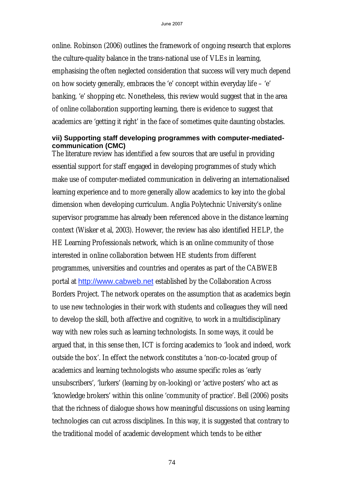online. Robinson (2006) outlines the framework of ongoing research that explores the culture-quality balance in the trans-national use of VLEs in learning, emphasising the often neglected consideration that success will very much depend on how society generally, embraces the 'e' concept within everyday life – 'e' banking, 'e' shopping etc. Nonetheless, this review would suggest that in the area of online collaboration supporting learning, there is evidence to suggest that academics are 'getting it right' in the face of sometimes quite daunting obstacles.

#### **vii) Supporting staff developing programmes with computer-mediatedcommunication (CMC)**

The literature review has identified a few sources that are useful in providing essential support for staff engaged in developing programmes of study which make use of computer-mediated communication in delivering an internationalised learning experience and to more generally allow academics to key into the global dimension when developing curriculum. Anglia Polytechnic University's online supervisor programme has already been referenced above in the distance learning context (Wisker et al, 2003). However, the review has also identified HELP, the HE Learning Professionals network, which is an online community of those interested in online collaboration between HE students from different programmes, universities and countries and operates as part of the CABWEB portal at http://www.cabweb.net established by the Collaboration Across Borders Project. The network operates on the assumption that as academics begin to use new technologies in their work with students and colleagues they will need to develop the skill, both affective and cognitive, to work in a multidisciplinary way with new roles such as learning technologists. In some ways, it could be argued that, in this sense then, ICT is forcing academics to 'look and indeed, work outside the box'. In effect the network constitutes a 'non-co-located group of academics and learning technologists who assume specific roles as 'early unsubscribers', 'lurkers' (learning by on-looking) or 'active posters' who act as 'knowledge brokers' within this online 'community of practice'. Bell (2006) posits that the richness of dialogue shows how meaningful discussions on using learning technologies can cut across disciplines. In this way, it is suggested that contrary to the traditional model of academic development which tends to be either

74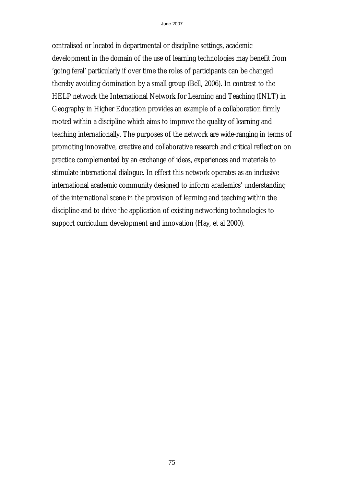centralised or located in departmental or discipline settings, academic development in the domain of the use of learning technologies may benefit from 'going feral' particularly if over time the roles of participants can be changed thereby avoiding domination by a small group (Bell, 2006). In contrast to the HELP network the International Network for Learning and Teaching (INLT) in Geography in Higher Education provides an example of a collaboration firmly rooted within a discipline which aims to improve the quality of learning and teaching internationally. The purposes of the network are wide-ranging in terms of promoting innovative, creative and collaborative research and critical reflection on practice complemented by an exchange of ideas, experiences and materials to stimulate international dialogue. In effect this network operates as an inclusive international academic community designed to inform academics' understanding of the international scene in the provision of learning and teaching within the discipline and to drive the application of existing networking technologies to support curriculum development and innovation (Hay, et al 2000).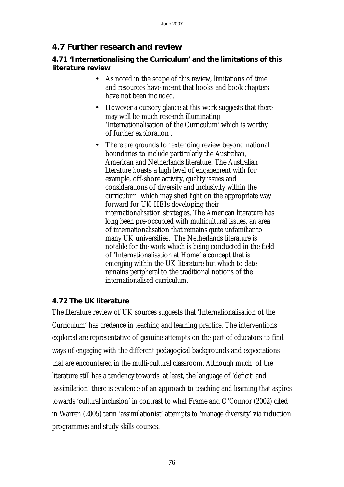## **4.7 Further research and review**

#### **4.71 'Internationalising the Curriculum' and the limitations of this literature review**

- As noted in the scope of this review, limitations of time and resources have meant that books and book chapters have not been included.
- However a cursory glance at this work suggests that there may well be much research illuminating 'Internationalisation of the Curriculum' which is worthy of further exploration .
- There are grounds for extending review beyond national boundaries to include particularly the Australian, American and Netherlands literature. The Australian literature boasts a high level of engagement with for example, off-shore activity, quality issues and considerations of diversity and inclusivity within the curriculum which may shed light on the appropriate way forward for UK HEIs developing their internationalisation strategies. The American literature has long been pre-occupied with multicultural issues, an area of internationalisation that remains quite unfamiliar to many UK universities. The Netherlands literature is notable for the work which is being conducted in the field of 'Internationalisation at Home' a concept that is emerging within the UK literature but which to date remains peripheral to the traditional notions of the internationalised curriculum.

#### **4.72 The UK literature**

The literature review of UK sources suggests that 'Internationalisation of the Curriculum' has credence in teaching and learning practice. The interventions explored are representative of genuine attempts on the part of educators to find ways of engaging with the different pedagogical backgrounds and expectations that are encountered in the multi-cultural classroom. Although much of the literature still has a tendency towards, at least, the language of 'deficit' and 'assimilation' there is evidence of an approach to teaching and learning that aspires towards 'cultural inclusion' in contrast to what Frame and O'Connor (2002) cited in Warren (2005) term 'assimilationist' attempts to 'manage diversity' via induction programmes and study skills courses.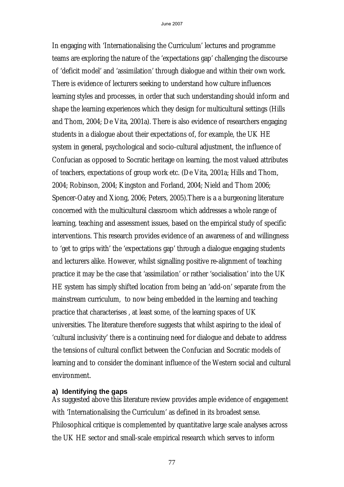In engaging with 'Internationalising the Curriculum' lectures and programme teams are exploring the nature of the 'expectations gap' challenging the discourse of 'deficit model' and 'assimilation' through dialogue and within their own work. There is evidence of lecturers seeking to understand how culture influences learning styles and processes, in order that such understanding should inform and shape the learning experiences which they design for multicultural settings (Hills and Thom, 2004; De Vita, 2001a). There is also evidence of researchers engaging students in a dialogue about their expectations of, for example, the UK HE system in general, psychological and socio-cultural adjustment, the influence of Confucian as opposed to Socratic heritage on learning, the most valued attributes of teachers, expectations of group work etc. (De Vita, 2001a; Hills and Thom, 2004; Robinson, 2004; Kingston and Forland, 2004; Nield and Thom 2006; Spencer-Oatey and Xiong, 2006; Peters, 2005).There is a a burgeoning literature concerned with the multicultural classroom which addresses a whole range of learning, teaching and assessment issues, based on the empirical study of specific interventions. This research provides evidence of an awareness of and willingness to 'get to grips with' the 'expectations gap' through a dialogue engaging students and lecturers alike. However, whilst signalling positive re-alignment of teaching practice it may be the case that 'assimilation' or rather 'socialisation' into the UK HE system has simply shifted location from being an 'add-on' separate from the mainstream curriculum, to now being embedded in the learning and teaching practice that characterises , at least some, of the learning spaces of UK universities. The literature therefore suggests that whilst aspiring to the ideal of 'cultural inclusivity' there is a continuing need for dialogue and debate to address the tensions of cultural conflict between the Confucian and Socratic models of learning and to consider the dominant influence of the Western social and cultural environment.

#### **a) Identifying the gaps**

As suggested above this literature review provides ample evidence of engagement with 'Internationalising the Curriculum' as defined in its broadest sense. Philosophical critique is complemented by quantitative large scale analyses across the UK HE sector and small-scale empirical research which serves to inform

77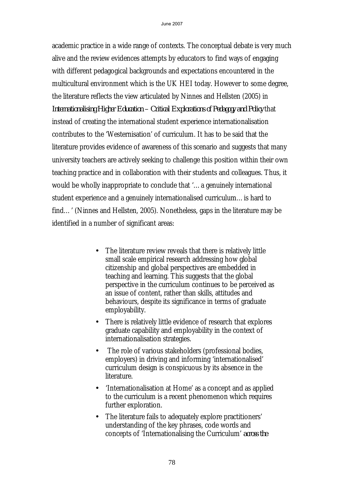academic practice in a wide range of contexts. The conceptual debate is very much alive and the review evidences attempts by educators to find ways of engaging with different pedagogical backgrounds and expectations encountered in the multicultural environment which is the UK HEI today. However to some degree, the literature reflects the view articulated by Ninnes and Hellsten (2005) in *Internationalising Higher Education – Critical Explorations of Pedagogy and Policy* that instead of creating the international student experience internationalisation contributes to the 'Westernisation' of curriculum. It has to be said that the literature provides evidence of awareness of this scenario and suggests that many university teachers are actively seeking to challenge this position within their own teaching practice and in collaboration with their students and colleagues. Thus, it would be wholly inappropriate to conclude that '…a genuinely international student experience and a genuinely internationalised curriculum…is hard to find…' (Ninnes and Hellsten, 2005). Nonetheless, gaps in the literature may be identified in a number of significant areas:

- The literature review reveals that there is relatively little small scale empirical research addressing how global citizenship and global perspectives are embedded in teaching and learning. This suggests that the global perspective in the curriculum continues to be perceived as an issue of content, rather than skills, attitudes and behaviours, despite its significance in terms of graduate employability.
- There is relatively little evidence of research that explores graduate capability and employability in the context of internationalisation strategies.
- The role of various stakeholders (professional bodies, employers) in driving and informing 'internationalised' curriculum design is conspicuous by its absence in the literature.
- 'Internationalisation at Home' as a concept and as applied to the curriculum is a recent phenomenon which requires further exploration.
- The literature fails to adequately explore practitioners' understanding of the key phrases, code words and concepts of 'Internationalising the Curriculum' *across the*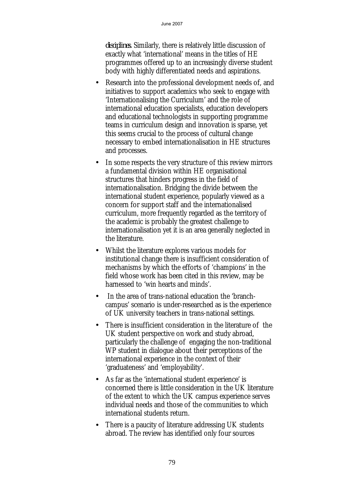*disciplines.* Similarly, there is relatively little discussion of exactly what 'international' means in the titles of HE programmes offered up to an increasingly diverse student body with highly differentiated needs and aspirations.

- Research into the professional development needs of, and initiatives to support academics who seek to engage with 'Internationalising the Curriculum' and the role of international education specialists, education developers and educational technologists in supporting programme teams in curriculum design and innovation is sparse, yet this seems crucial to the process of cultural change necessary to embed internationalisation in HE structures and processes.
- In some respects the very structure of this review mirrors a fundamental division within HE organisational structures that hinders progress in the field of internationalisation. Bridging the divide between the international student experience, popularly viewed as a concern for support staff and the internationalised curriculum, more frequently regarded as the territory of the academic is probably the greatest challenge to internationalisation yet it is an area generally neglected in the literature.
- Whilst the literature explores various models for institutional change there is insufficient consideration of mechanisms by which the efforts of 'champions' in the field whose work has been cited in this review, may be harnessed to 'win hearts and minds'.
- In the area of trans-national education the 'branchcampus' scenario is under-researched as is the experience of UK university teachers in trans-national settings.
- There is insufficient consideration in the literature of the UK student perspective on work and study abroad, particularly the challenge of engaging the non-traditional WP student in dialogue about their perceptions of the international experience in the context of their 'graduateness' and 'employability'.
- As far as the 'international student experience' is concerned there is little consideration in the UK literature of the extent to which the UK campus experience serves individual needs and those of the communities to which international students return.
- There is a paucity of literature addressing UK students abroad. The review has identified only four sources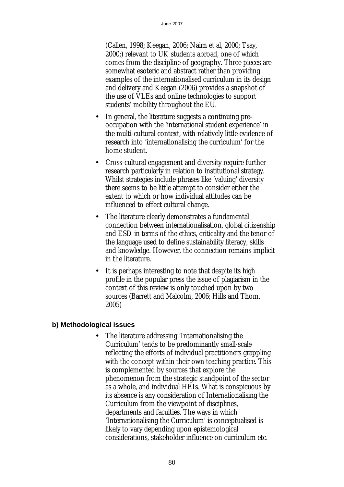(Callen, 1998; Keegan, 2006; Nairn et al, 2000; Tsay, 2000;) relevant to UK students abroad, one of which comes from the discipline of geography. Three pieces are somewhat esoteric and abstract rather than providing examples of the internationalised curriculum in its design and delivery and Keegan (2006) provides a snapshot of the use of VLEs and online technologies to support students' mobility throughout the EU.

- In general, the literature suggests a continuing preoccupation with the 'international student experience' in the multi-cultural context, with relatively little evidence of research into 'internationalising the curriculum' for the home student.
- Cross-cultural engagement and diversity require further research particularly in relation to institutional strategy. Whilst strategies include phrases like 'valuing' diversity there seems to be little attempt to consider either the extent to which or how individual attitudes can be influenced to effect cultural change.
- The literature clearly demonstrates a fundamental connection between internationalisation, global citizenship and ESD in terms of the ethics, criticality and the tenor of the language used to define sustainability literacy, skills and knowledge. However, the connection remains implicit in the literature.
- It is perhaps interesting to note that despite its high profile in the popular press the issue of plagiarism in the context of this review is only touched upon by two sources (Barrett and Malcolm, 2006; Hills and Thom, 2005)

#### **b) Methodological issues**

• The literature addressing 'Internationalising the Curriculum' tends to be predominantly small-scale reflecting the efforts of individual practitioners grappling with the concept within their own teaching practice. This is complemented by sources that explore the phenomenon from the strategic standpoint of the sector as a whole, and individual HEIs. What is conspicuous by its absence is any consideration of Internationalising the Curriculum from the viewpoint of disciplines, departments and faculties. The ways in which 'Internationalising the Curriculum' is conceptualised is likely to vary depending upon epistemological considerations, stakeholder influence on curriculum etc.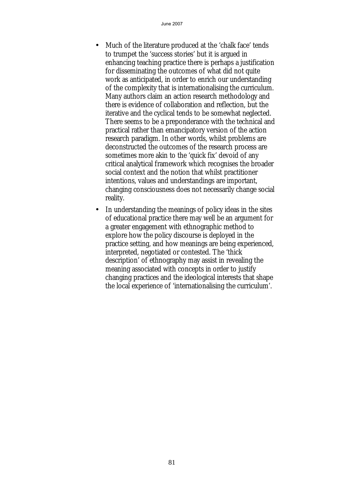- Much of the literature produced at the 'chalk face' tends to trumpet the 'success stories' but it is argued in enhancing teaching practice there is perhaps a justification for disseminating the outcomes of what did not quite work as anticipated, in order to enrich our understanding of the complexity that is internationalising the curriculum. Many authors claim an action research methodology and there is evidence of collaboration and reflection, but the iterative and the cyclical tends to be somewhat neglected. There seems to be a preponderance with the technical and practical rather than emancipatory version of the action research paradigm. In other words, whilst problems are deconstructed the outcomes of the research process are sometimes more akin to the 'quick fix' devoid of any critical analytical framework which recognises the broader social context and the notion that whilst practitioner intentions, values and understandings are important, changing consciousness does not necessarily change social reality.
- In understanding the meanings of policy ideas in the sites of educational practice there may well be an argument for a greater engagement with ethnographic method to explore how the policy discourse is deployed in the practice setting, and how meanings are being experienced, interpreted, negotiated or contested. The 'thick description' of ethnography may assist in revealing the meaning associated with concepts in order to justify changing practices and the ideological interests that shape the local experience of 'internationalising the curriculum'.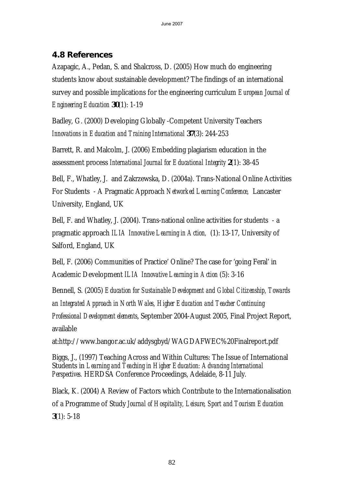## **4.8 References**

Azapagic, A., Pedan, S. and Shalcross, D. (2005) How much do engineering students know about sustainable development? The findings of an international survey and possible implications for the engineering curriculum *European Journal of Engineering Education* **30**(1): 1-19

Badley, G. (2000) Developing Globally -Competent University Teachers *Innovations in Education and Training International* **37**(3): 244-253

Barrett, R. and Malcolm, J. (2006) Embedding plagiarism education in the assessment process *International Journal for Educational Integrity* **2**(1): 38-45

Bell, F., Whatley, J. and Zakrzewska, D. (2004a). Trans-National Online Activities For Students - A Pragmatic Approach *Networked Learning Conference,* Lancaster University, England, UK

Bell, F. and Whatley, J. (2004). Trans-national online activities for students - a pragmatic approach *ILIA Innovative Learning in Action,* (1): 13-17, University of Salford, England, UK

Bell, F. (2006) Communities of Practice' Online? The case for 'going Feral' in Academic Development *ILIA Innovative Learning in Action* (5): 3-16

Bennell, S. (2005) *Education for Sustainable Development and Global Citizenship, Towards an Integrated Approach in North Wales, Higher Education and Teacher Continuing Professional Development elements*, September 2004-August 2005, Final Project Report, available

at:http://www.bangor.ac.uk/addysgbyd/WAGDAFWEC%20Finalreport.pdf

Biggs, J., (1997) Teaching Across and Within Cultures: The Issue of International Students in *Learning and Teaching in Higher Education: Advancing International Perspectives.* HERDSA Conference Proceedings, Adelaide, 8-11 July.

Black, K. (2004) A Review of Factors which Contribute to the Internationalisation of a Programme of Study *Journal of Hospitality, Leisure, Sport and Tourism Education* **3**(1): 5-18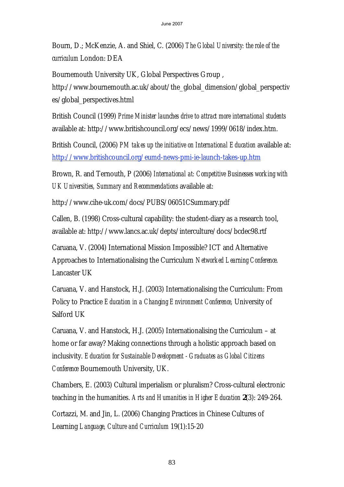Bourn, D.; McKenzie, A. and Shiel, C. (2006) *The Global University: the role of the curriculum* London: DEA

Bournemouth University UK, Global Perspectives Group ,

http://www.bournemouth.ac.uk/about/the\_global\_dimension/global\_perspectiv es/global\_perspectives.html

British Council (1999) *Prime Minister launches drive to attract more international students* available at: http://www.britishcouncil.org/ecs/news/1999/0618/index.htm.

British Council, (2006) *PM takes up the initiative on International Education* available at: http://www.britishcouncil.org/eumd-news-pmi-ie-launch-takes-up.htm

Brown, R. and Ternouth, P (2006) *International at: Competitive Businesses working with UK Universities, Summary and Recommendations* available at:

http://www.cihe-uk.com/docs/PUBS/06051CSummary.pdf

Callen, B. (1998) Cross-cultural capability: the student-diary as a research tool, available at: http://www.lancs.ac.uk/depts/interculture/docs/bcdec98.rtf

Caruana, V. (2004) International Mission Impossible? ICT and Alternative Approaches to Internationalising the Curriculum *Networked Learning Conference.* Lancaster UK

Caruana, V. and Hanstock, H.J. (2003) Internationalising the Curriculum: From Policy to Practice *Education in a Changing Environment Conference,* University of Salford UK

Caruana, V. and Hanstock, H.J. (2005) Internationalising the Curriculum – at home or far away? Making connections through a holistic approach based on inclusivity. *Education for Sustainable Development - Graduates as Global Citizens Conference* Bournemouth University, UK.

Chambers, E. (2003) Cultural imperialism or pluralism? Cross-cultural electronic teaching in the humanities. *Arts and Humanities in Higher Education* **2**(3): 249-264.

Cortazzi, M. and Jin, L. (2006) Changing Practices in Chinese Cultures of Learning *Language, Culture and Curriculum* 19(1):15-20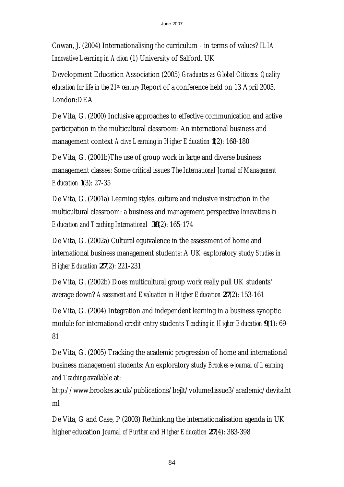Cowan, J. (2004) Internationalising the curriculum - in terms of values? *ILIA Innovative Learning in Action* (1) University of Salford, UK

Development Education Association (2005) *Graduates as Global Citizens: Quality education for life in the 21st century* Report of a conference held on 13 April 2005, London:DEA

De Vita, G. (2000) Inclusive approaches to effective communication and active participation in the multicultural classroom: An international business and management context *Active Learning in Higher Education* **1**(2): 168-180

De Vita, G. (2001b)The use of group work in large and diverse business management classes: Some critical issues *The International Journal of Management Education* **1**(3): 27-35

De Vita, G. (2001a) Learning styles, culture and inclusive instruction in the multicultural classroom: a business and management perspective *Innovations in Education and Teaching International* **38**(2): 165-174

De Vita, G. (2002a) Cultural equivalence in the assessment of home and international business management students: A UK exploratory study *Studies in Higher Education* **27**(2): 221-231

De Vita, G. (2002b) Does multicultural group work really pull UK students' average down? *Assessment and Evaluation in Higher Education* **27**(2): 153-161

De Vita, G. (2004) Integration and independent learning in a business synoptic module for international credit entry students *Teaching in Higher Education* **9**(1): 69- 81

De Vita, G. (2005) Tracking the academic progression of home and international business management students: An exploratory study *Brookes e-journal of Learning and Teaching* available at:

http://www.brookes.ac.uk/publications/bejlt/volume1issue3/academic/devita.ht ml

De Vita, G and Case, P (2003) Rethinking the internationalisation agenda in UK higher education *Journal of Further and Higher Education* **27**(4): 383-398

84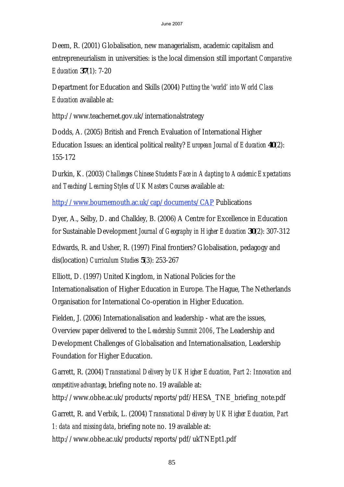Deem, R. (2001) Globalisation, new managerialism, academic capitalism and entrepreneurialism in universities: is the local dimension still important *Comparative Education* **37**(1): 7-20

Department for Education and Skills (2004) *Putting the 'world' into World Class Education* available at:

http://www.teachernet.gov.uk/internationalstrategy

Dodds, A. (2005) British and French Evaluation of International Higher Education Issues: an identical political reality? *European Journal of Education* **40**(2): 155-172

Durkin, K. (2003) *Challenges Chinese Students Face in Adapting to Academic Expectations and Teaching/Learning Styles of UK Masters Courses* available at:

http://www.bournemouth.ac.uk/cap/documents/CAP Publications

Dyer, A., Selby, D. and Chalkley, B. (2006) A Centre for Excellence in Education for Sustainable Development *Journal of Geography in Higher Education* **30**(2): 307-312

Edwards, R. and Usher, R. (1997) Final frontiers? Globalisation, pedagogy and dis(location) *Curriculum Studies* **5**(3): 253-267

Elliott, D. (1997) United Kingdom, in National Policies for the Internationalisation of Higher Education in Europe. The Hague, The Netherlands Organisation for International Co-operation in Higher Education.

Fielden, J. (2006) Internationalisation and leadership - what are the issues, Overview paper delivered to the *Leadership Summit 2006*, The Leadership and Development Challenges of Globalisation and Internationalisation, Leadership Foundation for Higher Education.

Garrett, R. (2004) *Transnational Delivery by UK Higher Education, Part 2: Innovation and competitive advantage*, briefing note no. 19 available at:

http://www.obhe.ac.uk/products/reports/pdf/HESA\_TNE\_briefing\_note.pdf

Garrett, R. and Verbik, L. (2004) *Transnational Delivery by UK Higher Education, Part 1: data and missing data*, briefing note no. 19 available at:

http://www.obhe.ac.uk/products/reports/pdf/ukTNEpt1.pdf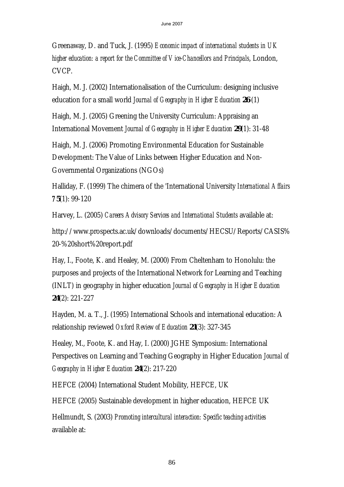Greenaway, D. and Tuck, J. (1995) *Economic impact of international students in UK higher education: a report for the Committee of Vice-Chancellors and Principals*, London, CVCP.

Haigh, M. J. (2002) Internationalisation of the Curriculum: designing inclusive education for a small world *Journal of Geography in Higher Education* **26** (1)

Haigh, M. J. (2005) Greening the University Curriculum: Appraising an International Movement *Journal of Geography in Higher Education* **29**(1): 31-48

Haigh, M. J. (2006) Promoting Environmental Education for Sustainable Development: The Value of Links between Higher Education and Non-Governmental Organizations (NGOs)

Halliday, F. (1999) The chimera of the 'International University *International Affairs 7***5**(1): 99-120

Harvey, L. (2005) *Careers Advisory Services and International Students* available at:

http://www.prospects.ac.uk/downloads/documents/HECSU/Reports/CASIS% 20-%20short%20report.pdf

Hay, I., Foote, K. and Healey, M. (2000) From Cheltenham to Honolulu: the purposes and projects of the International Network for Learning and Teaching (INLT) in geography in higher education *Journal of Geography in Higher Education* **24**(2): 221-227

Hayden, M. a. T., J. (1995) International Schools and international education: A relationship reviewed *Oxford Review of Education* **21**(3): 327-345

Healey, M., Foote, K. and Hay, I. (2000) JGHE Symposium: International Perspectives on Learning and Teaching Geography in Higher Education *Journal of Geography in Higher Education* **24**(2): 217-220

HEFCE (2004) International Student Mobility, HEFCE, UK

HEFCE (2005) Sustainable development in higher education, HEFCE UK

Hellmundt, S. (2003) *Promoting intercultural interaction: Specific teaching activities*  available at: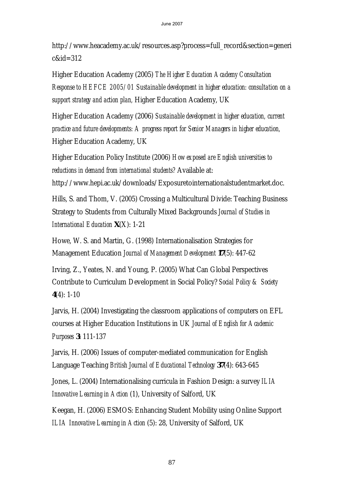http://www.heacademy.ac.uk/resources.asp?process=full\_record&section=generi c&id=312

Higher Education Academy (2005) *The Higher Education Academy Consultation Response to HEFCE 2005/01 Sustainable development in higher education: consultation on a support strategy and action plan,* Higher Education Academy, UK

Higher Education Academy (2006) *Sustainable development in higher education, current practice and future developments: A progress report for Senior Managers in higher education,* Higher Education Academy, UK

Higher Education Policy Institute (2006) *How exposed are English universities to reductions in demand from international students?* Available at:

http://www.hepi.ac.uk/downloads/Exposuretointernationalstudentmarket.doc.

Hills, S. and Thom, V. (2005) Crossing a Multicultural Divide: Teaching Business Strategy to Students from Culturally Mixed Backgrounds *Journal of Studies in International Education* **X**(X): 1-21

Howe, W. S. and Martin, G. (1998) Internationalisation Strategies for Management Education *Journal of Management Development* **17**(5): 447-62

Irving, Z., Yeates, N. and Young, P. (2005) What Can Global Perspectives Contribute to Curriculum Development in Social Policy? *Social Policy & Society* **4**(4): 1-10

Jarvis, H. (2004) Investigating the classroom applications of computers on EFL courses at Higher Education Institutions in UK *Journal of English for Academic Purposes* **3**: 111-137

Jarvis, H. (2006) Issues of computer-mediated communication for English Language Teaching *British Journal of Educational Technology* **37**(4): 643-645

Jones, L. (2004) Internationalising curricula in Fashion Design: a survey *ILIA Innovative Learning in Action* (1), University of Salford, UK

Keegan, H. (2006) ESMOS: Enhancing Student Mobility using Online Support *ILIA Innovative Learning in Action* (5): 28, University of Salford, UK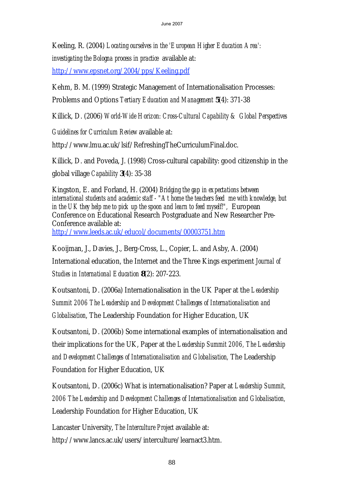Keeling, R. (2004) *Locating ourselves in the 'European Higher Education Area': investigating the Bologna process in practice* available at:

http://www.epsnet.org/2004/pps/Keeling.pdf

Kehm, B. M. (1999) Strategic Management of Internationalisation Processes:

Problems and Options *Tertiary Education and Management* **5**(4): 371-38

Killick, D. (2006) *World-Wide Horizon: Cross-Cultural Capability & Global Perspectives* 

*Guidelines for Curriculum Review* available at:

http://www.lmu.ac.uk/lsif/RefreshingTheCurriculumFinal.doc.

Killick, D. and Poveda, J. (1998) Cross-cultural capability: good citizenship in the global village *Capability* **3**(4): 35-38

Kingston, E. and Forland, H. (2004) *Bridging the gap in expectations between international students and academic staff - "At home the teachers feed me with knowledge, but in the UK they help me to pick up the spoon and learn to feed myself!",* European Conference on Educational Research Postgraduate and New Researcher Pre-Conference available at: http://www.leeds.ac.uk/educol/documents/00003751.htm

Kooijman, J., Davies, J., Berg-Cross, L., Copier, L. and Asby, A. (2004) International education, the Internet and the Three Kings experiment *Journal of Studies in International Education* **8**(2): 207-223.

Koutsantoni, D. (2006a) Internationalisation in the UK Paper at the *Leadership Summit 2006 The Leadership and Development Challenges of Internationalisation and Globalisation*, The Leadership Foundation for Higher Education, UK

Koutsantoni, D. (2006b) Some international examples of internationalisation and their implications for the UK, Paper at the *Leadership Summit 2006, The Leadership and Development Challenges of Internationalisation and Globalisation,* The Leadership Foundation for Higher Education, UK

Koutsantoni, D. (2006c) What is internationalisation? Paper at *Leadership Summit, 2006 The Leadership and Development Challenges of Internationalisation and Globalisation,* Leadership Foundation for Higher Education, UK

Lancaster University, *The Interculture Project* available at: http://www.lancs.ac.uk/users/interculture/learnact3.htm.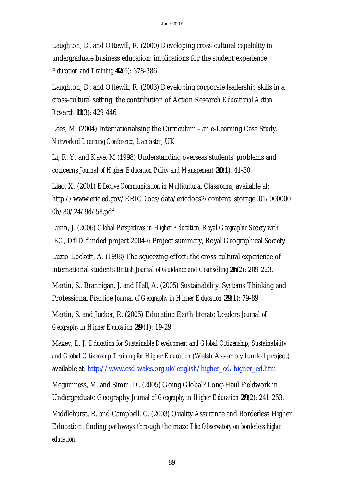Laughton, D. and Ottewill, R. (2000) Developing cross-cultural capability in undergraduate business education: implications for the student experience *Education and Training* **42**(6): 378-386

Laughton, D. and Ottewill, R. (2003) Developing corporate leadership skills in a cross-cultural setting: the contribution of Action Research *Educational Action Research* **11**(3): 429-446

Lees, M. (2004) Internationalising the Curriculum - an e-Learning Case Study. *Networked Learning Conference, Lancaster*, UK

Li, R. Y. and Kaye, M (1998) Understanding overseas students' problems and concerns *Journal of Higher Education Policy and Management* **20**(1): 41-50

Liao, X. (2001) *Effective Communication in Multicultural Classrooms*, available at: http://www.eric.ed.gov/ERICDocs/data/ericdocs2/content\_storage\_01/000000 0b/80/24/9d/58.pdf

Lunn, J. (2006) *Global Perspectives in Higher Education, Royal Geographic Society with IBG,* DfID funded project 2004-6 Project summary, Royal Geographical Society

Luzio-Lockett, A. (1998) The squeezing-effect: the cross-cultural experience of international students *British Journal of Guidance and Counselling* **26**(2): 209-223.

Martin, S., Brannigan, J. and Hall, A. (2005) Sustainability, Systems Thinking and Professional Practice *Journal of Geography in Higher Education* **29**(1): 79-89

Martin, S. and Jucker, R. (2005) Educating Earth-literate Leaders *Journal of Geography in Higher Education* **29** (1): 19-29

Maxey, L. J. *Education for Sustainable Development and Global Citizenship, Sustainability and Global Citizenship Training for Higher Education* (Welsh Assembly funded project) available at: http://www.esd-wales.org.uk/english/higher\_ed/higher\_ed.htm

Mcguinness, M. and Simm, D. (2005) Going Global? Long-Haul Fieldwork in Undergraduate Geography *Journal of Geography in Higher Education* **29**(2): 241-253.

Middlehurst, R. and Campbell, C. (2003) Quality Assurance and Borderless Higher Education: finding pathways through the maze *The Observatory on borderless higher education.*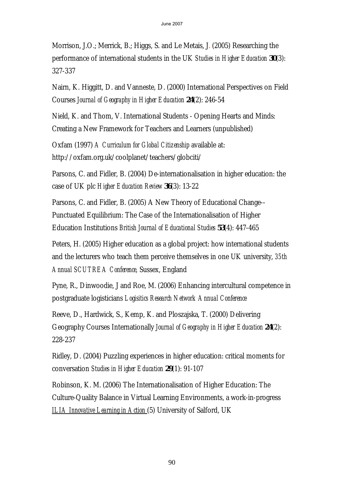Morrison, J.O.; Merrick, B.; Higgs, S. and Le Metais, J. (2005) Researching the performance of international students in the UK *Studies in Higher Education* **30**(3): 327-337

Nairn, K. Higgitt, D. and Vanneste, D. (2000) International Perspectives on Field Courses *Journal of Geography in Higher Education* **24**(2): 246-54

Nield, K. and Thom, V. International Students - Opening Hearts and Minds: Creating a New Framework for Teachers and Learners (unpublished)

Oxfam (1997) *A Curriculum for Global Citizenship* available at: http://oxfam.org.uk/coolplanet/teachers/globciti/

Parsons, C. and Fidler, B. (2004) De-internationalisation in higher education: the case of UK plc *Higher Education Review* **36**(3): 13-22

Parsons, C. and Fidler, B. (2005) A New Theory of Educational Change-- Punctuated Equilibrium: The Case of the Internationalisation of Higher Education Institutions *British Journal of Educational Studies* **53**(4): 447-465

Peters, H. (2005) Higher education as a global project: how international students and the lecturers who teach them perceive themselves in one UK university, *35th Annual SCUTREA Conference,* Sussex, England

Pyne, R., Dinwoodie, J and Roe, M. (2006) Enhancing intercultural competence in postgraduate logisticians *Logisitics Research Network Annual Conference*

Reeve, D., Hardwick, S., Kemp, K. and Ploszajska, T. (2000) Delivering Geography Courses Internationally *Journal of Geography in Higher Education* **24**(2): 228-237

Ridley, D. (2004) Puzzling experiences in higher education: critical moments for conversation *Studies in Higher Education* **29**(1): 91-107

Robinson, K. M. (2006) The Internationalisation of Higher Education: The Culture-Quality Balance in Virtual Learning Environments, a work-in-progress *ILIA Innovative Learning in Action* (5) University of Salford, UK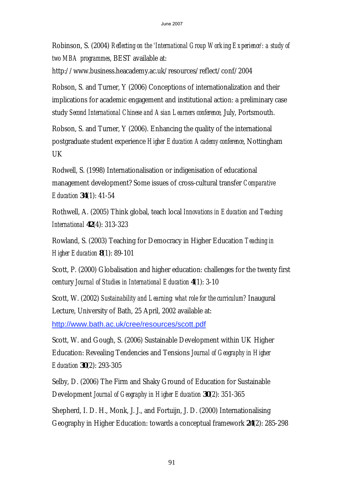Robinson, S. (2004) *Reflecting on the 'International Group Working Experience': a study of two MBA programmes*, BEST available at:

http://www.business.heacademy.ac.uk/resources/reflect/conf/2004

Robson, S. and Turner, Y (2006) Conceptions of internationalization and their implications for academic engagement and institutional action: a preliminary case study *Second International Chinese and Asian Learners conference,* July, Portsmouth.

Robson, S. and Turner, Y (2006). Enhancing the quality of the international postgraduate student experience *Higher Education Academy conference*, Nottingham UK

Rodwell, S. (1998) Internationalisation or indigenisation of educational management development? Some issues of cross-cultural transfer *Comparative Education* **34**(1): 41-54

Rothwell, A. (2005) Think global, teach local *Innovations in Education and Teaching International* **42**(4): 313-323

Rowland, S. (2003) Teaching for Democracy in Higher Education *Teaching in Higher Education* **8**(1): 89-101

Scott, P. (2000) Globalisation and higher education: challenges for the twenty first century *Journal of Studies in International Education* **4**(1): 3-10

Scott, W. (2002) *Sustainability and Learning: what role for the curriculum?* Inaugural Lecture, University of Bath, 25 April, 2002 available at:

http://www.bath.ac.uk/cree/resources/scott.pdf

Scott, W. and Gough, S. (2006) Sustainable Development within UK Higher Education: Revealing Tendencies and Tensions *Journal of Geography in Higher Education* **30**(2): 293-305

Selby, D. (2006) The Firm and Shaky Ground of Education for Sustainable Development *Journal of Geography in Higher Education* **30**(2): 351-365

Shepherd, I. D. H., Monk, J. J., and Fortuijn, J. D. (2000) Internationalising Geography in Higher Education: towards a conceptual framework **24**(2): 285-298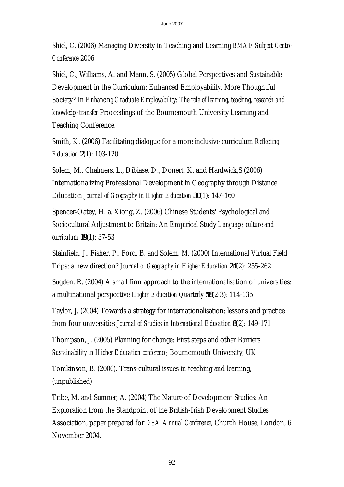Shiel, C. (2006) Managing Diversity in Teaching and Learning *BMAF Subject Centre Conference* 2006

Shiel, C., Williams, A. and Mann, S. (2005) Global Perspectives and Sustainable Development in the Curriculum: Enhanced Employability, More Thoughtful Society? In *Enhancing Graduate Employability: The role of learning, teaching, research and knowledge transfer* Proceedings of the Bournemouth University Learning and Teaching Conference.

Smith, K. (2006) Facilitating dialogue for a more inclusive curriculum *Reflecting Education* **2**(1): 103-120

Solem, M., Chalmers, L., Dibiase, D., Donert, K. and Hardwick,S (2006) Internationalizing Professional Development in Geography through Distance Education *Journal of Geography in Higher Education* **30**(1): 147-160

Spencer-Oatey, H. a. Xiong, Z. (2006) Chinese Students' Psychological and Sociocultural Adjustment to Britain: An Empirical Study *Language, culture and curriculum* **19**(1): 37-53

Stainfield, J., Fisher, P., Ford, B. and Solem, M. (2000) International Virtual Field Trips: a new direction? *Journal of Geography in Higher Education* **24**(2): 255-262

Sugden, R. (2004) A small firm approach to the internationalisation of universities: a multinational perspective *Higher Education Quarterly* **58**(2-3): 114-135

Taylor, J. (2004) Towards a strategy for internationalisation: lessons and practice from four universities *Journal of Studies in International Education* **8**(2): 149-171

Thompson, J. (2005) Planning for change: First steps and other Barriers *Sustainability in Higher Education conference,* Bournemouth University, UK

Tomkinson, B. (2006). Trans-cultural issues in teaching and learning, (unpublished)

Tribe, M. and Sumner, A. (2004) The Nature of Development Studies: An Exploration from the Standpoint of the British-Irish Development Studies Association, paper prepared for *DSA Annual Conference*, Church House, London, 6 November 2004.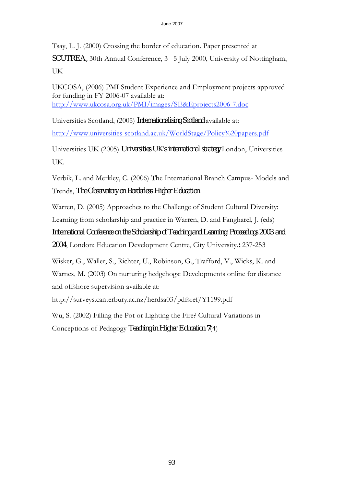Tsay, L. J. (2000) Crossing the border of education. Paper presented at *SCUTREA*, 30th Annual Conference, 3 5 July 2000, University of Nottingham, UK

UKCOSA, (2006) PMI Student Experience and Employment projects approved for funding in FY 2006-07 available at: http://www.ukcosa.org.uk/PMI/images/SE&Eprojects2006-7.doc

Universities Scotland, (2005) *Internationalising Scotland* available at: http://www.universities-scotland.ac.uk/WorldStage/Policy%20papers.pdf

Universities UK (2005) *Universities UK's international strategy* London, Universities UK.

Verbik, L. and Merkley, C. (2006) The International Branch Campus- Models and Trends, *The Observatory on Borderless Higher Education*

Warren, D. (2005) Approaches to the Challenge of Student Cultural Diversity: Learning from scholarship and practice in Warren, D. and Fangharel, J. (eds) *International Conference on the Scholarship of Teaching and Learning: Proceedings 2003 and 2004*, London: Education Development Centre, City University.**:** 237-253

Wisker, G., Waller, S., Richter, U., Robinson, G., Trafford, V., Wicks, K. and Warnes, M. (2003) On nurturing hedgehogs: Developments online for distance and offshore supervision available at:

http://surveys.canterbury.ac.nz/herdsa03/pdfsref/Y1199.pdf

Wu, S. (2002) Filling the Pot or Lighting the Fire? Cultural Variations in Conceptions of Pedagogy *Teaching in Higher Education* **7**(4)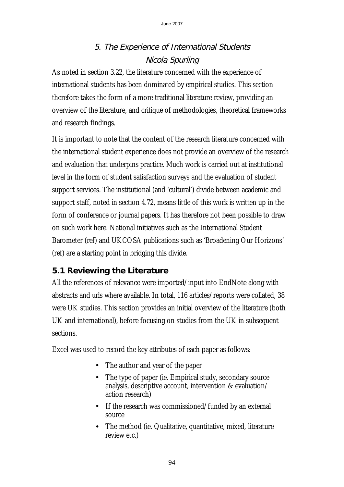# 5. The Experience of International Students Nicola Spurling

As noted in section 3.22, the literature concerned with the experience of international students has been dominated by empirical studies. This section therefore takes the form of a more traditional literature review, providing an overview of the literature, and critique of methodologies, theoretical frameworks and research findings.

It is important to note that the content of the research literature concerned with the international student experience does not provide an overview of the research and evaluation that underpins practice. Much work is carried out at institutional level in the form of student satisfaction surveys and the evaluation of student support services. The institutional (and 'cultural') divide between academic and support staff, noted in section 4.72, means little of this work is written up in the form of conference or journal papers. It has therefore not been possible to draw on such work here. National initiatives such as the International Student Barometer (ref) and UKCOSA publications such as 'Broadening Our Horizons' (ref) are a starting point in bridging this divide.

# **5.1 Reviewing the Literature**

All the references of relevance were imported/input into EndNote along with abstracts and urls where available. In total, 116 articles/reports were collated, 38 were UK studies. This section provides an initial overview of the literature (both UK and international), before focusing on studies from the UK in subsequent sections.

Excel was used to record the key attributes of each paper as follows:

- The author and year of the paper
- The type of paper (ie. Empirical study, secondary source analysis, descriptive account, intervention & evaluation/ action research)
- If the research was commissioned/funded by an external source
- The method (ie. Qualitative, quantitative, mixed, literature review etc.)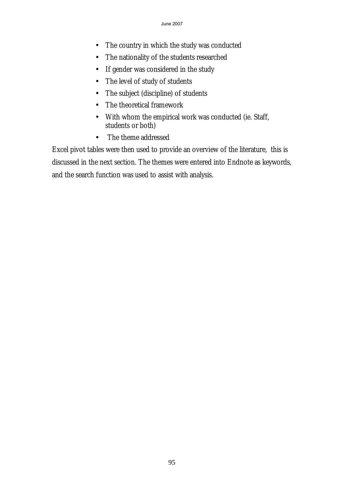- The country in which the study was conducted
- The nationality of the students researched
- If gender was considered in the study
- The level of study of students
- The subject (discipline) of students
- The theoretical framework
- With whom the empirical work was conducted (ie. Staff, students or both)
- The theme addressed

Excel pivot tables were then used to provide an overview of the literature, this is discussed in the next section. The themes were entered into Endnote as keywords, and the search function was used to assist with analysis.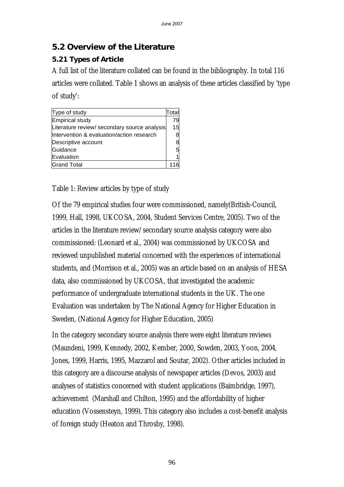## **5.2 Overview of the Literature**

## **5.21 Types of Article**

A full list of the literature collated can be found in the bibliography. In total 116 articles were collated. Table 1 shows an analysis of these articles classified by 'type of study':

| Type of study                                | Total |
|----------------------------------------------|-------|
| Empirical study                              | 79    |
| Literature review/ secondary source analysis | 15    |
| Intervention & evaluation/action research    | 8     |
| Descriptive account                          | 8     |
| Guidance                                     | 5     |
| Evaluation                                   |       |
| <b>Grand Total</b>                           |       |

#### Table 1: Review articles by type of study

Of the 79 empirical studies four were commissioned, namely(British-Council, 1999, Hall, 1998, UKCOSA, 2004, Student Services Centre, 2005). Two of the articles in the literature review/secondary source analysis category were also commissioned: (Leonard et al., 2004) was commissioned by UKCOSA and reviewed unpublished material concerned with the experiences of international students, and (Morrison et al., 2005) was an article based on an analysis of HESA data, also commissioned by UKCOSA, that investigated the academic performance of undergraduate international students in the UK. The one Evaluation was undertaken by The National Agency for Higher Education in Sweden, (National Agency for Higher Education, 2005)

In the category secondary source analysis there were eight literature reviews (Maundeni, 1999, Kennedy, 2002, Kember, 2000, Sowden, 2003, Yoon, 2004, Jones, 1999, Harris, 1995, Mazzarol and Soutar, 2002). Other articles included in this category are a discourse analysis of newspaper articles (Devos, 2003) and analyses of statistics concerned with student applications (Baimbridge, 1997), achievement (Marshall and Chilton, 1995) and the affordability of higher education (Vossensteyn, 1999). This category also includes a cost-benefit analysis of foreign study (Heaton and Throsby, 1998).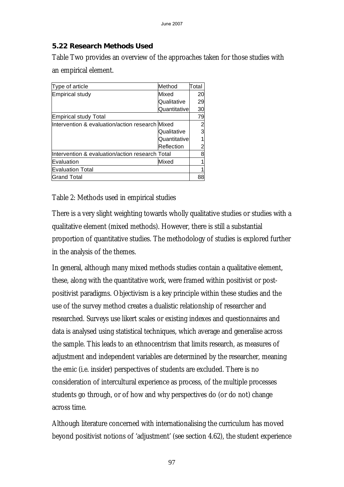#### **5.22 Research Methods Used**

Table Two provides an overview of the approaches taken for those studies with an empirical element.

| Type of article                                  | Method        | Total |
|--------------------------------------------------|---------------|-------|
| Empirical study                                  | Mixed         | 20    |
|                                                  | Qualitative   | 29    |
|                                                  | Quantitativel | 30    |
| Empirical study Total                            |               | 79    |
| Intervention & evaluation/action research Mixed  |               |       |
|                                                  | Qualitative   | 3     |
|                                                  | Quantitative  |       |
|                                                  | Reflection    |       |
| llntervention & evaluation/action research Total |               |       |
| Evaluation                                       | Mixed         |       |
| <b>Evaluation Total</b>                          |               |       |
| Grand Total                                      |               | 88    |

Table 2: Methods used in empirical studies

There is a very slight weighting towards wholly qualitative studies or studies with a qualitative element (mixed methods). However, there is still a substantial proportion of quantitative studies. The methodology of studies is explored further in the analysis of the themes.

In general, although many mixed methods studies contain a qualitative element, these, along with the quantitative work, were framed within positivist or postpositivist paradigms. Objectivism is a key principle within these studies and the use of the survey method creates a dualistic relationship of researcher and researched. Surveys use likert scales or existing indexes and questionnaires and data is analysed using statistical techniques, which average and generalise across the sample. This leads to an ethnocentrism that limits research, as measures of adjustment and independent variables are determined by the researcher, meaning the emic (i.e. insider) perspectives of students are excluded. There is no consideration of intercultural experience as process, of the multiple processes students go through, or of how and why perspectives do (or do not) change across time.

Although literature concerned with internationalising the curriculum has moved beyond positivist notions of 'adjustment' (see section 4.62), the student experience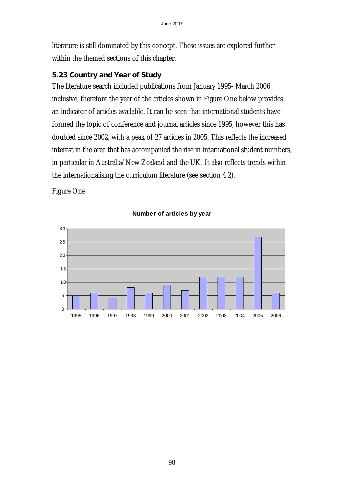literature is still dominated by this concept. These issues are explored further within the themed sections of this chapter.

#### **5.23 Country and Year of Study**

The literature search included publications from January 1995- March 2006 inclusive, therefore the year of the articles shown in Figure One below provides an indicator of articles available. It can be seen that international students have formed the topic of conference and journal articles since 1995, however this has doubled since 2002, with a peak of 27 articles in 2005. This reflects the increased interest in the area that has accompanied the rise in international student numbers, in particular in Australia/New Zealand and the UK. It also reflects trends within the internationalising the curriculum literature (see section 4.2).

Figure One



#### **Number of articles by year**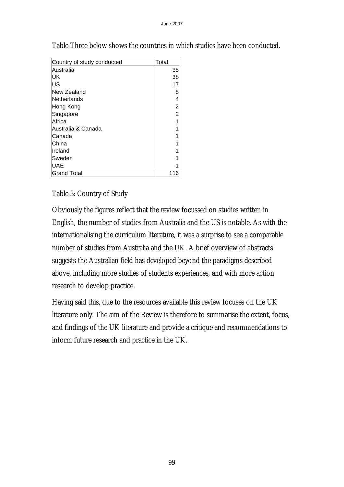| Country of study conducted | Total         |
|----------------------------|---------------|
| Australia                  | 38            |
| UK                         | 38            |
| US                         | 17            |
| New Zealand                | 8             |
| Netherlands                | 4             |
| Hong Kong                  | $\frac{2}{2}$ |
| Singapore                  |               |
| Africa                     |               |
| Australia & Canada         |               |
| lCanada                    |               |
| China                      |               |
| Ireland                    |               |
| lSweden                    |               |
| UAE                        |               |
| <b>Grand Total</b>         |               |

Table Three below shows the countries in which studies have been conducted.

#### Table 3: Country of Study

Obviously the figures reflect that the review focussed on studies written in English, the number of studies from Australia and the US is notable. As with the internationalising the curriculum literature, it was a surprise to see a comparable number of studies from Australia and the UK. A brief overview of abstracts suggests the Australian field has developed beyond the paradigms described above, including more studies of students experiences, and with more action research to develop practice.

Having said this, due to the resources available this review focuses on the UK literature only. The aim of the Review is therefore to summarise the extent, focus, and findings of the UK literature and provide a critique and recommendations to inform future research and practice in the UK.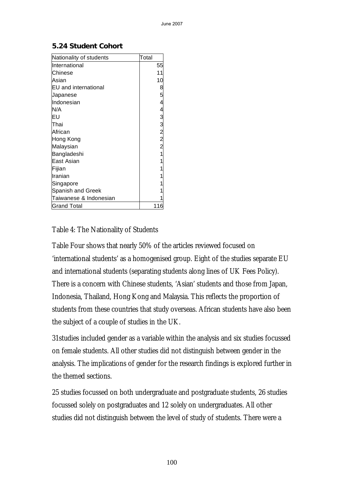#### **5.24 Student Cohort**

| Nationality of students      | Total       |
|------------------------------|-------------|
| International                | 55          |
| Chinese                      | 11          |
| Asian                        | 10          |
| <b>IEU</b> and international | 8           |
| Japanese                     | 5           |
| Indonesian                   |             |
| N/A                          | 4           |
| Eυ                           |             |
| Thai                         | 3 M M M M M |
| African                      |             |
| Hong Kong                    |             |
| Malaysian                    |             |
| Bangladeshi                  | 1           |
| lEast Asian                  |             |
| Fijian                       |             |
| Iranian                      |             |
| Singapore                    |             |
| Spanish and Greek            |             |
| Taiwanese & Indonesian       |             |
| Grand Total                  | 116         |

#### Table 4: The Nationality of Students

Table Four shows that nearly 50% of the articles reviewed focused on 'international students' as a homogenised group. Eight of the studies separate EU and international students (separating students along lines of UK Fees Policy). There is a concern with Chinese students, 'Asian' students and those from Japan, Indonesia, Thailand, Hong Kong and Malaysia. This reflects the proportion of students from these countries that study overseas. African students have also been the subject of a couple of studies in the UK.

31studies included gender as a variable within the analysis and six studies focussed on female students. All other studies did not distinguish between gender in the analysis. The implications of gender for the research findings is explored further in the themed sections.

25 studies focussed on both undergraduate and postgraduate students, 26 studies focussed solely on postgraduates and 12 solely on undergraduates. All other studies did not distinguish between the level of study of students. There were a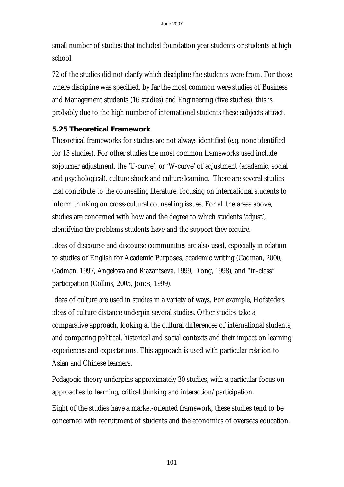small number of studies that included foundation year students or students at high school.

72 of the studies did not clarify which discipline the students were from. For those where discipline was specified, by far the most common were studies of Business and Management students (16 studies) and Engineering (five studies), this is probably due to the high number of international students these subjects attract.

#### **5.25 Theoretical Framework**

Theoretical frameworks for studies are not always identified (e.g. none identified for 15 studies). For other studies the most common frameworks used include sojourner adjustment, the 'U-curve', or 'W-curve' of adjustment (academic, social and psychological), culture shock and culture learning. There are several studies that contribute to the counselling literature, focusing on international students to inform thinking on cross-cultural counselling issues. For all the areas above, studies are concerned with how and the degree to which students 'adjust', identifying the problems students have and the support they require.

Ideas of discourse and discourse communities are also used, especially in relation to studies of English for Academic Purposes, academic writing (Cadman, 2000, Cadman, 1997, Angelova and Riazantseva, 1999, Dong, 1998), and "in-class" participation (Collins, 2005, Jones, 1999).

Ideas of culture are used in studies in a variety of ways. For example, Hofstede's ideas of culture distance underpin several studies. Other studies take a comparative approach, looking at the cultural differences of international students, and comparing political, historical and social contexts and their impact on learning experiences and expectations. This approach is used with particular relation to Asian and Chinese learners.

Pedagogic theory underpins approximately 30 studies, with a particular focus on approaches to learning, critical thinking and interaction/participation.

Eight of the studies have a market-oriented framework, these studies tend to be concerned with recruitment of students and the economics of overseas education.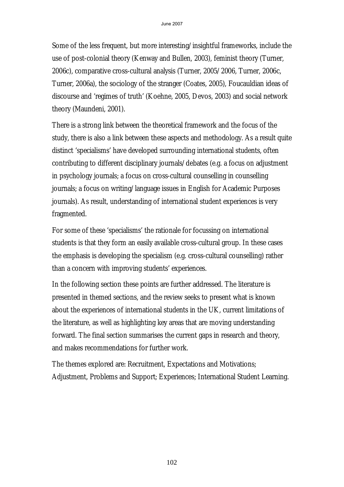Some of the less frequent, but more interesting/insightful frameworks, include the use of post-colonial theory (Kenway and Bullen, 2003), feminist theory (Turner, 2006c), comparative cross-cultural analysis (Turner, 2005/2006, Turner, 2006c, Turner, 2006a), the sociology of the stranger (Coates, 2005), Foucauldian ideas of discourse and 'regimes of truth' (Koehne, 2005, Devos, 2003) and social network theory (Maundeni, 2001).

There is a strong link between the theoretical framework and the focus of the study, there is also a link between these aspects and methodology. As a result quite distinct 'specialisms' have developed surrounding international students, often contributing to different disciplinary journals/debates (e.g. a focus on adjustment in psychology journals; a focus on cross-cultural counselling in counselling journals; a focus on writing/language issues in English for Academic Purposes journals). As result, understanding of international student experiences is very fragmented.

For some of these 'specialisms' the rationale for focussing on international students is that they form an easily available cross-cultural group. In these cases the emphasis is developing the specialism (e.g. cross-cultural counselling) rather than a concern with improving students' experiences.

In the following section these points are further addressed. The literature is presented in themed sections, and the review seeks to present what is known about the experiences of international students in the UK, current limitations of the literature, as well as highlighting key areas that are moving understanding forward. The final section summarises the current gaps in research and theory, and makes recommendations for further work.

The themes explored are: Recruitment, Expectations and Motivations; Adjustment, Problems and Support; Experiences; International Student Learning.

102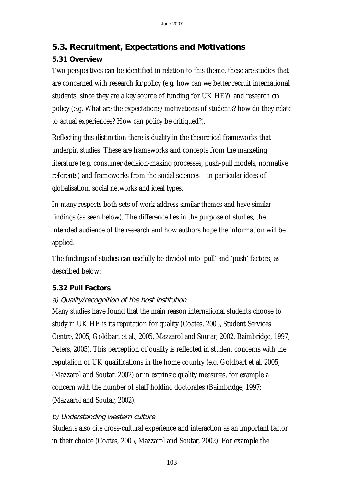# **5.3. Recruitment, Expectations and Motivations**

## **5.31 Overview**

Two perspectives can be identified in relation to this theme, these are studies that are concerned with research *for* policy (e.g. how can we better recruit international students, since they are a key source of funding for UK HE?), and research *on*  policy (e.g. What are the expectations/motivations of students? how do they relate to actual experiences? How can policy be critiqued?).

Reflecting this distinction there is duality in the theoretical frameworks that underpin studies. These are frameworks and concepts from the marketing literature (e.g. consumer decision-making processes, push-pull models, normative referents) and frameworks from the social sciences – in particular ideas of globalisation, social networks and ideal types.

In many respects both sets of work address similar themes and have similar findings (as seen below). The difference lies in the purpose of studies, the intended audience of the research and how authors hope the information will be applied.

The findings of studies can usefully be divided into 'pull' and 'push' factors, as described below:

## **5.32 Pull Factors**

## a) Quality/recognition of the host institution

Many studies have found that the main reason international students choose to study in UK HE is its reputation for quality (Coates, 2005, Student Services Centre, 2005, Goldbart et al., 2005, Mazzarol and Soutar, 2002, Baimbridge, 1997, Peters, 2005). This perception of quality is reflected in student concerns with the reputation of UK qualifications in the home country (e.g. Goldbart et al, 2005; (Mazzarol and Soutar, 2002) or in extrinsic quality measures, for example a concern with the number of staff holding doctorates (Baimbridge, 1997; (Mazzarol and Soutar, 2002).

## b) Understanding western culture

Students also cite cross-cultural experience and interaction as an important factor in their choice (Coates, 2005, Mazzarol and Soutar, 2002). For example the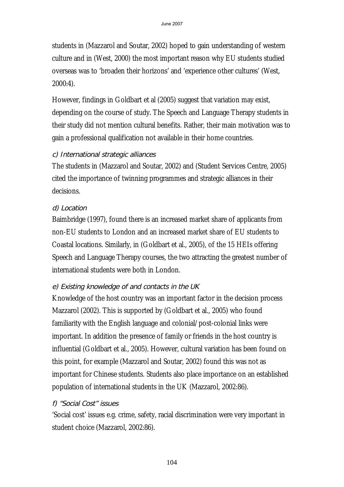students in (Mazzarol and Soutar, 2002) hoped to gain understanding of western culture and in (West, 2000) the most important reason why EU students studied overseas was to 'broaden their horizons' and 'experience other cultures' (West, 2000:4).

However, findings in Goldbart et al (2005) suggest that variation may exist, depending on the course of study. The Speech and Language Therapy students in their study did not mention cultural benefits. Rather, their main motivation was to gain a professional qualification not available in their home countries.

#### c) International strategic alliances

The students in (Mazzarol and Soutar, 2002) and (Student Services Centre, 2005) cited the importance of twinning programmes and strategic alliances in their decisions.

#### d) Location

Baimbridge (1997), found there is an increased market share of applicants from non-EU students to London and an increased market share of EU students to Coastal locations. Similarly, in (Goldbart et al., 2005), of the 15 HEIs offering Speech and Language Therapy courses, the two attracting the greatest number of international students were both in London.

#### e) Existing knowledge of and contacts in the UK

Knowledge of the host country was an important factor in the decision process Mazzarol (2002). This is supported by (Goldbart et al., 2005) who found familiarity with the English language and colonial/post-colonial links were important. In addition the presence of family or friends in the host country is influential (Goldbart et al., 2005). However, cultural variation has been found on this point, for example (Mazzarol and Soutar, 2002) found this was not as important for Chinese students. Students also place importance on an established population of international students in the UK (Mazzarol, 2002:86).

#### f) "Social Cost" issues

'Social cost' issues e.g. crime, safety, racial discrimination were very important in student choice (Mazzarol, 2002:86).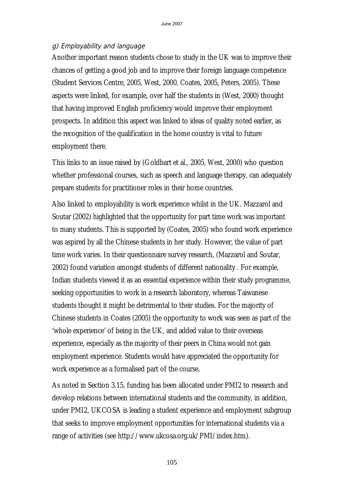#### g) Employability and language

Another important reason students chose to study in the UK was to improve their chances of getting a good job and to improve their foreign language competence (Student Services Centre, 2005, West, 2000, Coates, 2005, Peters, 2005). These aspects were linked, for example, over half the students in (West, 2000) thought that having improved English proficiency would improve their employment prospects. In addition this aspect was linked to ideas of quality noted earlier, as the recognition of the qualification in the home country is vital to future employment there.

This links to an issue raised by (Goldbart et al., 2005, West, 2000) who question whether professional courses, such as speech and language therapy, can adequately prepare students for practitioner roles in their home countries.

Also linked to employability is work experience whilst in the UK. Mazzarol and Soutar (2002) highlighted that the opportunity for part time work was important to many students. This is supported by (Coates, 2005) who found work experience was aspired by all the Chinese students in her study. However, the value of part time work varies. In their questionnaire survey research, (Mazzarol and Soutar, 2002) found variation amongst students of different nationality . For example, Indian students viewed it as an essential experience within their study programme, seeking opportunities to work in a research laboratory, whereas Taiwanese students thought it might be detrimental to their studies. For the majority of Chinese students in Coates (2005) the opportunity to work was seen as part of the 'whole experience' of being in the UK, and added value to their overseas experience, especially as the majority of their peers in China would not gain employment experience. Students would have appreciated the opportunity for work experience as a formalised part of the course.

As noted in Section 3.15, funding has been allocated under PMI2 to research and develop relations between international students and the community, in addition, under PMI2, UKCOSA is leading a student experience and employment subgroup that seeks to improve employment opportunities for international students via a range of activities (see http://www.ukcosa.org.uk/PMI/index.htm).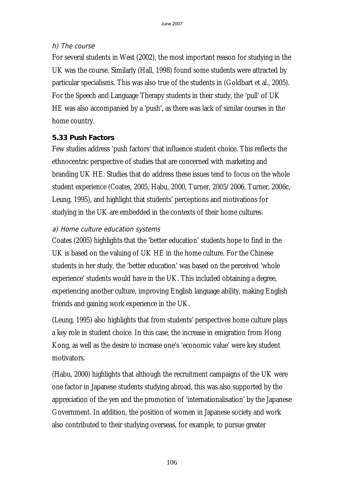#### h) The course

For several students in West (2002), the most important reason for studying in the UK was the course. Similarly (Hall, 1998) found some students were attracted by particular specialisms. This was also true of the students in (Goldbart et al., 2005). For the Speech and Language Therapy students in their study, the 'pull' of UK HE was also accompanied by a 'push', as there was lack of similar courses in the home country.

#### **5.33 Push Factors**

Few studies address 'push factors' that influence student choice. This reflects the ethnocentric perspective of studies that are concerned with marketing and branding UK HE. Studies that do address these issues tend to focus on the whole student experience (Coates, 2005, Habu, 2000, Turner, 2005/2006, Turner, 2006c, Leung, 1995), and highlight that students' perceptions and motivations for studying in the UK are embedded in the contexts of their home cultures.

#### a) Home culture education systems

Coates (2005) highlights that the 'better education' students hope to find in the UK is based on the valuing of UK HE in the home culture. For the Chinese students in her study, the 'better education' was based on the perceived 'whole experience' students would have in the UK. This included obtaining a degree, experiencing another culture, improving English language ability, making English friends and gaining work experience in the UK.

(Leung, 1995) also highlights that from students' perspectives home culture plays a key role in student choice. In this case, the increase in emigration from Hong Kong, as well as the desire to increase one's 'economic value' were key student motivators.

(Habu, 2000) highlights that although the recruitment campaigns of the UK were one factor in Japanese students studying abroad, this was also supported by the appreciation of the yen and the promotion of 'internationalisation' by the Japanese Government. In addition, the position of women in Japanese society and work also contributed to their studying overseas, for example, to pursue greater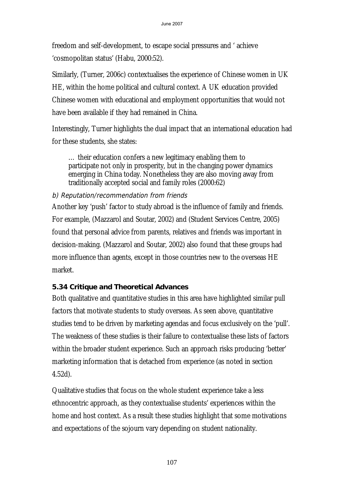freedom and self-development, to escape social pressures and ' achieve 'cosmopolitan status' (Habu, 2000:52).

Similarly, (Turner, 2006c) contextualises the experience of Chinese women in UK HE, within the home political and cultural context. A UK education provided Chinese women with educational and employment opportunities that would not have been available if they had remained in China.

Interestingly, Turner highlights the dual impact that an international education had for these students, she states:

… their education confers a new legitimacy enabling them to participate not only in prosperity, but in the changing power dynamics emerging in China today. Nonetheless they are also moving away from traditionally accepted social and family roles (2000:62)

#### b) Reputation/recommendation from friends

Another key 'push' factor to study abroad is the influence of family and friends. For example, (Mazzarol and Soutar, 2002) and (Student Services Centre, 2005) found that personal advice from parents, relatives and friends was important in decision-making. (Mazzarol and Soutar, 2002) also found that these groups had more influence than agents, except in those countries new to the overseas HE market.

#### **5.34 Critique and Theoretical Advances**

Both qualitative and quantitative studies in this area have highlighted similar pull factors that motivate students to study overseas. As seen above, quantitative studies tend to be driven by marketing agendas and focus exclusively on the 'pull'. The weakness of these studies is their failure to contextualise these lists of factors within the broader student experience. Such an approach risks producing 'better' marketing information that is detached from experience (as noted in section 4.52d).

Qualitative studies that focus on the whole student experience take a less ethnocentric approach, as they contextualise students' experiences within the home and host context. As a result these studies highlight that some motivations and expectations of the sojourn vary depending on student nationality.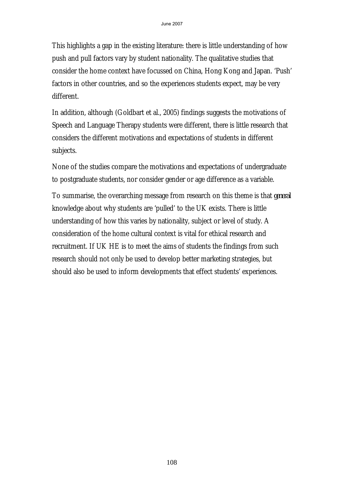This highlights a gap in the existing literature: there is little understanding of how push and pull factors vary by student nationality. The qualitative studies that consider the home context have focussed on China, Hong Kong and Japan. 'Push' factors in other countries, and so the experiences students expect, may be very different.

In addition, although (Goldbart et al., 2005) findings suggests the motivations of Speech and Language Therapy students were different, there is little research that considers the different motivations and expectations of students in different subjects.

None of the studies compare the motivations and expectations of undergraduate to postgraduate students, nor consider gender or age difference as a variable.

To summarise, the overarching message from research on this theme is that *general* knowledge about why students are 'pulled' to the UK exists. There is little understanding of how this varies by nationality, subject or level of study. A consideration of the home cultural context is vital for ethical research and recruitment. If UK HE is to meet the aims of students the findings from such research should not only be used to develop better marketing strategies, but should also be used to inform developments that effect students' experiences.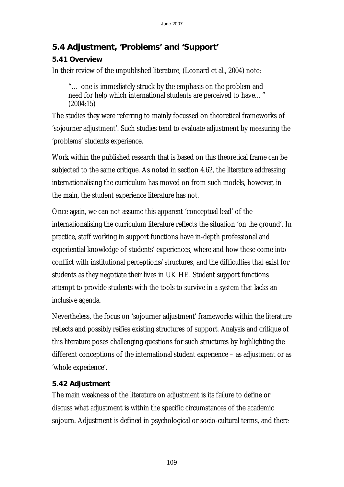# **5.4 Adjustment, 'Problems' and 'Support'**

# **5.41 Overview**

In their review of the unpublished literature, (Leonard et al., 2004) note:

"… one is immediately struck by the emphasis on the problem and need for help which international students are perceived to have…" (2004:15)

The studies they were referring to mainly focussed on theoretical frameworks of 'sojourner adjustment'. Such studies tend to evaluate adjustment by measuring the 'problems' students experience.

Work within the published research that is based on this theoretical frame can be subjected to the same critique. As noted in section 4.62, the literature addressing internationalising the curriculum has moved on from such models, however, in the main, the student experience literature has not.

Once again, we can not assume this apparent 'conceptual lead' of the internationalising the curriculum literature reflects the situation 'on the ground'. In practice, staff working in support functions have in-depth professional and experiential knowledge of students' experiences, where and how these come into conflict with institutional perceptions/structures, and the difficulties that exist for students as they negotiate their lives in UK HE. Student support functions attempt to provide students with the tools to survive in a system that lacks an inclusive agenda.

Nevertheless, the focus on 'sojourner adjustment' frameworks within the literature reflects and possibly reifies existing structures of support. Analysis and critique of this literature poses challenging questions for such structures by highlighting the different conceptions of the international student experience – as adjustment or as 'whole experience'.

# **5.42 Adjustment**

The main weakness of the literature on adjustment is its failure to define or discuss what adjustment is within the specific circumstances of the academic sojourn. Adjustment is defined in psychological or socio-cultural terms, and there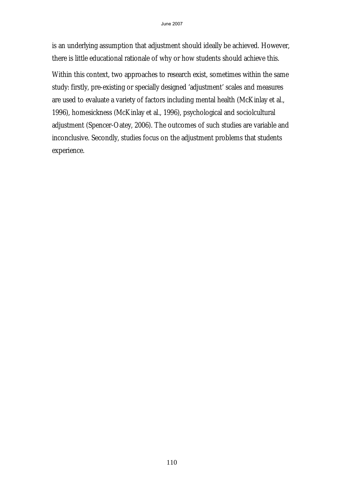is an underlying assumption that adjustment should ideally be achieved. However, there is little educational rationale of why or how students should achieve this.

Within this context, two approaches to research exist, sometimes within the same study: firstly, pre-existing or specially designed 'adjustment' scales and measures are used to evaluate a variety of factors including mental health (McKinlay et al., 1996), homesickness (McKinlay et al., 1996), psychological and sociolcultural adjustment (Spencer-Oatey, 2006). The outcomes of such studies are variable and inconclusive. Secondly, studies focus on the adjustment problems that students experience.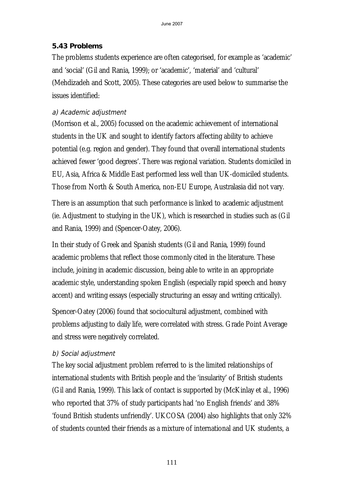### **5.43 Problems**

The problems students experience are often categorised, for example as 'academic' and 'social' (Gil and Rania, 1999); or 'academic', 'material' and 'cultural' (Mehdizadeh and Scott, 2005). These categories are used below to summarise the issues identified:

### a) Academic adjustment

(Morrison et al., 2005) focussed on the academic achievement of international students in the UK and sought to identify factors affecting ability to achieve potential (e.g. region and gender). They found that overall international students achieved fewer 'good degrees'. There was regional variation. Students domiciled in EU, Asia, Africa & Middle East performed less well than UK-domiciled students. Those from North & South America, non-EU Europe, Australasia did not vary.

There is an assumption that such performance is linked to academic adjustment (ie. Adjustment to studying in the UK), which is researched in studies such as (Gil and Rania, 1999) and (Spencer-Oatey, 2006).

In their study of Greek and Spanish students (Gil and Rania, 1999) found academic problems that reflect those commonly cited in the literature. These include, joining in academic discussion, being able to write in an appropriate academic style, understanding spoken English (especially rapid speech and heavy accent) and writing essays (especially structuring an essay and writing critically).

Spencer-Oatey (2006) found that sociocultural adjustment, combined with problems adjusting to daily life, were correlated with stress. Grade Point Average and stress were negatively correlated.

# b) Social adjustment

The key social adjustment problem referred to is the limited relationships of international students with British people and the 'insularity' of British students (Gil and Rania, 1999). This lack of contact is supported by (McKinlay et al., 1996) who reported that 37% of study participants had 'no English friends' and 38% 'found British students unfriendly'. UKCOSA (2004) also highlights that only 32% of students counted their friends as a mixture of international and UK students, a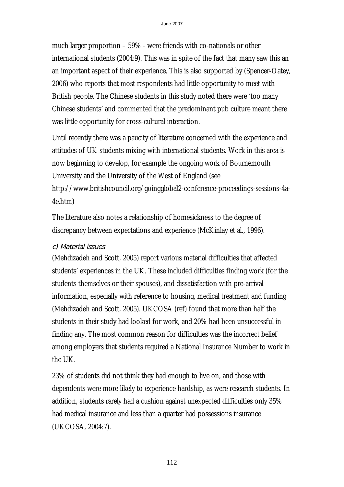much larger proportion – 59% - were friends with co-nationals or other international students (2004:9). This was in spite of the fact that many saw this an an important aspect of their experience. This is also supported by (Spencer-Oatey, 2006) who reports that most respondents had little opportunity to meet with British people. The Chinese students in this study noted there were 'too many Chinese students' and commented that the predominant pub culture meant there was little opportunity for cross-cultural interaction.

Until recently there was a paucity of literature concerned with the experience and attitudes of UK students mixing with international students. Work in this area is now beginning to develop, for example the ongoing work of Bournemouth University and the University of the West of England (see http://www.britishcouncil.org/goingglobal2-conference-proceedings-sessions-4a-4e.htm)

The literature also notes a relationship of homesickness to the degree of discrepancy between expectations and experience (McKinlay et al., 1996).

#### c) Material issues

(Mehdizadeh and Scott, 2005) report various material difficulties that affected students' experiences in the UK. These included difficulties finding work (for the students themselves or their spouses), and dissatisfaction with pre-arrival information, especially with reference to housing, medical treatment and funding (Mehdizadeh and Scott, 2005). UKCOSA (ref) found that more than half the students in their study had looked for work, and 20% had been unsuccessful in finding any. The most common reason for difficulties was the incorrect belief among employers that students required a National Insurance Number to work in the UK.

23% of students did not think they had enough to live on, and those with dependents were more likely to experience hardship, as were research students. In addition, students rarely had a cushion against unexpected difficulties only 35% had medical insurance and less than a quarter had possessions insurance (UKCOSA, 2004:7).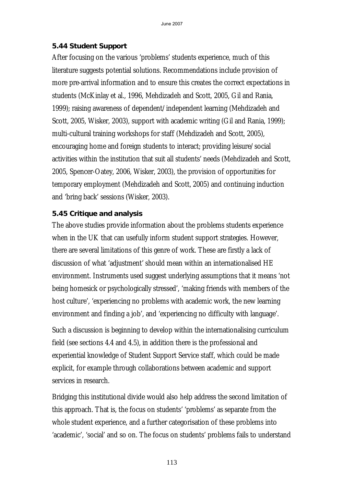### **5.44 Student Support**

After focusing on the various 'problems' students experience, much of this literature suggests potential solutions. Recommendations include provision of more pre-arrival information and to ensure this creates the correct expectations in students (McKinlay et al., 1996, Mehdizadeh and Scott, 2005, Gil and Rania, 1999); raising awareness of dependent/independent learning (Mehdizadeh and Scott, 2005, Wisker, 2003), support with academic writing (Gil and Rania, 1999); multi-cultural training workshops for staff (Mehdizadeh and Scott, 2005), encouraging home and foreign students to interact; providing leisure/social activities within the institution that suit all students' needs (Mehdizadeh and Scott, 2005, Spencer-Oatey, 2006, Wisker, 2003), the provision of opportunities for temporary employment (Mehdizadeh and Scott, 2005) and continuing induction and 'bring back' sessions (Wisker, 2003).

# **5.45 Critique and analysis**

The above studies provide information about the problems students experience when in the UK that can usefully inform student support strategies. However, there are several limitations of this genre of work. These are firstly a lack of discussion of what 'adjustment' should mean within an internationalised HE environment. Instruments used suggest underlying assumptions that it means 'not being homesick or psychologically stressed', 'making friends with members of the host culture', 'experiencing no problems with academic work, the new learning environment and finding a job', and 'experiencing no difficulty with language'.

Such a discussion is beginning to develop within the internationalising curriculum field (see sections 4.4 and 4.5), in addition there is the professional and experiential knowledge of Student Support Service staff, which could be made explicit, for example through collaborations between academic and support services in research.

Bridging this institutional divide would also help address the second limitation of this approach. That is, the focus on students' 'problems' as separate from the whole student experience, and a further categorisation of these problems into 'academic', 'social' and so on. The focus on students' problems fails to understand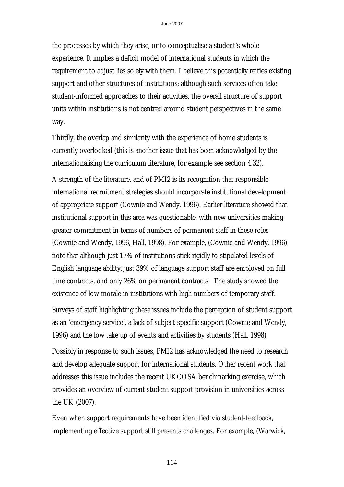the processes by which they arise, or to conceptualise a student's whole experience. It implies a deficit model of international students in which the requirement to adjust lies solely with them. I believe this potentially reifies existing support and other structures of institutions; although such services often take student-informed approaches to their activities, the overall structure of support units within institutions is not centred around student perspectives in the same way.

Thirdly, the overlap and similarity with the experience of home students is currently overlooked (this is another issue that has been acknowledged by the internationalising the curriculum literature, for example see section 4.32).

A strength of the literature, and of PMI2 is its recognition that responsible international recruitment strategies should incorporate institutional development of appropriate support (Cownie and Wendy, 1996). Earlier literature showed that institutional support in this area was questionable, with new universities making greater commitment in terms of numbers of permanent staff in these roles (Cownie and Wendy, 1996, Hall, 1998). For example, (Cownie and Wendy, 1996) note that although just 17% of institutions stick rigidly to stipulated levels of English language ability, just 39% of language support staff are employed on full time contracts, and only 26% on permanent contracts. The study showed the existence of low morale in institutions with high numbers of temporary staff.

Surveys of staff highlighting these issues include the perception of student support as an 'emergency service', a lack of subject-specific support (Cownie and Wendy, 1996) and the low take up of events and activities by students (Hall, 1998)

Possibly in response to such issues, PMI2 has acknowledged the need to research and develop adequate support for international students. Other recent work that addresses this issue includes the recent UKCOSA benchmarking exercise, which provides an overview of current student support provision in universities across the UK (2007).

Even when support requirements have been identified via student-feedback, implementing effective support still presents challenges. For example, (Warwick,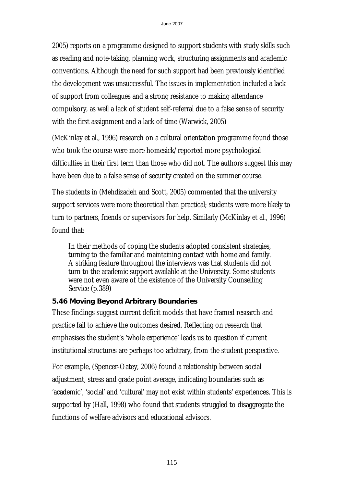2005) reports on a programme designed to support students with study skills such as reading and note-taking, planning work, structuring assignments and academic conventions. Although the need for such support had been previously identified the development was unsuccessful. The issues in implementation included a lack of support from colleagues and a strong resistance to making attendance compulsory, as well a lack of student self-referral due to a false sense of security with the first assignment and a lack of time (Warwick, 2005)

(McKinlay et al., 1996) research on a cultural orientation programme found those who took the course were more homesick/reported more psychological difficulties in their first term than those who did not. The authors suggest this may have been due to a false sense of security created on the summer course.

The students in (Mehdizadeh and Scott, 2005) commented that the university support services were more theoretical than practical; students were more likely to turn to partners, friends or supervisors for help. Similarly (McKinlay et al., 1996) found that:

In their methods of coping the students adopted consistent strategies, turning to the familiar and maintaining contact with home and family. A striking feature throughout the interviews was that students did not turn to the academic support available at the University. Some students were not even aware of the existence of the University Counselling Service (p.389)

# **5.46 Moving Beyond Arbitrary Boundaries**

These findings suggest current deficit models that have framed research and practice fail to achieve the outcomes desired. Reflecting on research that emphasises the student's 'whole experience' leads us to question if current institutional structures are perhaps too arbitrary, from the student perspective.

For example, (Spencer-Oatey, 2006) found a relationship between social adjustment, stress and grade point average, indicating boundaries such as 'academic', 'social' and 'cultural' may not exist within students' experiences. This is supported by (Hall, 1998) who found that students struggled to disaggregate the functions of welfare advisors and educational advisors.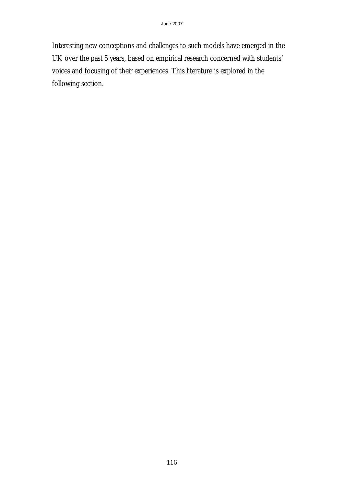Interesting new conceptions and challenges to such models have emerged in the UK over the past 5 years, based on empirical research concerned with students' voices and focusing of their experiences. This literature is explored in the following section.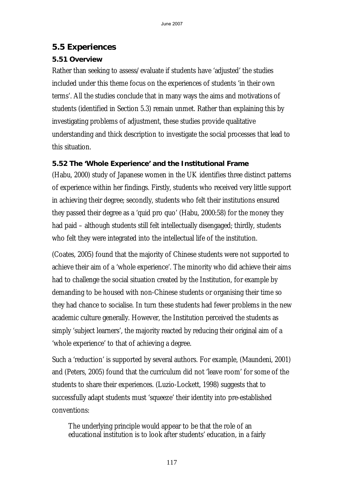# **5.5 Experiences**

# **5.51 Overview**

Rather than seeking to assess/evaluate if students have 'adjusted' the studies included under this theme focus on the experiences of students 'in their own terms'. All the studies conclude that in many ways the aims and motivations of students (identified in Section 5.3) remain unmet. Rather than explaining this by investigating problems of adjustment, these studies provide qualitative understanding and thick description to investigate the social processes that lead to this situation.

# **5.52 The 'Whole Experience' and the Institutional Frame**

(Habu, 2000) study of Japanese women in the UK identifies three distinct patterns of experience within her findings. Firstly, students who received very little support in achieving their degree; secondly, students who felt their institutions ensured they passed their degree as a 'quid pro quo' (Habu, 2000:58) for the money they had paid – although students still felt intellectually disengaged; thirdly, students who felt they were integrated into the intellectual life of the institution.

(Coates, 2005) found that the majority of Chinese students were not supported to achieve their aim of a 'whole experience'. The minority who did achieve their aims had to challenge the social situation created by the Institution, for example by demanding to be housed with non-Chinese students or organising their time so they had chance to socialise. In turn these students had fewer problems in the new academic culture generally. However, the Institution perceived the students as simply 'subject learners', the majority reacted by reducing their original aim of a 'whole experience' to that of achieving a degree.

Such a 'reduction' is supported by several authors. For example, (Maundeni, 2001) and (Peters, 2005) found that the curriculum did not 'leave room' for some of the students to share their experiences. (Luzio-Lockett, 1998) suggests that to successfully adapt students must 'squeeze' their identity into pre-established conventions:

The underlying principle would appear to be that the role of an educational institution is to look after students' education, in a fairly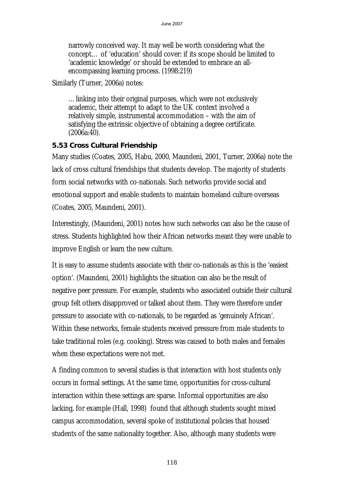narrowly conceived way. It may well be worth considering what the concept… of 'education' should cover: if its scope should be limited to 'academic knowledge' or should be extended to embrace an allencompassing learning process. (1998:219)

Similarly (Turner, 2006a) notes:

…linking into their original purposes, which were not exclusively academic, their attempt to adapt to the UK context involved a relatively simple, instrumental accommodation – with the aim of satisfying the extrinsic objective of obtaining a degree certificate. (2006a:40).

### **5.53 Cross Cultural Friendship**

Many studies (Coates, 2005, Habu, 2000, Maundeni, 2001, Turner, 2006a) note the lack of cross cultural friendships that students develop. The majority of students form social networks with co-nationals. Such networks provide social and emotional support and enable students to maintain homeland culture overseas (Coates, 2005, Maundeni, 2001).

Interestingly, (Maundeni, 2001) notes how such networks can also be the cause of stress. Students highlighted how their African networks meant they were unable to improve English or learn the new culture.

It is easy to assume students associate with their co-nationals as this is the 'easiest option'. (Maundeni, 2001) highlights the situation can also be the result of negative peer pressure. For example, students who associated outside their cultural group felt others disapproved or talked about them. They were therefore under pressure to associate with co-nationals, to be regarded as 'genuinely African'. Within these networks, female students received pressure from male students to take traditional roles (e.g. cooking). Stress was caused to both males and females when these expectations were not met.

A finding common to several studies is that interaction with host students only occurs in formal settings. At the same time, opportunities for cross-cultural interaction within these settings are sparse. Informal opportunities are also lacking, for example (Hall, 1998) found that although students sought mixed campus accommodation, several spoke of institutional policies that housed students of the same nationality together. Also, although many students were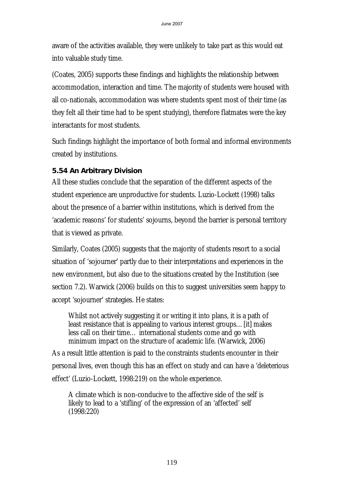aware of the activities available, they were unlikely to take part as this would eat into valuable study time.

(Coates, 2005) supports these findings and highlights the relationship between accommodation, interaction and time. The majority of students were housed with all co-nationals, accommodation was where students spent most of their time (as they felt all their time had to be spent studying), therefore flatmates were the key interactants for most students.

Such findings highlight the importance of both formal and informal environments created by institutions.

### **5.54 An Arbitrary Division**

All these studies conclude that the separation of the different aspects of the student experience are unproductive for students. Luzio-Lockett (1998) talks about the presence of a barrier within institutions, which is derived from the 'academic reasons' for students' sojourns, beyond the barrier is personal territory that is viewed as private.

Similarly, Coates (2005) suggests that the majority of students resort to a social situation of 'sojourner' partly due to their interpretations and experiences in the new environment, but also due to the situations created by the Institution (see section 7.2). Warwick (2006) builds on this to suggest universities seem happy to accept 'sojourner' strategies. He states:

Whilst not actively suggesting it or writing it into plans, it is a path of least resistance that is appealing to various interest groups…[it] makes less call on their time… international students come and go with minimum impact on the structure of academic life. (Warwick, 2006)

As a result little attention is paid to the constraints students encounter in their personal lives, even though this has an effect on study and can have a 'deleterious effect' (Luzio-Lockett, 1998:219) on the whole experience.

A climate which is non-conducive to the affective side of the self is likely to lead to a 'stifling' of the expression of an 'affected' self (1998:220)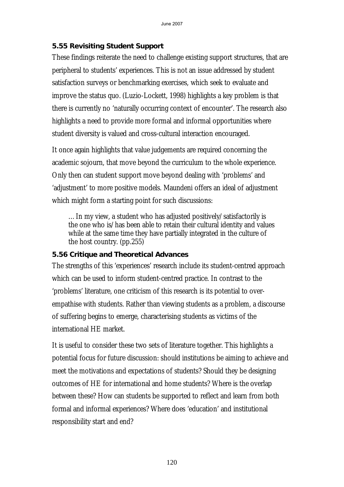#### **5.55 Revisiting Student Support**

These findings reiterate the need to challenge existing support structures, that are peripheral to students' experiences. This is not an issue addressed by student satisfaction surveys or benchmarking exercises, which seek to evaluate and improve the status quo. (Luzio-Lockett, 1998) highlights a key problem is that there is currently no 'naturally occurring context of encounter'. The research also highlights a need to provide more formal and informal opportunities where student diversity is valued and cross-cultural interaction encouraged.

It once again highlights that value judgements are required concerning the academic sojourn, that move beyond the curriculum to the whole experience. Only then can student support move beyond dealing with 'problems' and 'adjustment' to more positive models. Maundeni offers an ideal of adjustment which might form a starting point for such discussions:

…In my view, a student who has adjusted positively/satisfactorily is the one who is/has been able to retain their cultural identity and values while at the same time they have partially integrated in the culture of the host country. (pp.255)

#### **5.56 Critique and Theoretical Advances**

The strengths of this 'experiences' research include its student-centred approach which can be used to inform student-centred practice. In contrast to the 'problems' literature, one criticism of this research is its potential to overempathise with students. Rather than viewing students as a problem, a discourse of suffering begins to emerge, characterising students as victims of the international HE market.

It is useful to consider these two sets of literature together. This highlights a potential focus for future discussion: should institutions be aiming to achieve and meet the motivations and expectations of students? Should they be designing outcomes of HE for international and home students? Where is the overlap between these? How can students be supported to reflect and learn from both formal and informal experiences? Where does 'education' and institutional responsibility start and end?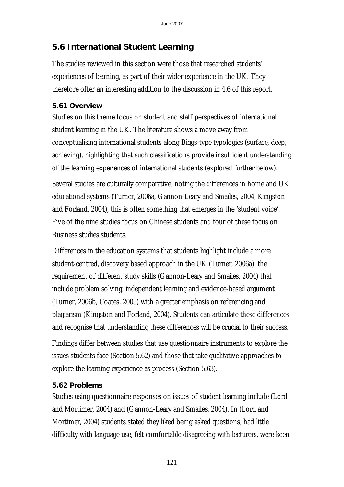# **5.6 International Student Learning**

The studies reviewed in this section were those that researched students' experiences of learning, as part of their wider experience in the UK. They therefore offer an interesting addition to the discussion in 4.6 of this report.

# **5.61 Overview**

Studies on this theme focus on student and staff perspectives of international student learning in the UK. The literature shows a move away from conceptualising international students along Biggs-type typologies (surface, deep, achieving), highlighting that such classifications provide insufficient understanding of the learning experiences of international students (explored further below).

Several studies are culturally comparative, noting the differences in home and UK educational systems (Turner, 2006a, Gannon-Leary and Smailes, 2004, Kingston and Forland, 2004), this is often something that emerges in the 'student voice'. Five of the nine studies focus on Chinese students and four of these focus on Business studies students.

Differences in the education systems that students highlight include a more student-centred, discovery based approach in the UK (Turner, 2006a), the requirement of different study skills (Gannon-Leary and Smailes, 2004) that include problem solving, independent learning and evidence-based argument (Turner, 2006b, Coates, 2005) with a greater emphasis on referencing and plagiarism (Kingston and Forland, 2004). Students can articulate these differences and recognise that understanding these differences will be crucial to their success.

Findings differ between studies that use questionnaire instruments to explore the issues students face (Section 5.62) and those that take qualitative approaches to explore the learning experience as process (Section 5.63).

# **5.62 Problems**

Studies using questionnaire responses on issues of student learning include (Lord and Mortimer, 2004) and (Gannon-Leary and Smailes, 2004). In (Lord and Mortimer, 2004) students stated they liked being asked questions, had little difficulty with language use, felt comfortable disagreeing with lecturers, were keen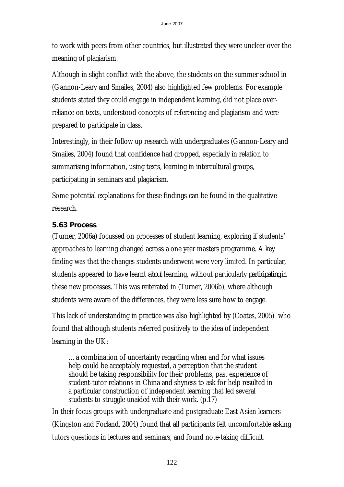to work with peers from other countries, but illustrated they were unclear over the meaning of plagiarism.

Although in slight conflict with the above, the students on the summer school in (Gannon-Leary and Smailes, 2004) also highlighted few problems. For example students stated they could engage in independent learning, did not place overreliance on texts, understood concepts of referencing and plagiarism and were prepared to participate in class.

Interestingly, in their follow up research with undergraduates (Gannon-Leary and Smailes, 2004) found that confidence had dropped, especially in relation to summarising information, using texts, learning in intercultural groups, participating in seminars and plagiarism.

Some potential explanations for these findings can be found in the qualitative research.

# **5.63 Process**

(Turner, 2006a) focussed on processes of student learning, exploring if students' approaches to learning changed across a one year masters programme. A key finding was that the changes students underwent were very limited. In particular, students appeared to have learnt *about* learning, without particularly *participating* in these new processes. This was reiterated in (Turner, 2006b), where although students were aware of the differences, they were less sure how to engage.

This lack of understanding in practice was also highlighted by (Coates, 2005) who found that although students referred positively to the idea of independent learning in the UK:

…a combination of uncertainty regarding when and for what issues help could be acceptably requested, a perception that the student should be taking responsibility for their problems, past experience of student-tutor relations in China and shyness to ask for help resulted in a particular construction of independent learning that led several students to struggle unaided with their work. (p.17)

In their focus groups with undergraduate and postgraduate East Asian learners (Kingston and Forland, 2004) found that all participants felt uncomfortable asking tutors questions in lectures and seminars, and found note-taking difficult.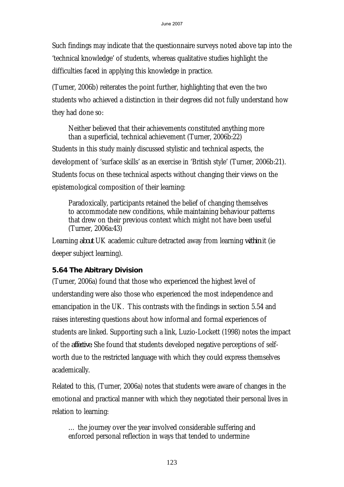Such findings may indicate that the questionnaire surveys noted above tap into the 'technical knowledge' of students, whereas qualitative studies highlight the difficulties faced in applying this knowledge in practice.

(Turner, 2006b) reiterates the point further, highlighting that even the two students who achieved a distinction in their degrees did not fully understand how they had done so:

Neither believed that their achievements constituted anything more than a superficial, technical achievement (Turner, 2006b:22)

Students in this study mainly discussed stylistic and technical aspects, the development of 'surface skills' as an exercise in 'British style' (Turner, 2006b:21). Students focus on these technical aspects without changing their views on the epistemological composition of their learning:

Paradoxically, participants retained the belief of changing themselves to accommodate new conditions, while maintaining behaviour patterns that drew on their previous context which might not have been useful (Turner, 2006a:43)

Learning *about* UK academic culture detracted away from learning *within* it (ie deeper subject learning).

# **5.64 The Abitrary Division**

(Turner, 2006a) found that those who experienced the highest level of understanding were also those who experienced the most independence and emancipation in the UK. This contrasts with the findings in section 5.54 and raises interesting questions about how informal and formal experiences of students are linked. Supporting such a link, Luzio-Lockett (1998) notes the impact of the *affective.* She found that students developed negative perceptions of selfworth due to the restricted language with which they could express themselves academically.

Related to this, (Turner, 2006a) notes that students were aware of changes in the emotional and practical manner with which they negotiated their personal lives in relation to learning:

… the journey over the year involved considerable suffering and enforced personal reflection in ways that tended to undermine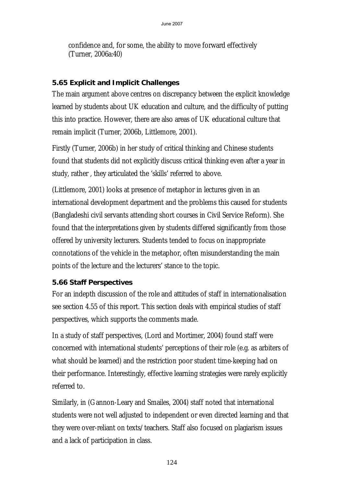confidence and, for some, the ability to move forward effectively (Turner, 2006a:40)

### **5.65 Explicit and Implicit Challenges**

The main argument above centres on discrepancy between the explicit knowledge learned by students about UK education and culture, and the difficulty of putting this into practice. However, there are also areas of UK educational culture that remain implicit (Turner, 2006b, Littlemore, 2001).

Firstly (Turner, 2006b) in her study of critical thinking and Chinese students found that students did not explicitly discuss critical thinking even after a year in study, rather , they articulated the 'skills' referred to above.

(Littlemore, 2001) looks at presence of metaphor in lectures given in an international development department and the problems this caused for students (Bangladeshi civil servants attending short courses in Civil Service Reform). She found that the interpretations given by students differed significantly from those offered by university lecturers. Students tended to focus on inappropriate connotations of the vehicle in the metaphor, often misunderstanding the main points of the lecture and the lecturers' stance to the topic.

# **5.66 Staff Perspectives**

For an indepth discussion of the role and attitudes of staff in internationalisation see section 4.55 of this report. This section deals with empirical studies of staff perspectives, which supports the comments made.

In a study of staff perspectives, (Lord and Mortimer, 2004) found staff were concerned with international students' perceptions of their role (e.g. as arbiters of what should be learned) and the restriction poor student time-keeping had on their performance. Interestingly, effective learning strategies were rarely explicitly referred to.

Similarly, in (Gannon-Leary and Smailes, 2004) staff noted that international students were not well adjusted to independent or even directed learning and that they were over-reliant on texts/teachers. Staff also focused on plagiarism issues and a lack of participation in class.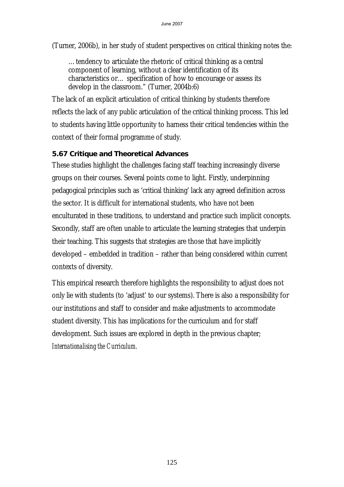(Turner, 2006b), in her study of student perspectives on critical thinking notes the:

…tendency to articulate the rhetoric of critical thinking as a central component of learning, without a clear identification of its characteristics or… specification of how to encourage or assess its develop in the classroom." (Turner, 2004b:6)

The lack of an explicit articulation of critical thinking by students therefore reflects the lack of any public articulation of the critical thinking process. This led to students having little opportunity to harness their critical tendencies within the context of their formal programme of study.

### **5.67 Critique and Theoretical Advances**

These studies highlight the challenges facing staff teaching increasingly diverse groups on their courses. Several points come to light. Firstly, underpinning pedagogical principles such as 'critical thinking' lack any agreed definition across the sector. It is difficult for international students, who have not been enculturated in these traditions, to understand and practice such implicit concepts. Secondly, staff are often unable to articulate the learning strategies that underpin their teaching. This suggests that strategies are those that have implicitly developed – embedded in tradition – rather than being considered within current contexts of diversity.

This empirical research therefore highlights the responsibility to adjust does not only lie with students (to 'adjust' to our systems). There is also a responsibility for our institutions and staff to consider and make adjustments to accommodate student diversity. This has implications for the curriculum and for staff development. Such issues are explored in depth in the previous chapter; *Internationalising the Curriculum*.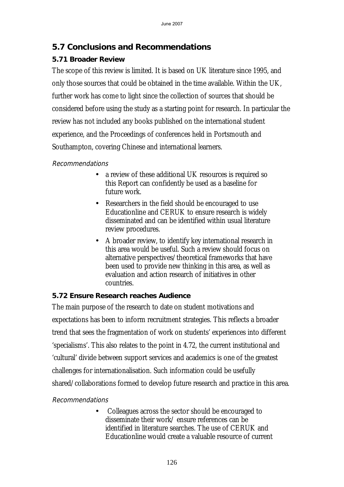# **5.7 Conclusions and Recommendations**

# **5.71 Broader Review**

The scope of this review is limited. It is based on UK literature since 1995, and only those sources that could be obtained in the time available. Within the UK, further work has come to light since the collection of sources that should be considered before using the study as a starting point for research. In particular the review has not included any books published on the international student experience, and the Proceedings of conferences held in Portsmouth and Southampton, covering Chinese and international learners.

### Recommendations

- a review of these additional UK resources is required so this Report can confidently be used as a baseline for future work.
- Researchers in the field should be encouraged to use Educationline and CERUK to ensure research is widely disseminated and can be identified within usual literature review procedures.
- A broader review, to identify key international research in this area would be useful. Such a review should focus on alternative perspectives/theoretical frameworks that have been used to provide new thinking in this area, as well as evaluation and action research of initiatives in other countries.

# **5.72 Ensure Research reaches Audience**

The main purpose of the research to date on student motivations and expectations has been to inform recruitment strategies. This reflects a broader trend that sees the fragmentation of work on students' experiences into different 'specialisms'. This also relates to the point in 4.72, the current institutional and 'cultural' divide between support services and academics is one of the greatest challenges for internationalisation. Such information could be usefully shared/collaborations formed to develop future research and practice in this area.

# Recommendations

• Colleagues across the sector should be encouraged to disseminate their work/ ensure references can be identified in literature searches. The use of CERUK and Educationline would create a valuable resource of current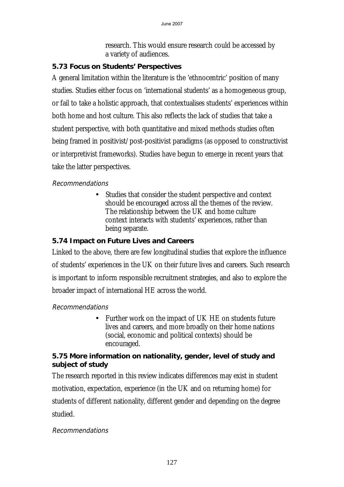research. This would ensure research could be accessed by a variety of audiences.

# **5.73 Focus on Students' Perspectives**

A general limitation within the literature is the 'ethnocentric' position of many studies. Studies either focus on 'international students' as a homogeneous group, or fail to take a holistic approach, that contextualises students' experiences within both home and host culture. This also reflects the lack of studies that take a student perspective, with both quantitative and mixed methods studies often being framed in positivist/post-positivist paradigms (as opposed to constructivist or interpretivist frameworks). Studies have begun to emerge in recent years that take the latter perspectives.

### Recommendations

Studies that consider the student perspective and context should be encouraged across all the themes of the review. The relationship between the UK and home culture context interacts with students' experiences, rather than being separate.

# **5.74 Impact on Future Lives and Careers**

Linked to the above, there are few longitudinal studies that explore the influence of students' experiences in the UK on their future lives and careers. Such research is important to inform responsible recruitment strategies, and also to explore the broader impact of international HE across the world.

### Recommendations

• Further work on the impact of UK HE on students future lives and careers, and more broadly on their home nations (social, economic and political contexts) should be encouraged.

### **5.75 More information on nationality, gender, level of study and subject of study**

The research reported in this review indicates differences may exist in student motivation, expectation, experience (in the UK and on returning home) for students of different nationality, different gender and depending on the degree studied.

### Recommendations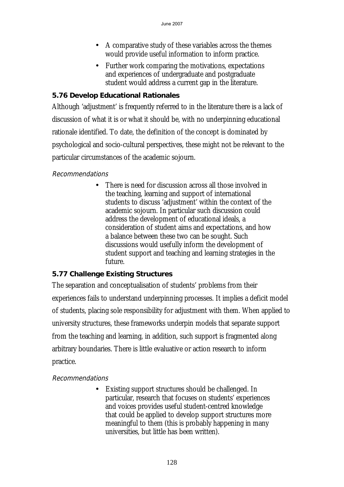- A comparative study of these variables across the themes would provide useful information to inform practice.
- Further work comparing the motivations, expectations and experiences of undergraduate and postgraduate student would address a current gap in the literature.

### **5.76 Develop Educational Rationales**

Although 'adjustment' is frequently referred to in the literature there is a lack of discussion of what it is or what it should be, with no underpinning educational rationale identified. To date, the definition of the concept is dominated by psychological and socio-cultural perspectives, these might not be relevant to the particular circumstances of the academic sojourn.

#### Recommendations

• There is need for discussion across all those involved in the teaching, learning and support of international students to discuss 'adjustment' within the context of the academic sojourn. In particular such discussion could address the development of educational ideals, a consideration of student aims and expectations, and how a balance between these two can be sought. Such discussions would usefully inform the development of student support and teaching and learning strategies in the future.

### **5.77 Challenge Existing Structures**

The separation and conceptualisation of students' problems from their experiences fails to understand underpinning processes. It implies a deficit model of students, placing sole responsibility for adjustment with them. When applied to university structures, these frameworks underpin models that separate support from the teaching and learning, in addition, such support is fragmented along arbitrary boundaries. There is little evaluative or action research to inform practice.

### Recommendations

Existing support structures should be challenged. In particular, research that focuses on students' experiences and voices provides useful student-centred knowledge that could be applied to develop support structures more meaningful to them (this is probably happening in many universities, but little has been written).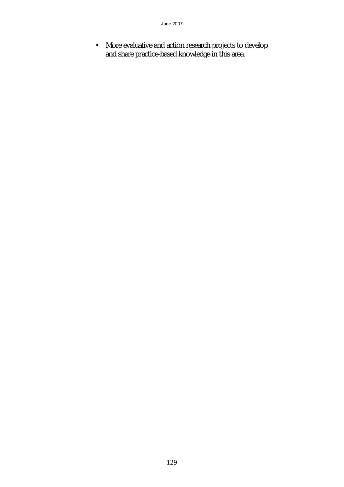• More evaluative and action research projects to develop and share practice-based knowledge in this area.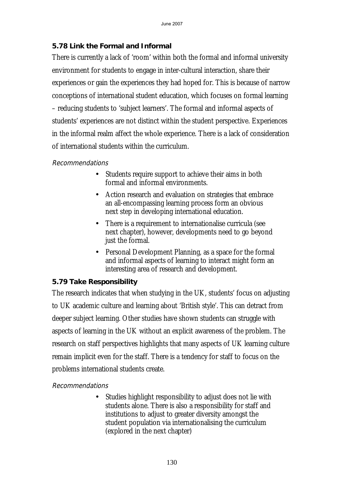### **5.78 Link the Formal and Informal**

There is currently a lack of 'room' within both the formal and informal university environment for students to engage in inter-cultural interaction, share their experiences or gain the experiences they had hoped for. This is because of narrow conceptions of international student education, which focuses on formal learning – reducing students to 'subject learners'. The formal and informal aspects of students' experiences are not distinct within the student perspective. Experiences in the informal realm affect the whole experience. There is a lack of consideration of international students within the curriculum.

### Recommendations

- Students require support to achieve their aims in both formal and informal environments.
- Action research and evaluation on strategies that embrace an all-encompassing learning process form an obvious next step in developing international education.
- There is a requirement to internationalise curricula (see next chapter), however, developments need to go beyond just the formal.
- Personal Development Planning, as a space for the formal and informal aspects of learning to interact might form an interesting area of research and development.

# **5.79 Take Responsibility**

The research indicates that when studying in the UK, students' focus on adjusting to UK academic culture and learning about 'British style'. This can detract from deeper subject learning. Other studies have shown students can struggle with aspects of learning in the UK without an explicit awareness of the problem. The research on staff perspectives highlights that many aspects of UK learning culture remain implicit even for the staff. There is a tendency for staff to focus on the problems international students create.

# Recommendations

Studies highlight responsibility to adjust does not lie with students alone. There is also a responsibility for staff and institutions to adjust to greater diversity amongst the student population via internationalising the curriculum (explored in the next chapter)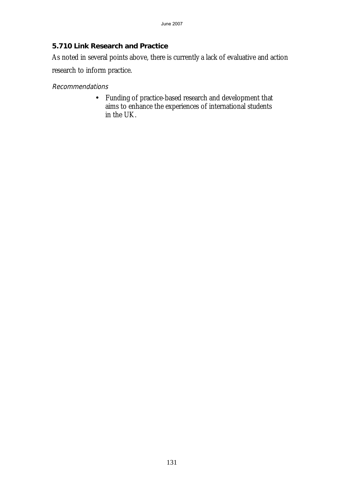### **5.710 Link Research and Practice**

As noted in several points above, there is currently a lack of evaluative and action

research to inform practice.

#### Recommendations

• Funding of practice-based research and development that aims to enhance the experiences of international students in the UK.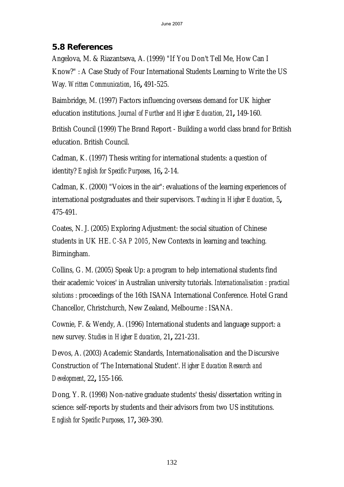# **5.8 References**

Angelova, M. & Riazantseva, A. (1999) "If You Don't Tell Me, How Can I Know?" : A Case Study of Four International Students Learning to Write the US Way. *Written Communication*, 16**,** 491-525.

Baimbridge, M. (1997) Factors influencing overseas demand for UK higher education institutions. *Journal of Further and Higher Education*, 21**,** 149-160.

British Council (1999) The Brand Report - Building a world class brand for British education. British Council.

Cadman, K. (1997) Thesis writing for international students: a question of identity? *English for Specific Purposes*, 16**,** 2-14.

Cadman, K. (2000) "Voices in the air": evaluations of the learning experiences of international postgraduates and their supervisors. *Teaching in Higher Education*, 5**,** 475-491.

Coates, N. J. (2005) Exploring Adjustment: the social situation of Chinese students in UK HE. *C-SAP 2005*, New Contexts in learning and teaching. Birmingham.

Collins, G. M. (2005) Speak Up: a program to help international students find their academic 'voices' in Australian university tutorials. *Internationalisation : practical solutions* : proceedings of the 16th ISANA International Conference. Hotel Grand Chancellor, Christchurch, New Zealand, Melbourne : ISANA.

Cownie, F. & Wendy, A. (1996) International students and language support: a new survey. *Studies in Higher Education*, 21**,** 221-231.

Devos, A. (2003) Academic Standards, Internationalisation and the Discursive Construction of 'The International Student'. *Higher Education Research and Development*, 22**,** 155-166.

Dong, Y. R. (1998) Non-native graduate students' thesis/dissertation writing in science: self-reports by students and their advisors from two US institutions. *English for Specific Purposes*, 17**,** 369-390.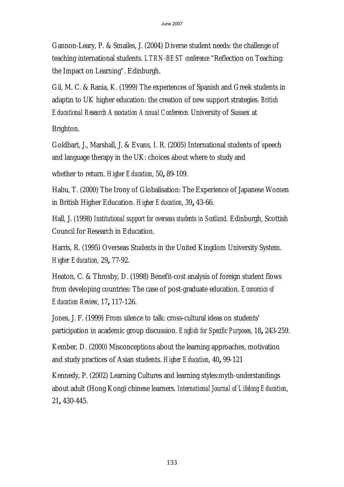Gannon-Leary, P. & Smailes, J. (2004) Diverse student needs: the challenge of teaching international students. *LTRN-BEST conference* "Reflection on Teaching: the Impact on Learning". Edinburgh.

Gil, M. C. & Rania, K. (1999) The experiences of Spanish and Greek students in adaptin to UK higher education: the creation of new support strategies. *British Educational Research Association Annual Conference*. University of Sussex at

Brighton.

Goldbart, J., Marshall, J. & Evans, I. R. (2005) International students of speech and language therapy in the UK: choices about where to study and

whether to return. *Higher Education*, 50**,** 89-109.

Habu, T. (2000) The Irony of Globalisation: The Experience of Japanese Women in British Higher Education. *Higher Education*, 39**,** 43-66.

Hall, J. (1998) *Institutional support for overseas students in Scotland*. Edinburgh, Scottish Council for Research in Education.

Harris, R. (1995) Overseas Students in the United Kingdom University System. *Higher Education*, 29**,** 77-92.

Heaton, C. & Throsby, D. (1998) Benefit-cost analysis of foreign student flows from developing countries: The case of post-graduate education. *Economics of Education Review*, 17**,** 117-126.

Jones, J. F. (1999) From silence to talk: cross-cultural ideas on students' participation in academic group discussion. *English for Specific Purposes*, 18**,** 243-259.

Kember, D. (2000) Misconceptions about the learning approaches, motivation and study practices of Asian students. *Higher Education*, 40**,** 99-121

Kennedy, P. (2002) Learning Cultures and learning styles:myth-understandings about adult (Hong Kong) chinese learners. *International Journal of Lifelong Education*, 21**,** 430-445.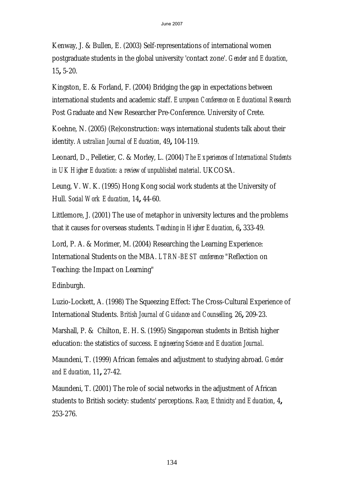Kenway, J. & Bullen, E. (2003) Self-representations of international women postgraduate students in the global university 'contact zone'. *Gender and Education*, 15**,** 5-20.

Kingston, E. & Forland, F. (2004) Bridging the gap in expectations between international students and academic staff. *European Conference on Educational Research*  Post Graduate and New Researcher Pre-Conference. University of Crete.

Koehne, N. (2005) (Re)construction: ways international students talk about their identity. *Australian Journal of Education*, 49**,** 104-119.

Leonard, D., Pelletier, C. & Morley, L. (2004) *The Experiences of International Students in UK Higher Education: a review of unpublished material*. UKCOSA.

Leung, V. W. K. (1995) Hong Kong social work students at the University of Hull. *Social Work Education*, 14**,** 44-60.

Littlemore, J. (2001) The use of metaphor in university lectures and the problems that it causes for overseas students. *Teaching in Higher Education*, 6**,** 333-49.

Lord, P. A. & Morimer, M. (2004) Researching the Learning Experience: International Students on the MBA. *LTRN-BEST conference* "Reflection on Teaching: the Impact on Learning"

Edinburgh.

Luzio-Lockett, A. (1998) The Squeezing Effect: The Cross-Cultural Experience of International Students. *British Journal of Guidance and Counselling*, 26**,** 209-23.

Marshall, P. & Chilton, E. H. S. (1995) Singaporean students in British higher education: the statistics of success. *Engineering Science and Education Journal*.

Maundeni, T. (1999) African females and adjustment to studying abroad. *Gender and Education*, 11**,** 27-42.

Maundeni, T. (2001) The role of social networks in the adjustment of African students to British society: students' perceptions. *Race, Ethnicity and Education*, 4**,** 253-276.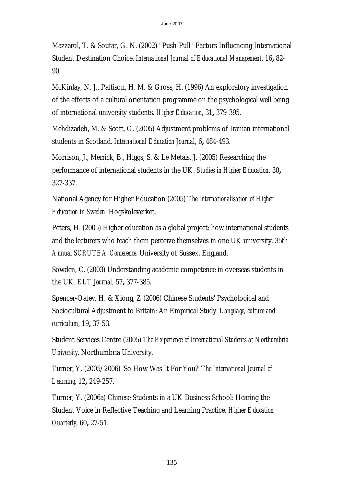Mazzarol, T. & Soutar, G. N. (2002) "Push-Pull" Factors Influencing International Student Destination Choice. *International Journal of Educational Management*, 16**,** 82- 90.

McKinlay, N. J., Pattison, H. M. & Gross, H. (1996) An exploratory investigation of the effects of a cultural orientation programme on the psychological well being of international university students. *Higher Education*, 31**,** 379-395.

Mehdizadeh, M. & Scott, G. (2005) Adjustment problems of Iranian international students in Scotland. *International Education Journal*, 6**,** 484-493.

Morrison, J., Merrick, B., Higgs, S. & Le Metais, J. (2005) Researching the performance of international students in the UK. *Studies in Higher Education*, 30**,** 327-337.

National Agency for Higher Education (2005) *The Internationalisation of Higher Education in Sweden*. Hogskoleverket.

Peters, H. (2005) Higher education as a global project: how international students and the lecturers who teach them perceive themselves in one UK university. 35th *Annual SCRUTEA Conference*. University of Sussex, England.

Sowden, C. (2003) Understanding academic competence in overseas students in the UK. *ELT Journal*, 57**,** 377-385.

Spencer-Oatey, H. & Xiong, Z (2006) Chinese Students' Psychological and Sociocultural Adjustment to Britain: An Empirical Study. *Language, culture and curriculum*, 19**,** 37-53.

Student Services Centre (2005) *The Experience of International Students at Northumbria University*. Northumbria University.

Turner, Y. (2005/2006) 'So How Was It For You?' *The International Journal of Learning*, 12**,** 249-257.

Turner, Y. (2006a) Chinese Students in a UK Business School: Hearing the Student Voice in Reflective Teaching and Learning Practice. *Higher Education Quarterly*, 60**,** 27-51.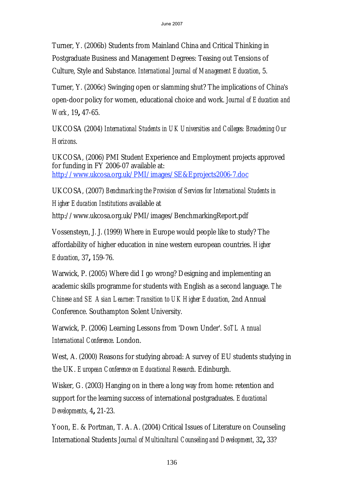Turner, Y. (2006b) Students from Mainland China and Critical Thinking in Postgraduate Business and Management Degrees: Teasing out Tensions of Culture, Style and Substance. *International Journal of Management Education*, 5.

Turner, Y. (2006c) Swinging open or slamming shut? The implications of China's open-door policy for women, educational choice and work. *Journal of Education and Work*, 19**,** 47-65.

UKCOSA (2004) *International Students in UK Universities and Colleges: Broadening Our Horizons*.

UKCOSA, (2006) PMI Student Experience and Employment projects approved for funding in FY 2006-07 available at: http://www.ukcosa.org.uk/PMI/images/SE&Eprojects2006-7.doc

UKCOSA, (2007) *Benchmarking the Provision of Services for International Students in Higher Education Institutions* available at

http://www.ukcosa.org.uk/PMI/images/BenchmarkingReport.pdf

Vossensteyn, J. J. (1999) Where in Europe would people like to study? The affordability of higher education in nine western european countries. *Higher Education*, 37**,** 159-76.

Warwick, P. (2005) Where did I go wrong? Designing and implementing an academic skills programme for students with English as a second language. *The Chinese and SE Asian Learner: Transition to UK Higher Education*, 2nd Annual Conference. Southampton Solent University.

Warwick, P. (2006) Learning Lessons from 'Down Under'. *SoTL Annual International Conference*. London.

West, A. (2000) Reasons for studying abroad: A survey of EU students studying in the UK. *European Conference on Educational Research*. Edinburgh.

Wisker, G. (2003) Hanging on in there a long way from home: retention and support for the learning success of international postgraduates. *Educational Developments*, 4**,** 21-23.

Yoon, E. & Portman, T. A. A. (2004) Critical Issues of Literature on Counseling International Students *Journal of Multicultural Counseling and Development*, 32**,** 33?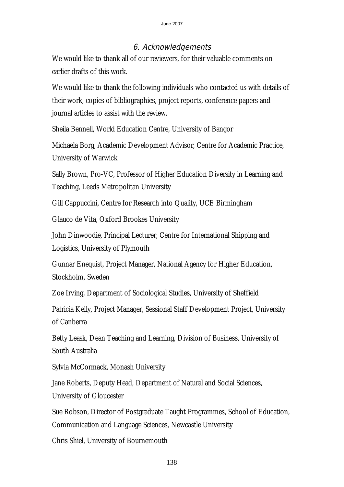# 6. Acknowledgements

We would like to thank all of our reviewers, for their valuable comments on earlier drafts of this work.

We would like to thank the following individuals who contacted us with details of their work, copies of bibliographies, project reports, conference papers and journal articles to assist with the review.

Sheila Bennell, World Education Centre, University of Bangor

Michaela Borg, Academic Development Advisor, Centre for Academic Practice, University of Warwick

Sally Brown, Pro-VC, Professor of Higher Education Diversity in Learning and Teaching, Leeds Metropolitan University

Gill Cappuccini, Centre for Research into Quality, UCE Birmingham

Glauco de Vita, Oxford Brookes University

John Dinwoodie, Principal Lecturer, Centre for International Shipping and Logistics, University of Plymouth

Gunnar Enequist, Project Manager, National Agency for Higher Education, Stockholm, Sweden

Zoe Irving, Department of Sociological Studies, University of Sheffield

Patricia Kelly, Project Manager, Sessional Staff Development Project, University of Canberra

Betty Leask, Dean Teaching and Learning, Division of Business, University of South Australia

Sylvia McCormack, Monash University

Jane Roberts, Deputy Head, Department of Natural and Social Sciences,

University of Gloucester

Sue Robson, Director of Postgraduate Taught Programmes, School of Education, Communication and Language Sciences, Newcastle University

Chris Shiel, University of Bournemouth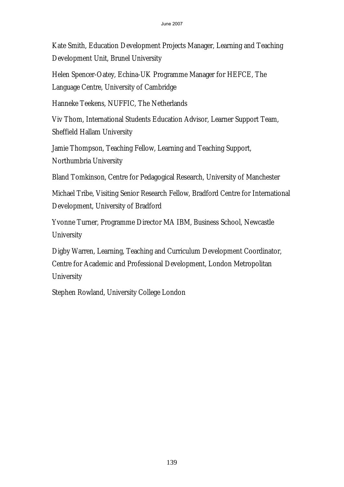Kate Smith, Education Development Projects Manager, Learning and Teaching Development Unit, Brunel University

Helen Spencer-Oatey, Echina-UK Programme Manager for HEFCE, The Language Centre, University of Cambridge

Hanneke Teekens, NUFFIC, The Netherlands

Viv Thom, International Students Education Advisor, Learner Support Team, Sheffield Hallam University

Jamie Thompson, Teaching Fellow, Learning and Teaching Support, Northumbria University

Bland Tomkinson, Centre for Pedagogical Research, University of Manchester

Michael Tribe, Visiting Senior Research Fellow, Bradford Centre for International Development, University of Bradford

Yvonne Turner, Programme Director MA IBM, Business School, Newcastle **University** 

Digby Warren, Learning, Teaching and Curriculum Development Coordinator, Centre for Academic and Professional Development, London Metropolitan **University** 

Stephen Rowland, University College London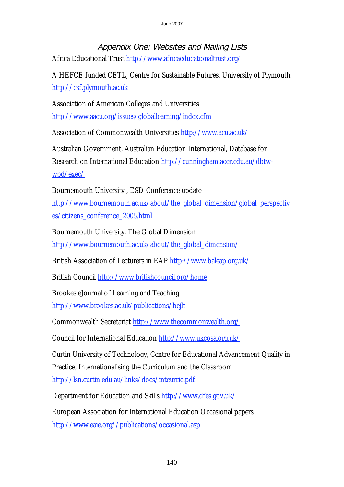# Appendix One: Websites and Mailing Lists

Africa Educational Trust http://www.africaeducationaltrust.org/

A HEFCE funded CETL, Centre for Sustainable Futures, University of Plymouth http://csf.plymouth.ac.uk

Association of American Colleges and Universities http://www.aacu.org/issues/globallearning/index.cfm

Association of Commonwealth Universities http://www.acu.ac.uk/

Australian Government, Australian Education International, Database for Research on International Education http://cunningham.acer.edu.au/dbtwwpd/exec/

Bournemouth University , ESD Conference update

http://www.bournemouth.ac.uk/about/the\_global\_dimension/global\_perspectiv es/citizens\_conference\_2005.html

Bournemouth University, The Global Dimension http://www.bournemouth.ac.uk/about/the\_global\_dimension/

British Association of Lecturers in EAP http://www.baleap.org.uk/

British Council http://www.britishcouncil.org/home

Brookes eJournal of Learning and Teaching

http://www.brookes.ac.uk/publications/bejlt

Commonwealth Secretariat http://www.thecommonwealth.org/

Council for International Education http://www.ukcosa.org.uk/

Curtin University of Technology, Centre for Educational Advancement Quality in Practice, Internationalising the Curriculum and the Classroom http://lsn.curtin.edu.au/links/docs/intcurric.pdf

Department for Education and Skills http://www.dfes.gov.uk/

European Association for International Education Occasional papers http://www.eaie.org//publications/occasional.asp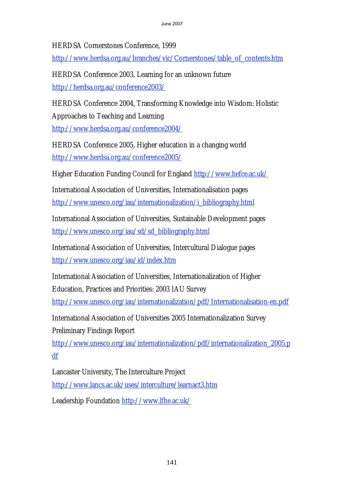HERDSA Cornerstones Conference, 1999

http://www.herdsa.org.au/branches/vic/Cornerstones/table\_of\_contents.htm

HERDSA Conference 2003, Learning for an unknown future http://herdsa.org.au/conference2003/

HERDSA Conference 2004, Transforming Knowledge into Wisdom: Holistic Approaches to Teaching and Learning http://www.herdsa.org.au/conference2004/

HERDSA Conference 2005, Higher education in a changing world http://www.herdsa.org.au/conference2005/

Higher Education Funding Council for England http://www.hefce.ac.uk/

International Association of Universities, Internationalisation pages http://www.unesco.org/iau/internationalization/i\_bibliography.html

International Association of Universities, Sustainable Development pages http://www.unesco.org/iau/sd/sd\_bibliography.html

International Association of Universities, Intercultural Dialogue pages http://www.unesco.org/iau/id/index.htm

International Association of Universities, Internationalization of Higher Education, Practices and Priorities: 2003 IAU Survey

http://www.unesco.org/iau/internationalization/pdf/Internationalisation-en.pdf

International Association of Universities 2005 Internationalization Survey Preliminary Findings Report

http://www.unesco.org/iau/internationalization/pdf/internationalization\_2005.p df

Lancaster University, The Interculture Project http://www.lancs.ac.uk/uses/interculture/learnact3.htm

Leadership Foundation http://www.lfhe.ac.uk/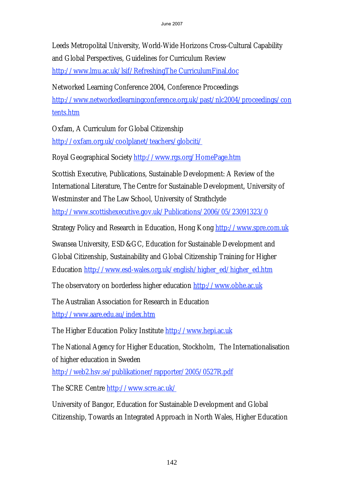Leeds Metropolital University, World-Wide Horizons Cross-Cultural Capability and Global Perspectives, Guidelines for Curriculum Review

http://www.lmu.ac.uk/lsif/RefreshingThe CurriculumFinal.doc

Networked Learning Conference 2004, Conference Proceedings http://www.networkedlearningconference.org.uk/past/nlc2004/proceedings/con tents.htm

Oxfam, A Curriculum for Global Citizenship http://oxfam.org.uk/coolplanet/teachers/globciti/

Royal Geographical Society http://www.rgs.org/HomePage.htm

Scottish Executive, Publications, Sustainable Development: A Review of the International Literature, The Centre for Sustainable Development, University of Westminster and The Law School, University of Strathclyde http://www.scottishexecutive.gov.uk/Publications/2006/05/23091323/0

Strategy Policy and Research in Education, Hong Kong http://www.spre.com.uk

Swansea University, ESD&GC, Education for Sustainable Development and Global Citizenship, Sustainability and Global Citizenship Training for Higher Education http://www.esd-wales.org.uk/english/higher\_ed/higher\_ed.htm

The observatory on borderless higher education http://www.obhe.ac.uk

The Australian Association for Research in Education http://www.aare.edu.au/index.htm

The Higher Education Policy Institute http://www.hepi.ac.uk

The National Agency for Higher Education, Stockholm, The Internationalisation of higher education in Sweden

http://web2.hsv.se/publikationer/rapporter/2005/0527R.pdf

The SCRE Centre http://www.scre.ac.uk/

University of Bangor, Education for Sustainable Development and Global Citizenship, Towards an Integrated Approach in North Wales, Higher Education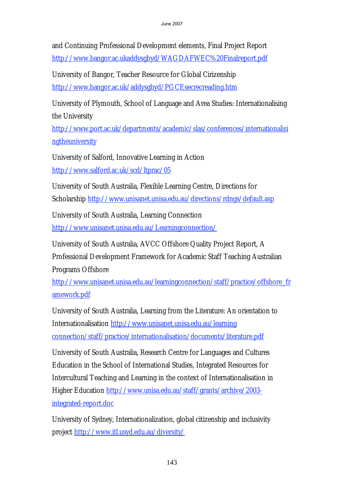and Continuing Professional Development elements, Final Project Report http://www.bangor.ac.ukaddysgbyd/WAGDAFWEC%20Finalreport.pdf

University of Bangor, Teacher Resource for Global Cirizenship http://www.bangor.ac.uk/addysgbyd/PGCEsecrecreading.htm

University of Plymouth, School of Language and Area Studies: Internationalising the University

http://www.port.ac.uk/departments/academic/slas/conferences/internationalisi **ngtheuniversity** 

University of Salford, Innovative Learning in Action http://www.salford.ac.uk/scd/ltprac/05

University of South Australia, Flexible Learning Centre, Directions for Scholarship http://www.unisanet.unisa.edu.au/directions/rdngs/default.asp

University of South Australia, Learning Connection http://www.unisanet.unisa.edu.au/Learningconnection/

University of South Australia, AVCC Offshore Quality Project Report, A Professional Development Framework for Academic Staff Teaching Australian Programs Offshore

http://www.unisanet.unisa.edu.au/learningconnection/staff/practice/offshore\_fr amework.pdf

University of South Australia, Learning from the Literature: An orientation to Internationalisation http://www.unisanet.unisa.edu.au/learning connection/staff/practice/internationalisation/documents/literature.pdf

University of South Australia, Research Centre for Languages and Cultures Education in the School of International Studies, Integrated Resources for Intercultural Teaching and Learning in the context of Internationalisation in Higher Education http://www.unisa.edu.au/staff/grants/archive/2003 integrated-report.doc

University of Sydney, Internationalization, global citizenship and inclusivity project http://www.itl.usyd.edu.au/diversity/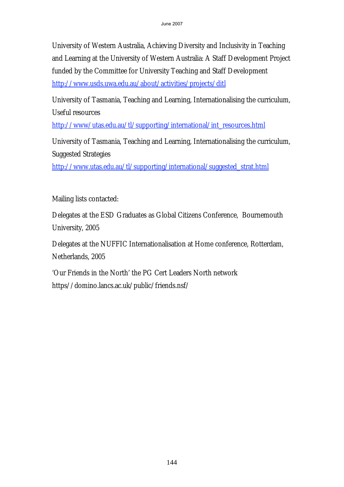University of Western Australia, Achieving Diversity and Inclusivity in Teaching and Learning at the University of Western Australia: A Staff Development Project funded by the Committee for University Teaching and Staff Development http://www.usds.uwa.edu.au/about/activities/projects/ditl

University of Tasmania, Teaching and Learning, Internationalising the curriculum, Useful resources

http://www/utas.edu.au/tl/supporting/international/int\_resources.html

University of Tasmania, Teaching and Learning, Internationalising the curriculum, Suggested Strategies

http://www.utas.edu.au/tl/supporting/international/suggested\_strat.html

Mailing lists contacted:

Delegates at the ESD Graduates as Global Citizens Conference, Bournemouth University, 2005

Delegates at the NUFFIC Internationalisation at Home conference, Rotterdam, Netherlands, 2005

'Our Friends in the North' the PG Cert Leaders North network https//domino.lancs.ac.uk/public/friends.nsf/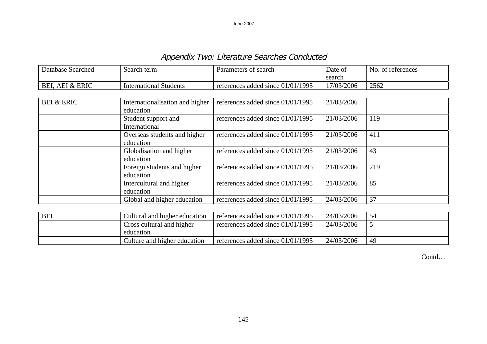Appendix Two: Literature Searches Conducted

| <b>Database Searched</b> | Search term                                  | Parameters of search                | Date of<br>search | No. of references |
|--------------------------|----------------------------------------------|-------------------------------------|-------------------|-------------------|
| BEI, AEI & ERIC          | <b>International Students</b>                | references added since 01/01/1995   | 17/03/2006        | 2562              |
|                          |                                              |                                     |                   |                   |
| <b>BEI &amp; ERIC</b>    | Internationalisation and higher<br>education | references added since $01/01/1995$ | 21/03/2006        |                   |
|                          | Student support and<br>International         | references added since $01/01/1995$ | 21/03/2006        | 119               |
|                          | Overseas students and higher<br>education    | references added since $01/01/1995$ | 21/03/2006        | 411               |
|                          | Globalisation and higher<br>education        | references added since $01/01/1995$ | 21/03/2006        | 43                |
|                          | Foreign students and higher<br>education     | references added since 01/01/1995   | 21/03/2006        | 219               |
|                          | Intercultural and higher<br>education        | references added since 01/01/1995   | 21/03/2006        | 85                |
|                          | Global and higher education                  | references added since 01/01/1995   | 24/03/2006        | 37                |
|                          |                                              |                                     |                   |                   |
| <b>BEI</b>               | Cultural and higher education                | references added since 01/01/1995   | 24/03/2006        | 54                |
|                          | Cross outward and higher                     | $refernness$ added since 01/01/1005 | 24/02/2006        | $\epsilon$        |

| பட் | Cuitural and inglici cuucation | Telefences added since 01/01/1999   | 24/03/2000 | ىر |
|-----|--------------------------------|-------------------------------------|------------|----|
|     | Cross cultural and higher      | references added since $01/01/1995$ | 24/03/2006 |    |
|     | education                      |                                     |            |    |
|     | Culture and higher education   | references added since $01/01/1995$ | 24/03/2006 | 49 |

Contd…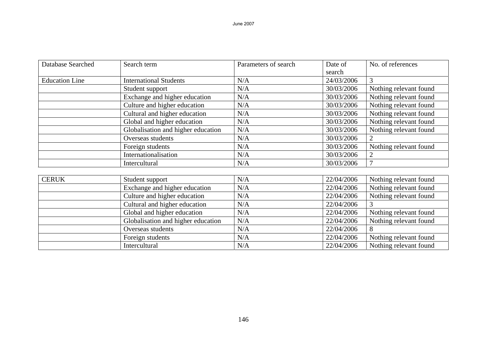| Database Searched     | Search term                        | Parameters of search | Date of    | No. of references      |
|-----------------------|------------------------------------|----------------------|------------|------------------------|
|                       |                                    |                      | search     |                        |
| <b>Education Line</b> | <b>International Students</b>      | N/A                  | 24/03/2006 | $\overline{3}$         |
|                       | Student support                    | N/A                  | 30/03/2006 | Nothing relevant found |
|                       | Exchange and higher education      | N/A                  | 30/03/2006 | Nothing relevant found |
|                       | Culture and higher education       | N/A                  | 30/03/2006 | Nothing relevant found |
|                       | Cultural and higher education      | N/A                  | 30/03/2006 | Nothing relevant found |
|                       | Global and higher education        | N/A                  | 30/03/2006 | Nothing relevant found |
|                       | Globalisation and higher education | N/A                  | 30/03/2006 | Nothing relevant found |
|                       | Overseas students                  | N/A                  | 30/03/2006 | $\overline{2}$         |
|                       | Foreign students                   | N/A                  | 30/03/2006 | Nothing relevant found |
|                       | Internationalisation               | N/A                  | 30/03/2006 |                        |
|                       | Intercultural                      | N/A                  | 30/03/2006 | $\tau$                 |
|                       |                                    |                      |            |                        |
| <b>CERUK</b>          | Student support                    | N/A                  | 22/04/2006 | Nothing relevant found |
|                       | Exchange and higher education      | N/A                  | 22/04/2006 | Nothing relevant found |
|                       | Culture and higher education       | N/A                  | 22/04/2006 | Nothing relevant found |
|                       | Cultural and higher education      | N/A                  | 22/04/2006 |                        |
|                       | Global and higher education        | N/A                  | 22/04/2006 | Nothing relevant found |
|                       | Globalisation and higher education | N/A                  | 22/04/2006 | Nothing relevant found |
|                       | Overseas students                  | N/A                  | 22/04/2006 | 8                      |
|                       | Foreign students                   | N/A                  | 22/04/2006 | Nothing relevant found |
|                       | Intercultural                      | N/A                  | 22/04/2006 | Nothing relevant found |